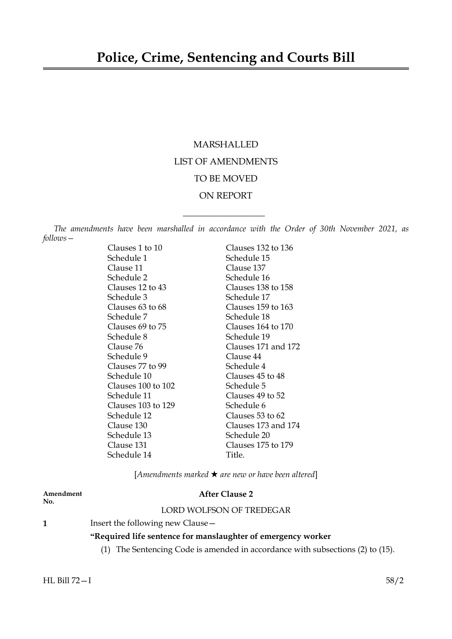# MARSHALLED LIST OF AMENDMENTS TO BE MOVED ON REPORT

*The amendments have been marshalled in accordance with the Order of 30th November 2021, as follows—*

 $\overline{\phantom{a}}$  , where  $\overline{\phantom{a}}$ 

| Clauses 1 to 10    | Clauses 132 to 136  |
|--------------------|---------------------|
| Schedule 1         | Schedule 15         |
| Clause 11          | Clause 137          |
| Schedule 2         | Schedule 16         |
| Clauses 12 to 43   | Clauses 138 to 158  |
| Schedule 3         | Schedule 17         |
| Clauses 63 to 68   | Clauses 159 to 163  |
| Schedule 7         | Schedule 18         |
| Clauses 69 to 75   | Clauses 164 to 170  |
| Schedule 8         | Schedule 19         |
| Clause 76          | Clauses 171 and 172 |
| Schedule 9         | Clause 44           |
| Clauses 77 to 99   | Schedule 4          |
| Schedule 10        | Clauses 45 to 48    |
| Clauses 100 to 102 | Schedule 5          |
| Schedule 11        | Clauses 49 to 52    |
| Clauses 103 to 129 | Schedule 6          |
| Schedule 12        | Clauses 53 to 62    |
| Clause 130         | Clauses 173 and 174 |
| Schedule 13        | Schedule 20         |
| Clause 131         | Clauses 175 to 179  |
| Schedule 14        | Title.              |

[*Amendments marked* \* *are new or have been altered*]

# **No.**

# **Amendment After Clause 2**

# LORD WOLFSON OF TREDEGAR

**1** Insert the following new Clause -

# **"Required life sentence for manslaughter of emergency worker**

(1) The Sentencing Code is amended in accordance with subsections (2) to (15).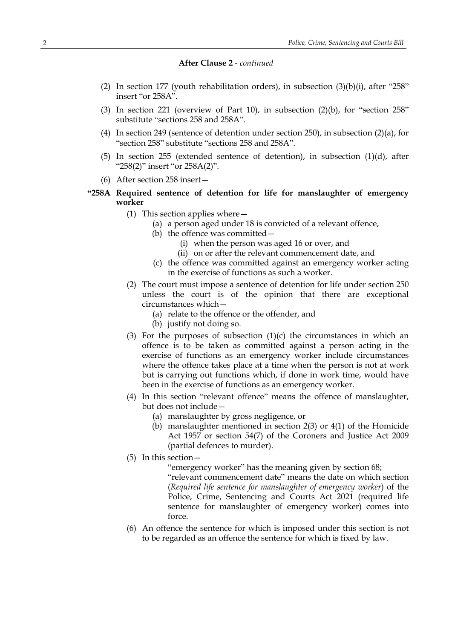- (2) In section 177 (youth rehabilitation orders), in subsection  $(3)(b)(i)$ , after "258" insert "or 258A".
- (3) In section 221 (overview of Part 10), in subsection  $(2)(b)$ , for "section 258" substitute "sections 258 and 258A".
- (4) In section 249 (sentence of detention under section 250), in subsection (2)(a), for "section 258" substitute "sections 258 and 258A".
- (5) In section 255 (extended sentence of detention), in subsection (1)(d), after "258(2)" insert "or 258A(2)".
- (6) After section 258 insert—
- **"258A Required sentence of detention for life for manslaughter of emergency worker**
	- (1) This section applies where—
		- (a) a person aged under 18 is convicted of a relevant offence,
		- (b) the offence was committed—
			- (i) when the person was aged 16 or over, and
			- (ii) on or after the relevant commencement date, and
		- (c) the offence was committed against an emergency worker acting in the exercise of functions as such a worker.
	- (2) The court must impose a sentence of detention for life under section 250 unless the court is of the opinion that there are exceptional circumstances which—
		- (a) relate to the offence or the offender, and
		- (b) justify not doing so.
	- (3) For the purposes of subsection  $(1)(c)$  the circumstances in which an offence is to be taken as committed against a person acting in the exercise of functions as an emergency worker include circumstances where the offence takes place at a time when the person is not at work but is carrying out functions which, if done in work time, would have been in the exercise of functions as an emergency worker.
	- (4) In this section "relevant offence" means the offence of manslaughter, but does not include—
		- (a) manslaughter by gross negligence, or
		- (b) manslaughter mentioned in section 2(3) or 4(1) of the Homicide Act 1957 or section 54(7) of the Coroners and Justice Act 2009 (partial defences to murder).
	- (5) In this section—

"emergency worker" has the meaning given by section 68;

"relevant commencement date" means the date on which section (*Required life sentence for manslaughter of emergency worker*) of the Police, Crime, Sentencing and Courts Act 2021 (required life sentence for manslaughter of emergency worker) comes into force.

(6) An offence the sentence for which is imposed under this section is not to be regarded as an offence the sentence for which is fixed by law.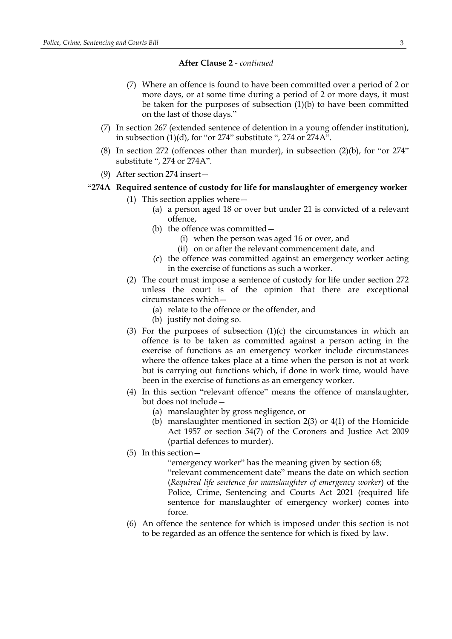- (7) Where an offence is found to have been committed over a period of 2 or more days, or at some time during a period of 2 or more days, it must be taken for the purposes of subsection (1)(b) to have been committed on the last of those days."
- (7) In section 267 (extended sentence of detention in a young offender institution), in subsection (1)(d), for "or 274" substitute ", 274 or 274A".
- (8) In section 272 (offences other than murder), in subsection (2)(b), for "or 274" substitute ", 274 or 274A".
- (9) After section 274 insert—
- **"274A Required sentence of custody for life for manslaughter of emergency worker**
	- (1) This section applies where—
		- (a) a person aged 18 or over but under 21 is convicted of a relevant offence,
		- (b) the offence was committed—
			- (i) when the person was aged 16 or over, and
			- (ii) on or after the relevant commencement date, and
		- (c) the offence was committed against an emergency worker acting in the exercise of functions as such a worker.
	- (2) The court must impose a sentence of custody for life under section 272 unless the court is of the opinion that there are exceptional circumstances which—
		- (a) relate to the offence or the offender, and
		- (b) justify not doing so.
	- (3) For the purposes of subsection  $(1)(c)$  the circumstances in which an offence is to be taken as committed against a person acting in the exercise of functions as an emergency worker include circumstances where the offence takes place at a time when the person is not at work but is carrying out functions which, if done in work time, would have been in the exercise of functions as an emergency worker.
	- (4) In this section "relevant offence" means the offence of manslaughter, but does not include—
		- (a) manslaughter by gross negligence, or
		- (b) manslaughter mentioned in section 2(3) or 4(1) of the Homicide Act 1957 or section 54(7) of the Coroners and Justice Act 2009 (partial defences to murder).
	- (5) In this section—

"emergency worker" has the meaning given by section 68; "relevant commencement date" means the date on which section (*Required life sentence for manslaughter of emergency worker*) of the Police, Crime, Sentencing and Courts Act 2021 (required life sentence for manslaughter of emergency worker) comes into force.

(6) An offence the sentence for which is imposed under this section is not to be regarded as an offence the sentence for which is fixed by law.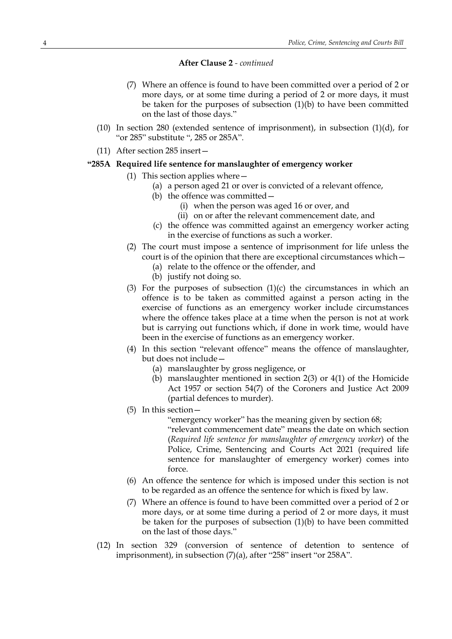- (7) Where an offence is found to have been committed over a period of 2 or more days, or at some time during a period of 2 or more days, it must be taken for the purposes of subsection (1)(b) to have been committed on the last of those days."
- (10) In section 280 (extended sentence of imprisonment), in subsection  $(1)(d)$ , for "or 285" substitute ", 285 or 285A".
- (11) After section 285 insert—

## **"285A Required life sentence for manslaughter of emergency worker**

- (1) This section applies where—
	- (a) a person aged 21 or over is convicted of a relevant offence,
	- (b) the offence was committed—
		- (i) when the person was aged 16 or over, and
		- (ii) on or after the relevant commencement date, and
	- (c) the offence was committed against an emergency worker acting in the exercise of functions as such a worker.
- (2) The court must impose a sentence of imprisonment for life unless the court is of the opinion that there are exceptional circumstances which—
	- (a) relate to the offence or the offender, and
		- (b) justify not doing so.
- (3) For the purposes of subsection  $(1)(c)$  the circumstances in which an offence is to be taken as committed against a person acting in the exercise of functions as an emergency worker include circumstances where the offence takes place at a time when the person is not at work but is carrying out functions which, if done in work time, would have been in the exercise of functions as an emergency worker.
- (4) In this section "relevant offence" means the offence of manslaughter, but does not include—
	- (a) manslaughter by gross negligence, or
	- (b) manslaughter mentioned in section 2(3) or 4(1) of the Homicide Act 1957 or section 54(7) of the Coroners and Justice Act 2009 (partial defences to murder).
- (5) In this section—

"emergency worker" has the meaning given by section 68;

"relevant commencement date" means the date on which section (*Required life sentence for manslaughter of emergency worker*) of the Police, Crime, Sentencing and Courts Act 2021 (required life sentence for manslaughter of emergency worker) comes into force.

- (6) An offence the sentence for which is imposed under this section is not to be regarded as an offence the sentence for which is fixed by law.
- (7) Where an offence is found to have been committed over a period of 2 or more days, or at some time during a period of 2 or more days, it must be taken for the purposes of subsection (1)(b) to have been committed on the last of those days."
- (12) In section 329 (conversion of sentence of detention to sentence of imprisonment), in subsection (7)(a), after "258" insert "or 258A".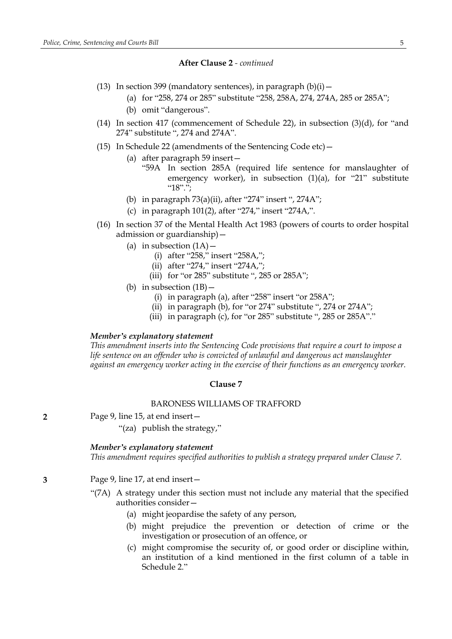- (13) In section 399 (mandatory sentences), in paragraph  $(b)(i)$  -
	- (a) for "258, 274 or 285" substitute "258, 258A, 274, 274A, 285 or 285A";
	- (b) omit "dangerous".
- (14) In section 417 (commencement of Schedule 22), in subsection  $(3)(d)$ , for "and 274" substitute ", 274 and 274A".
- (15) In Schedule 22 (amendments of the Sentencing Code etc)—
	- (a) after paragraph 59 insert—
		- "59A In section 285A (required life sentence for manslaughter of emergency worker), in subsection (1)(a), for "21" substitute "18".";
	- (b) in paragraph 73(a)(ii), after "274" insert ", 274A";
	- (c) in paragraph 101(2), after "274," insert "274A,".
- (16) In section 37 of the Mental Health Act 1983 (powers of courts to order hospital admission or guardianship)—
	- (a) in subsection  $(1A)$  -
		- (i) after "258," insert "258A,";
		- (ii) after "274," insert "274A,";
		- (iii) for "or 285" substitute ", 285 or 285A";
	- (b) in subsection  $(1B)$  -
		- (i) in paragraph (a), after "258" insert "or 258A";
		- (ii) in paragraph (b), for "or 274" substitute ", 274 or 274A";
		- (iii) in paragraph (c), for "or 285" substitute ", 285 or 285A"."

#### *Member's explanatory statement*

*This amendment inserts into the Sentencing Code provisions that require a court to impose a life sentence on an offender who is convicted of unlawful and dangerous act manslaughter against an emergency worker acting in the exercise of their functions as an emergency worker.*

#### **Clause 7**

## BARONESS WILLIAMS OF TRAFFORD

- **2** Page 9, line 15, at end insert—
	- "(za) publish the strategy,"

## *Member's explanatory statement*

*This amendment requires specified authorities to publish a strategy prepared under Clause 7.*

## **3** Page 9, line 17, at end insert—

- "(7A) A strategy under this section must not include any material that the specified authorities consider—
	- (a) might jeopardise the safety of any person,
	- (b) might prejudice the prevention or detection of crime or the investigation or prosecution of an offence, or
	- (c) might compromise the security of, or good order or discipline within, an institution of a kind mentioned in the first column of a table in Schedule 2."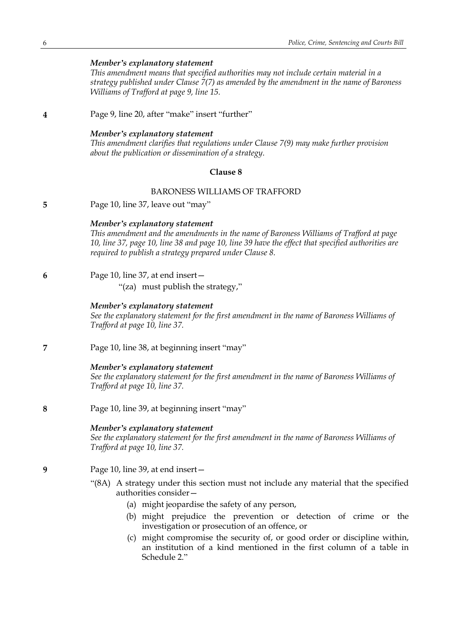*This amendment means that specified authorities may not include certain material in a strategy published under Clause 7(7) as amended by the amendment in the name of Baroness Williams of Trafford at page 9, line 15.*

**4** Page 9, line 20, after "make" insert "further"

#### *Member's explanatory statement*

*This amendment clarifies that regulations under Clause 7(9) may make further provision about the publication or dissemination of a strategy.*

#### **Clause 8**

#### BARONESS WILLIAMS OF TRAFFORD

**5** Page 10, line 37, leave out "may"

#### *Member's explanatory statement*

*This amendment and the amendments in the name of Baroness Williams of Trafford at page* 10, line 37, page 10, line 38 and page 10, line 39 have the effect that specified authorities are *required to publish a strategy prepared under Clause 8.*

## **6** Page 10, line 37, at end insert—

"(za) must publish the strategy,"

#### *Member's explanatory statement*

*See the explanatory statement for the first amendment in the name of Baroness Williams of Trafford at page 10, line 37.*

**7** Page 10, line 38, at beginning insert "may"

## *Member's explanatory statement*

*See the explanatory statement for the first amendment in the name of Baroness Williams of Trafford at page 10, line 37.*

**8** Page 10, line 39, at beginning insert "may"

## *Member's explanatory statement*

*See the explanatory statement for the first amendment in the name of Baroness Williams of Trafford at page 10, line 37.*

- **9** Page 10, line 39, at end insert—
	- "(8A) A strategy under this section must not include any material that the specified authorities consider—
		- (a) might jeopardise the safety of any person,
		- (b) might prejudice the prevention or detection of crime or the investigation or prosecution of an offence, or
		- (c) might compromise the security of, or good order or discipline within, an institution of a kind mentioned in the first column of a table in Schedule 2."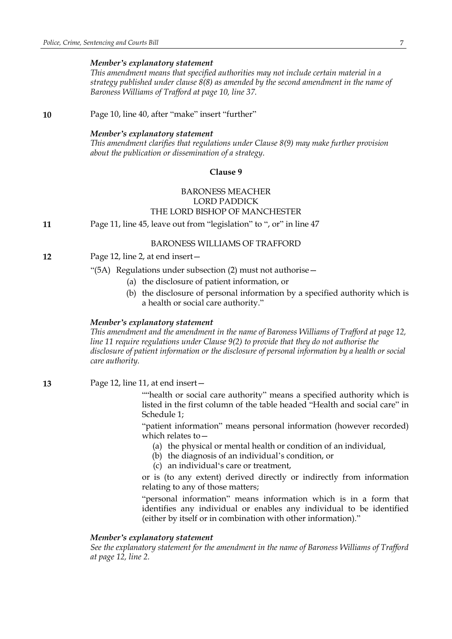*This amendment means that specified authorities may not include certain material in a strategy published under clause 8(8) as amended by the second amendment in the name of Baroness Williams of Trafford at page 10, line 37.*

**10** Page 10, line 40, after "make" insert "further"

#### *Member's explanatory statement*

*This amendment clarifies that regulations under Clause 8(9) may make further provision about the publication or dissemination of a strategy.*

## **Clause 9**

# BARONESS MEACHER LORD PADDICK THE LORD BISHOP OF MANCHESTER

**11** Page 11, line 45, leave out from "legislation" to ", or" in line 47

#### BARONESS WILLIAMS OF TRAFFORD

**12** Page 12, line 2, at end insert—

"(5A) Regulations under subsection (2) must not authorise—

- (a) the disclosure of patient information, or
- (b) the disclosure of personal information by a specified authority which is a health or social care authority."

#### *Member's explanatory statement*

*This amendment and the amendment in the name of Baroness Williams of Trafford at page 12, line 11 require regulations under Clause 9(2) to provide that they do not authorise the disclosure of patient information or the disclosure of personal information by a health or social care authority.*

**13** Page 12, line 11, at end insert—

""health or social care authority" means a specified authority which is listed in the first column of the table headed "Health and social care" in Schedule 1;

"patient information" means personal information (however recorded) which relates to—

- (a) the physical or mental health or condition of an individual,
- (b) the diagnosis of an individual's condition, or
- (c) an individual's care or treatment,

or is (to any extent) derived directly or indirectly from information relating to any of those matters;

"personal information" means information which is in a form that identifies any individual or enables any individual to be identified (either by itself or in combination with other information)."

## *Member's explanatory statement*

*See the explanatory statement for the amendment in the name of Baroness Williams of Trafford at page 12, line 2.*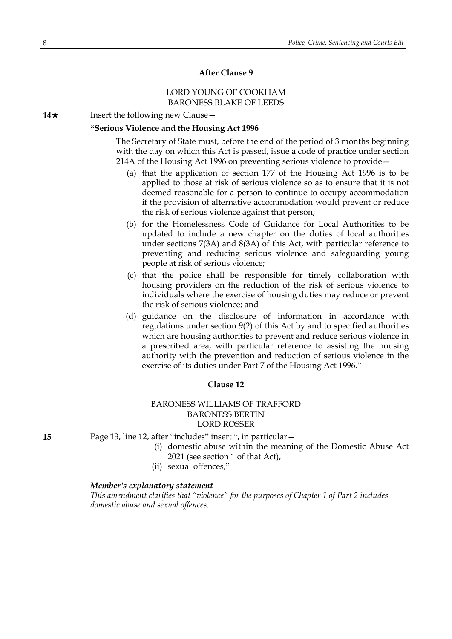# **After Clause 9**

## LORD YOUNG OF COOKHAM BARONESS BLAKE OF LEEDS

**14**★ Insert the following new Clause —

## **"Serious Violence and the Housing Act 1996**

The Secretary of State must, before the end of the period of 3 months beginning with the day on which this Act is passed, issue a code of practice under section 214A of the Housing Act 1996 on preventing serious violence to provide—

- (a) that the application of section 177 of the Housing Act 1996 is to be applied to those at risk of serious violence so as to ensure that it is not deemed reasonable for a person to continue to occupy accommodation if the provision of alternative accommodation would prevent or reduce the risk of serious violence against that person;
- (b) for the Homelessness Code of Guidance for Local Authorities to be updated to include a new chapter on the duties of local authorities under sections 7(3A) and 8(3A) of this Act, with particular reference to preventing and reducing serious violence and safeguarding young people at risk of serious violence;
- (c) that the police shall be responsible for timely collaboration with housing providers on the reduction of the risk of serious violence to individuals where the exercise of housing duties may reduce or prevent the risk of serious violence; and
- (d) guidance on the disclosure of information in accordance with regulations under section 9(2) of this Act by and to specified authorities which are housing authorities to prevent and reduce serious violence in a prescribed area, with particular reference to assisting the housing authority with the prevention and reduction of serious violence in the exercise of its duties under Part 7 of the Housing Act 1996."

## **Clause 12**

# BARONESS WILLIAMS OF TRAFFORD BARONESS BERTIN LORD ROSSER

**15** Page 13, line 12, after "includes" insert ", in particular—

- (i) domestic abuse within the meaning of the Domestic Abuse Act 2021 (see section 1 of that Act),
- (ii) sexual offences,"

#### *Member's explanatory statement*

*This amendment clarifies that "violence" for the purposes of Chapter 1 of Part 2 includes domestic abuse and sexual offences.*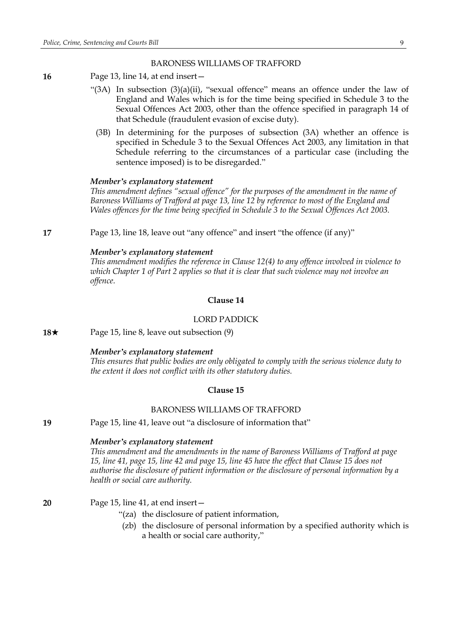#### BARONESS WILLIAMS OF TRAFFORD

- **16** Page 13, line 14, at end insert—
	- "(3A) In subsection (3)(a)(ii), "sexual offence" means an offence under the law of England and Wales which is for the time being specified in Schedule 3 to the Sexual Offences Act 2003, other than the offence specified in paragraph 14 of that Schedule (fraudulent evasion of excise duty).
		- (3B) In determining for the purposes of subsection (3A) whether an offence is specified in Schedule 3 to the Sexual Offences Act 2003, any limitation in that Schedule referring to the circumstances of a particular case (including the sentence imposed) is to be disregarded."

## *Member's explanatory statement*

*This amendment defines "sexual offence" for the purposes of the amendment in the name of Baroness Williams of Trafford at page 13, line 12 by reference to most of the England and Wales offences for the time being specified in Schedule 3 to the Sexual Offences Act 2003.*

**17** Page 13, line 18, leave out "any offence" and insert "the offence (if any)"

## *Member's explanatory statement*

*This amendment modifies the reference in Clause 12(4) to any offence involved in violence to which Chapter 1 of Part 2 applies so that it is clear that such violence may not involve an offence.*

#### **Clause 14**

## LORD PADDICK

**18**★ Page 15, line 8, leave out subsection (9)

#### *Member's explanatory statement*

*This ensures that public bodies are only obligated to comply with the serious violence duty to the extent it does not conflict with its other statutory duties.*

## **Clause 15**

## BARONESS WILLIAMS OF TRAFFORD

**19** Page 15, line 41, leave out "a disclosure of information that"

#### *Member's explanatory statement*

*This amendment and the amendments in the name of Baroness Williams of Trafford at page* 15, line 41, page 15, line 42 and page 15, line 45 have the effect that Clause 15 does not *authorise the disclosure of patient information or the disclosure of personal information by a health or social care authority.*

**20** Page 15, line 41, at end insert—

- "(za) the disclosure of patient information,
- (zb) the disclosure of personal information by a specified authority which is a health or social care authority,"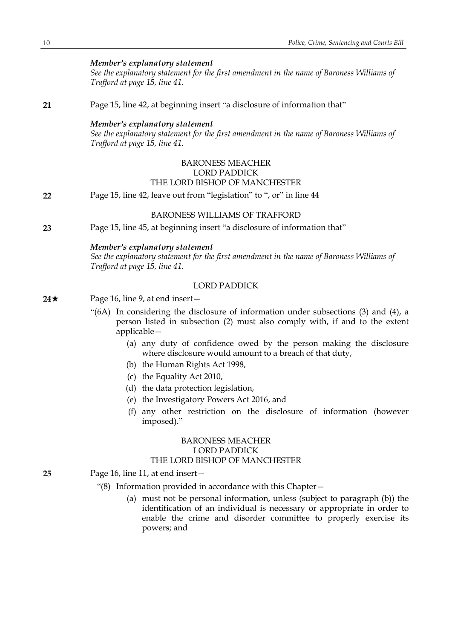*See the explanatory statement for the first amendment in the name of Baroness Williams of Trafford at page 15, line 41.*

**21** Page 15, line 42, at beginning insert "a disclosure of information that"

#### *Member's explanatory statement*

*See the explanatory statement for the first amendment in the name of Baroness Williams of Trafford at page 15, line 41.*

## BARONESS MEACHER LORD PADDICK THE LORD BISHOP OF MANCHESTER

**22** Page 15, line 42, leave out from "legislation" to ", or" in line 44

#### BARONESS WILLIAMS OF TRAFFORD

**23** Page 15, line 45, at beginning insert "a disclosure of information that"

#### *Member's explanatory statement*

*See the explanatory statement for the first amendment in the name of Baroness Williams of Trafford at page 15, line 41.*

# LORD PADDICK

## **24**★ Page 16, line 9, at end insert —

- "(6A) In considering the disclosure of information under subsections (3) and (4), a person listed in subsection (2) must also comply with, if and to the extent applicable—
	- (a) any duty of confidence owed by the person making the disclosure where disclosure would amount to a breach of that duty,
	- (b) the Human Rights Act 1998,
	- (c) the Equality Act 2010,
	- (d) the data protection legislation,
	- (e) the Investigatory Powers Act 2016, and
	- (f) any other restriction on the disclosure of information (however imposed)."

## BARONESS MEACHER LORD PADDICK THE LORD BISHOP OF MANCHESTER

- **25** Page 16, line 11, at end insert—
	- "(8) Information provided in accordance with this Chapter—
		- (a) must not be personal information, unless (subject to paragraph (b)) the identification of an individual is necessary or appropriate in order to enable the crime and disorder committee to properly exercise its powers; and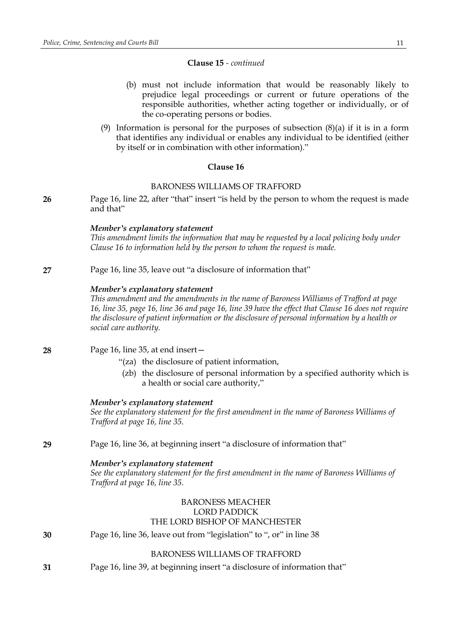## **Clause 15** *- continued*

- (b) must not include information that would be reasonably likely to prejudice legal proceedings or current or future operations of the responsible authorities, whether acting together or individually, or of the co-operating persons or bodies.
- (9) Information is personal for the purposes of subsection (8)(a) if it is in a form that identifies any individual or enables any individual to be identified (either by itself or in combination with other information)."

## **Clause 16**

## BARONESS WILLIAMS OF TRAFFORD

**26** Page 16, line 22, after "that" insert "is held by the person to whom the request is made and that"

## *Member's explanatory statement*

*This amendment limits the information that may be requested by a local policing body under Clause 16 to information held by the person to whom the request is made.*

**27** Page 16, line 35, leave out "a disclosure of information that"

## *Member's explanatory statement*

*This amendment and the amendments in the name of Baroness Williams of Trafford at page* 16, line 35, page 16, line 36 and page 16, line 39 have the effect that Clause 16 does not require *the disclosure of patient information or the disclosure of personal information by a health or social care authority.*

## **28** Page 16, line 35, at end insert—

- "(za) the disclosure of patient information,
- (zb) the disclosure of personal information by a specified authority which is a health or social care authority,"

#### *Member's explanatory statement*

*See the explanatory statement for the first amendment in the name of Baroness Williams of Trafford at page 16, line 35.*

**29** Page 16, line 36, at beginning insert "a disclosure of information that"

## *Member's explanatory statement*

*See the explanatory statement for the first amendment in the name of Baroness Williams of Trafford at page 16, line 35.*

## BARONESS MEACHER LORD PADDICK THE LORD BISHOP OF MANCHESTER

# **30** Page 16, line 36, leave out from "legislation" to ", or" in line 38

## BARONESS WILLIAMS OF TRAFFORD

**31** Page 16, line 39, at beginning insert "a disclosure of information that"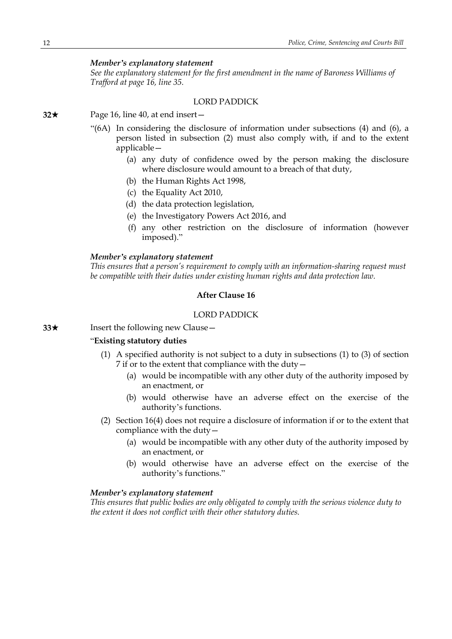*See the explanatory statement for the first amendment in the name of Baroness Williams of Trafford at page 16, line 35.*

#### LORD PADDICK

**32**\* Page 16, line 40, at end insert—

- "(6A) In considering the disclosure of information under subsections (4) and (6), a person listed in subsection (2) must also comply with, if and to the extent applicable—
	- (a) any duty of confidence owed by the person making the disclosure where disclosure would amount to a breach of that duty,
	- (b) the Human Rights Act 1998,
	- (c) the Equality Act 2010,
	- (d) the data protection legislation,
	- (e) the Investigatory Powers Act 2016, and
	- (f) any other restriction on the disclosure of information (however imposed)."

#### *Member's explanatory statement*

*This ensures that a person's requirement to comply with an information-sharing request must be compatible with their duties under existing human rights and data protection law.*

## **After Clause 16**

# LORD PADDICK

**33**★ Insert the following new Clause

## "**Existing statutory duties**

- (1) A specified authority is not subject to a duty in subsections (1) to (3) of section 7 if or to the extent that compliance with the duty—
	- (a) would be incompatible with any other duty of the authority imposed by an enactment, or
	- (b) would otherwise have an adverse effect on the exercise of the authority's functions.
- (2) Section 16(4) does not require a disclosure of information if or to the extent that compliance with the duty—
	- (a) would be incompatible with any other duty of the authority imposed by an enactment, or
	- (b) would otherwise have an adverse effect on the exercise of the authority's functions."

## *Member's explanatory statement*

*This ensures that public bodies are only obligated to comply with the serious violence duty to the extent it does not conflict with their other statutory duties.*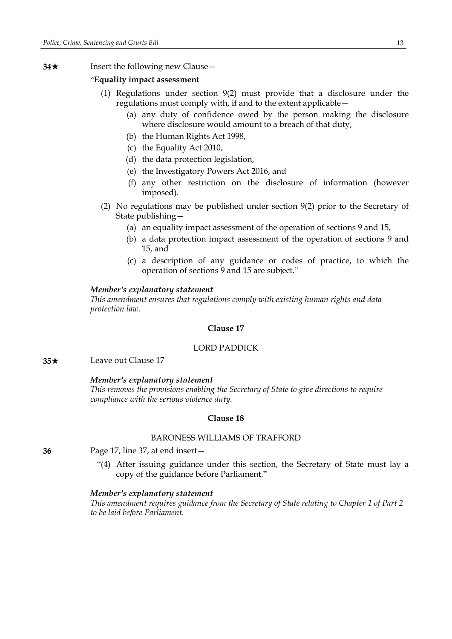## **34**★ Insert the following new Clause

#### "**Equality impact assessment**

- (1) Regulations under section 9(2) must provide that a disclosure under the regulations must comply with, if and to the extent applicable—
	- (a) any duty of confidence owed by the person making the disclosure where disclosure would amount to a breach of that duty,
	- (b) the Human Rights Act 1998,
	- (c) the Equality Act 2010,
	- (d) the data protection legislation,
	- (e) the Investigatory Powers Act 2016, and
	- (f) any other restriction on the disclosure of information (however imposed).
- (2) No regulations may be published under section 9(2) prior to the Secretary of State publishing—
	- (a) an equality impact assessment of the operation of sections 9 and 15,
	- (b) a data protection impact assessment of the operation of sections 9 and 15, and
	- (c) a description of any guidance or codes of practice, to which the operation of sections 9 and 15 are subject."

#### *Member's explanatory statement*

*This amendment ensures that regulations comply with existing human rights and data protection law.*

## **Clause 17**

## LORD PADDICK

**35**★ Leave out Clause 17

#### *Member's explanatory statement*

*This removes the provisions enabling the Secretary of State to give directions to require compliance with the serious violence duty.*

## **Clause 18**

## BARONESS WILLIAMS OF TRAFFORD

**36** Page 17, line 37, at end insert—

"(4) After issuing guidance under this section, the Secretary of State must lay a copy of the guidance before Parliament."

#### *Member's explanatory statement*

*This amendment requires guidance from the Secretary of State relating to Chapter 1 of Part 2 to be laid before Parliament.*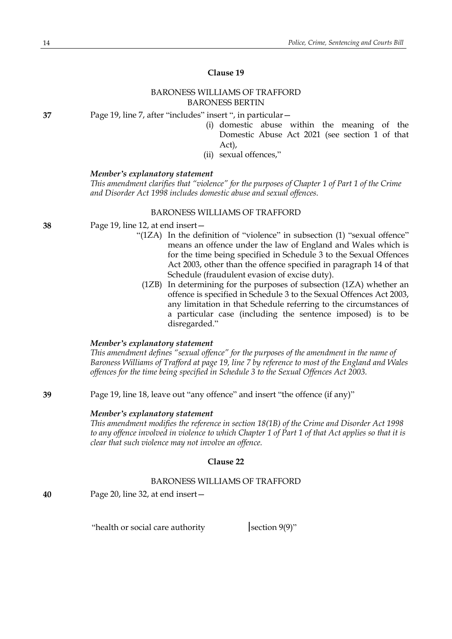# **Clause 19**

## BARONESS WILLIAMS OF TRAFFORD BARONESS BERTIN

**37** Page 19, line 7, after "includes" insert ", in particular—

- (i) domestic abuse within the meaning of the Domestic Abuse Act 2021 (see section 1 of that Act),
- (ii) sexual offences,"

#### *Member's explanatory statement*

*This amendment clarifies that "violence" for the purposes of Chapter 1 of Part 1 of the Crime and Disorder Act 1998 includes domestic abuse and sexual offences.*

#### BARONESS WILLIAMS OF TRAFFORD

- **38** Page 19, line 12, at end insert—
	- "(1ZA) In the definition of "violence" in subsection (1) "sexual offence" means an offence under the law of England and Wales which is for the time being specified in Schedule 3 to the Sexual Offences Act 2003, other than the offence specified in paragraph 14 of that Schedule (fraudulent evasion of excise duty).
		- (1ZB) In determining for the purposes of subsection (1ZA) whether an offence is specified in Schedule 3 to the Sexual Offences Act 2003, any limitation in that Schedule referring to the circumstances of a particular case (including the sentence imposed) is to be disregarded."

## *Member's explanatory statement*

*This amendment defines "sexual offence" for the purposes of the amendment in the name of Baroness Williams of Trafford at page 19, line 7 by reference to most of the England and Wales offences for the time being specified in Schedule 3 to the Sexual Offences Act 2003.*

**39** Page 19, line 18, leave out "any offence" and insert "the offence (if any)"

## *Member's explanatory statement*

*This amendment modifies the reference in section 18(1B) of the Crime and Disorder Act 1998* to any offence involved in violence to which Chapter 1 of Part 1 of that Act applies so that it is *clear that such violence may not involve an offence.*

## **Clause 22**

#### BARONESS WILLIAMS OF TRAFFORD

**40** Page 20, line 32, at end insert—

"health or social care authority  $|set|$  section 9(9)"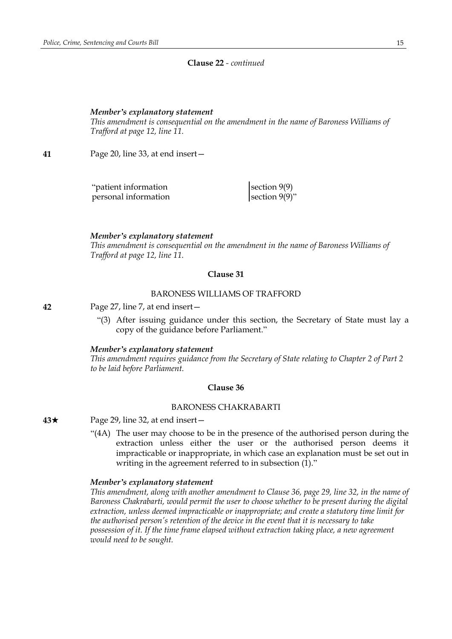## **Clause 22** *- continued*

#### *Member's explanatory statement*

*This amendment is consequential on the amendment in the name of Baroness Williams of Trafford at page 12, line 11.*

**41** Page 20, line 33, at end insert—

"patient information section 9(9) personal information  $\vert$  section 9(9)"

*Member's explanatory statement*

*This amendment is consequential on the amendment in the name of Baroness Williams of Trafford at page 12, line 11.*

#### **Clause 31**

#### BARONESS WILLIAMS OF TRAFFORD

**42** Page 27, line 7, at end insert—

"(3) After issuing guidance under this section, the Secretary of State must lay a copy of the guidance before Parliament."

*Member's explanatory statement*

*This amendment requires guidance from the Secretary of State relating to Chapter 2 of Part 2 to be laid before Parliament.*

#### **Clause 36**

## BARONESS CHAKRABARTI

**43**★ Page 29, line 32, at end insert —

"(4A) The user may choose to be in the presence of the authorised person during the extraction unless either the user or the authorised person deems it impracticable or inappropriate, in which case an explanation must be set out in writing in the agreement referred to in subsection (1)."

#### *Member's explanatory statement*

*This amendment, along with another amendment to Clause 36, page 29, line 32, in the name of Baroness Chakrabarti, would permit the user to choose whether to be present during the digital extraction, unless deemed impracticable or inappropriate; and create a statutory time limit for the authorised person's retention of the device in the event that it is necessary to take possession of it. If the time frame elapsed without extraction taking place, a new agreement would need to be sought.*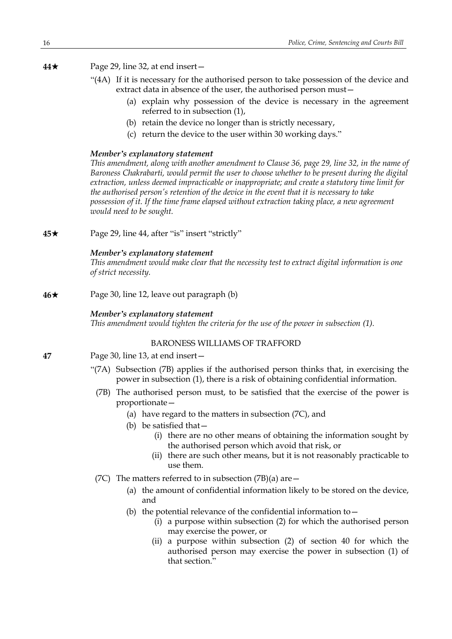**44**★ Page 29, line 32, at end insert—

- "(4A) If it is necessary for the authorised person to take possession of the device and extract data in absence of the user, the authorised person must—
	- (a) explain why possession of the device is necessary in the agreement referred to in subsection (1),
	- (b) retain the device no longer than is strictly necessary,
	- (c) return the device to the user within 30 working days."

# *Member's explanatory statement*

*This amendment, along with another amendment to Clause 36, page 29, line 32, in the name of Baroness Chakrabarti, would permit the user to choose whether to be present during the digital extraction, unless deemed impracticable or inappropriate; and create a statutory time limit for the authorised person's retention of the device in the event that it is necessary to take possession of it. If the time frame elapsed without extraction taking place, a new agreement would need to be sought.*

**45**★ Page 29, line 44, after "is" insert "strictly"

# *Member's explanatory statement*

*This amendment would make clear that the necessity test to extract digital information is one of strict necessity.*

**46**★ Page 30, line 12, leave out paragraph (b)

# *Member's explanatory statement*

*This amendment would tighten the criteria for the use of the power in subsection (1).*

# BARONESS WILLIAMS OF TRAFFORD

- **47** Page 30, line 13, at end insert—
	- "(7A) Subsection (7B) applies if the authorised person thinks that, in exercising the power in subsection (1), there is a risk of obtaining confidential information.
	- (7B) The authorised person must, to be satisfied that the exercise of the power is proportionate—
		- (a) have regard to the matters in subsection (7C), and
		- (b) be satisfied that—
			- (i) there are no other means of obtaining the information sought by the authorised person which avoid that risk, or
			- (ii) there are such other means, but it is not reasonably practicable to use them.
	- (7C) The matters referred to in subsection  $(7B)(a)$  are  $-$ 
		- (a) the amount of confidential information likely to be stored on the device, and
		- (b) the potential relevance of the confidential information to  $-$ 
			- (i) a purpose within subsection (2) for which the authorised person may exercise the power, or
			- (ii) a purpose within subsection (2) of section 40 for which the authorised person may exercise the power in subsection (1) of that section."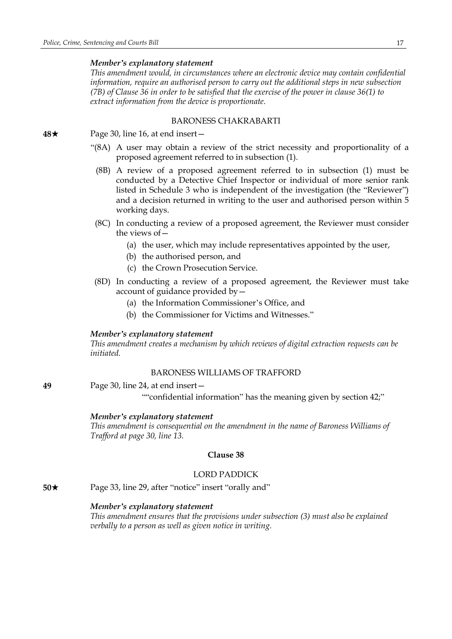*This amendment would, in circumstances where an electronic device may contain confidential information, require an authorised person to carry out the additional steps in new subsection* (7B) of Clause 36 in order to be satisfied that the exercise of the power in clause 36(1) to *extract information from the device is proportionate.*

## BARONESS CHAKRABARTI

**48**★ Page 30, line 16, at end insert —

- "(8A) A user may obtain a review of the strict necessity and proportionality of a proposed agreement referred to in subsection (1).
	- (8B) A review of a proposed agreement referred to in subsection (1) must be conducted by a Detective Chief Inspector or individual of more senior rank listed in Schedule 3 who is independent of the investigation (the "Reviewer") and a decision returned in writing to the user and authorised person within 5 working days.
- (8C) In conducting a review of a proposed agreement, the Reviewer must consider the views of—
	- (a) the user, which may include representatives appointed by the user,
	- (b) the authorised person, and
	- (c) the Crown Prosecution Service.
- (8D) In conducting a review of a proposed agreement, the Reviewer must take account of guidance provided by—
	- (a) the Information Commissioner's Office, and
	- (b) the Commissioner for Victims and Witnesses."

#### *Member's explanatory statement*

*This amendment creates a mechanism by which reviews of digital extraction requests can be initiated.*

#### BARONESS WILLIAMS OF TRAFFORD

**49** Page 30, line 24, at end insert—

""confidential information" has the meaning given by section 42;"

#### *Member's explanatory statement*

*This amendment is consequential on the amendment in the name of Baroness Williams of Trafford at page 30, line 13.*

## **Clause 38**

## LORD PADDICK

**50**★ Page 33, line 29, after "notice" insert "orally and"

#### *Member's explanatory statement*

*This amendment ensures that the provisions under subsection (3) must also be explained verbally to a person as well as given notice in writing.*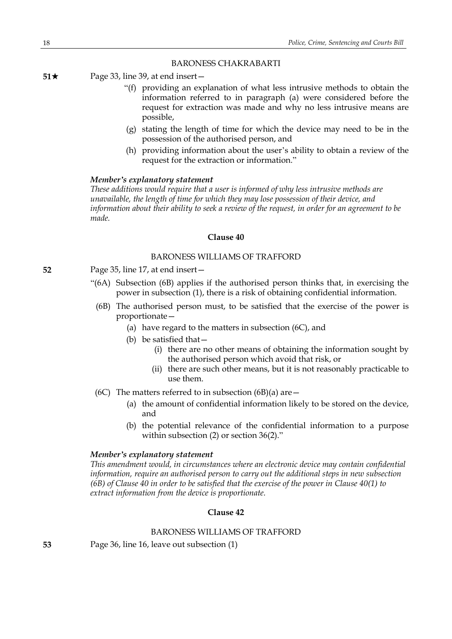## BARONESS CHAKRABARTI

**51**★ Page 33, line 39, at end insert —

- "(f) providing an explanation of what less intrusive methods to obtain the information referred to in paragraph (a) were considered before the request for extraction was made and why no less intrusive means are possible,
- (g) stating the length of time for which the device may need to be in the possession of the authorised person, and
- (h) providing information about the user's ability to obtain a review of the request for the extraction or information."

## *Member's explanatory statement*

*These additions would require that a user is informed of why less intrusive methods are unavailable, the length of time for which they may lose possession of their device, and information about their ability to seek a review of the request, in order for an agreement to be made.*

## **Clause 40**

# BARONESS WILLIAMS OF TRAFFORD

- **52** Page 35, line 17, at end insert—
	- "(6A) Subsection (6B) applies if the authorised person thinks that, in exercising the power in subsection (1), there is a risk of obtaining confidential information.
	- (6B) The authorised person must, to be satisfied that the exercise of the power is proportionate—
		- (a) have regard to the matters in subsection (6C), and
		- (b) be satisfied that—
			- (i) there are no other means of obtaining the information sought by the authorised person which avoid that risk, or
			- (ii) there are such other means, but it is not reasonably practicable to use them.
	- (6C) The matters referred to in subsection (6B)(a) are  $-$ 
		- (a) the amount of confidential information likely to be stored on the device, and
		- (b) the potential relevance of the confidential information to a purpose within subsection (2) or section 36(2)."

#### *Member's explanatory statement*

*This amendment would, in circumstances where an electronic device may contain confidential information, require an authorised person to carry out the additional steps in new subsection*  $(6B)$  of Clause 40 in order to be satisfied that the exercise of the power in Clause 40(1) to *extract information from the device is proportionate.*

# **Clause 42**

## BARONESS WILLIAMS OF TRAFFORD

**53** Page 36, line 16, leave out subsection (1)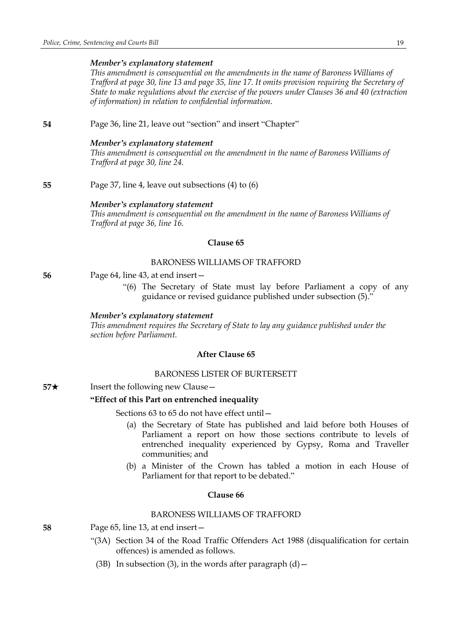*This amendment is consequential on the amendments in the name of Baroness Williams of Trafford at page 30, line 13 and page 35, line 17. It omits provision requiring the Secretary of State to make regulations about the exercise of the powers under Clauses 36 and 40 (extraction of information) in relation to confidential information.*

**54** Page 36, line 21, leave out "section" and insert "Chapter"

#### *Member's explanatory statement*

*This amendment is consequential on the amendment in the name of Baroness Williams of Trafford at page 30, line 24.*

**55** Page 37, line 4, leave out subsections (4) to (6)

#### *Member's explanatory statement*

*This amendment is consequential on the amendment in the name of Baroness Williams of Trafford at page 36, line 16.*

#### **Clause 65**

## BARONESS WILLIAMS OF TRAFFORD

- **56** Page 64, line 43, at end insert—
	- "(6) The Secretary of State must lay before Parliament a copy of any guidance or revised guidance published under subsection (5)."

#### *Member's explanatory statement*

*This amendment requires the Secretary of State to lay any guidance published under the section before Parliament.*

# **After Clause 65**

## BARONESS LISTER OF BURTERSETT

**57**★ Insert the following new Clause

#### **"Effect of this Part on entrenched inequality**

Sections 63 to 65 do not have effect until—

- (a) the Secretary of State has published and laid before both Houses of Parliament a report on how those sections contribute to levels of entrenched inequality experienced by Gypsy, Roma and Traveller communities; and
- (b) a Minister of the Crown has tabled a motion in each House of Parliament for that report to be debated."

## **Clause 66**

## BARONESS WILLIAMS OF TRAFFORD

- **58** Page 65, line 13, at end insert—
	- "(3A) Section 34 of the Road Traffic Offenders Act 1988 (disqualification for certain offences) is amended as follows.
		- (3B) In subsection (3), in the words after paragraph  $(d)$  -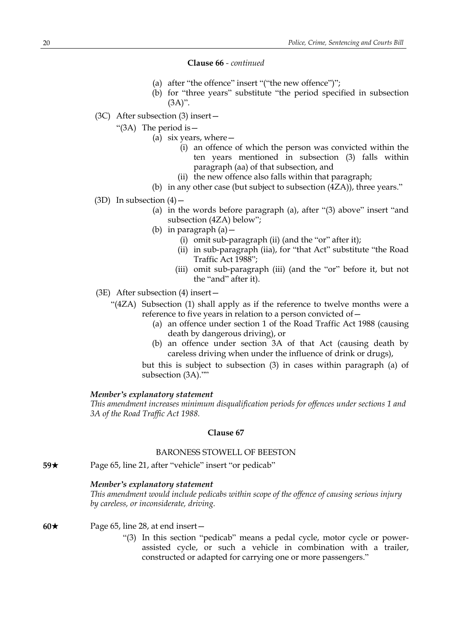#### **Clause 66** *- continued*

- (a) after "the offence" insert "("the new offence")";
- (b) for "three years" substitute "the period specified in subsection  $(3A)$ ".
- (3C) After subsection (3) insert—
	- "(3A) The period is—
		- (a) six years, where—
			- (i) an offence of which the person was convicted within the ten years mentioned in subsection (3) falls within paragraph (aa) of that subsection, and
			- (ii) the new offence also falls within that paragraph;
		- (b) in any other case (but subject to subsection (4ZA)), three years."
- (3D) In subsection  $(4)$ 
	- (a) in the words before paragraph (a), after "(3) above" insert "and subsection (4ZA) below";
	- (b) in paragraph (a)—
		- (i) omit sub-paragraph (ii) (and the "or" after it);
		- (ii) in sub-paragraph (iia), for "that Act" substitute "the Road Traffic Act 1988";
		- (iii) omit sub-paragraph (iii) (and the "or" before it, but not the "and" after it).
- (3E) After subsection (4) insert—
	- "(4ZA) Subsection (1) shall apply as if the reference to twelve months were a reference to five years in relation to a person convicted of—
		- (a) an offence under section 1 of the Road Traffic Act 1988 (causing death by dangerous driving), or
		- (b) an offence under section 3A of that Act (causing death by careless driving when under the influence of drink or drugs),

but this is subject to subsection (3) in cases within paragraph (a) of subsection (3A).""

#### *Member's explanatory statement*

*This amendment increases minimum disqualification periods for offences under sections 1 and 3A of the Road Traffic Act 1988.*

## **Clause 67**

#### BARONESS STOWELL OF BEESTON

**59**★ Page 65, line 21, after "vehicle" insert "or pedicab"

### *Member's explanatory statement*

*This amendment would include pedicabs within scope of the offence of causing serious injury by careless, or inconsiderate, driving.*

## **60**\* Page 65, line 28, at end insert—

"(3) In this section "pedicab" means a pedal cycle, motor cycle or powerassisted cycle, or such a vehicle in combination with a trailer, constructed or adapted for carrying one or more passengers."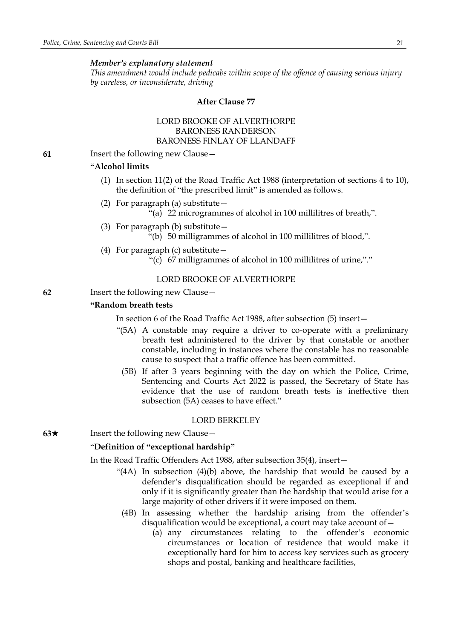*This amendment would include pedicabs within scope of the offence of causing serious injury by careless, or inconsiderate, driving*

## **After Clause 77**

## LORD BROOKE OF ALVERTHORPE BARONESS RANDERSON BARONESS FINLAY OF LLANDAFF

**61** Insert the following new Clause—

#### **"Alcohol limits**

- (1) In section 11(2) of the Road Traffic Act 1988 (interpretation of sections 4 to 10), the definition of "the prescribed limit" is amended as follows.
- (2) For paragraph (a) substitute—
	- "(a) 22 microgrammes of alcohol in 100 millilitres of breath,".
- (3) For paragraph (b) substitute— "(b) 50 milligrammes of alcohol in 100 millilitres of blood,".
- (4) For paragraph (c) substitute—
	- "(c) 67 milligrammes of alcohol in 100 millilitres of urine,"."

## LORD BROOKE OF ALVERTHORPE

**62** Insert the following new Clause—

## **"Random breath tests**

In section 6 of the Road Traffic Act 1988, after subsection (5) insert—

- "(5A) A constable may require a driver to co-operate with a preliminary breath test administered to the driver by that constable or another constable, including in instances where the constable has no reasonable cause to suspect that a traffic offence has been committed.
	- (5B) If after 3 years beginning with the day on which the Police, Crime, Sentencing and Courts Act 2022 is passed, the Secretary of State has evidence that the use of random breath tests is ineffective then subsection (5A) ceases to have effect."

## LORD BERKELEY

**63**★ Insert the following new Clause —

## "**Definition of "exceptional hardship"**

In the Road Traffic Offenders Act 1988, after subsection 35(4), insert—

- "(4A) In subsection (4)(b) above, the hardship that would be caused by a defender's disqualification should be regarded as exceptional if and only if it is significantly greater than the hardship that would arise for a large majority of other drivers if it were imposed on them.
	- (4B) In assessing whether the hardship arising from the offender's disqualification would be exceptional, a court may take account of—
		- (a) any circumstances relating to the offender's economic circumstances or location of residence that would make it exceptionally hard for him to access key services such as grocery shops and postal, banking and healthcare facilities,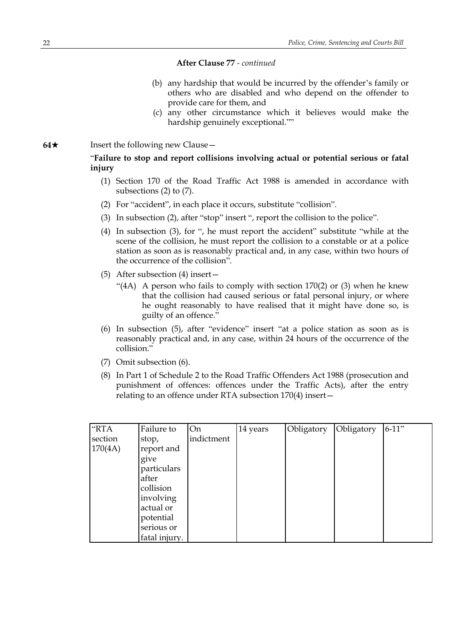- (b) any hardship that would be incurred by the offender's family or others who are disabled and who depend on the offender to provide care for them, and
- (c) any other circumstance which it believes would make the hardship genuinely exceptional.""

#### **64**★ Insert the following new Clause —

"**Failure to stop and report collisions involving actual or potential serious or fatal injury**

- (1) Section 170 of the Road Traffic Act 1988 is amended in accordance with subsections (2) to (7).
- (2) For "accident", in each place it occurs, substitute "collision".
- (3) In subsection (2), after "stop" insert ", report the collision to the police".
- (4) In subsection (3), for ", he must report the accident" substitute "while at the scene of the collision, he must report the collision to a constable or at a police station as soon as is reasonably practical and, in any case, within two hours of the occurrence of the collision".
- (5) After subsection (4) insert—
	- "(4A) A person who fails to comply with section  $170(2)$  or (3) when he knew that the collision had caused serious or fatal personal injury, or where he ought reasonably to have realised that it might have done so, is guilty of an offence."
- (6) In subsection (5), after "evidence" insert "at a police station as soon as is reasonably practical and, in any case, within 24 hours of the occurrence of the collision."
- (7) Omit subsection (6).
- (8) In Part 1 of Schedule 2 to the Road Traffic Offenders Act 1988 (prosecution and punishment of offences: offences under the Traffic Acts), after the entry relating to an offence under RTA subsection 170(4) insert—

| "RTA    | Failure to    | On         | 14 years | Obligatory | Obligatory | $6-11"$ |
|---------|---------------|------------|----------|------------|------------|---------|
| section | stop,         | indictment |          |            |            |         |
| 170(4A) | report and    |            |          |            |            |         |
|         | give          |            |          |            |            |         |
|         | particulars   |            |          |            |            |         |
|         | after         |            |          |            |            |         |
|         | collision     |            |          |            |            |         |
|         | involving     |            |          |            |            |         |
|         | actual or     |            |          |            |            |         |
|         | potential     |            |          |            |            |         |
|         | serious or    |            |          |            |            |         |
|         | fatal injury. |            |          |            |            |         |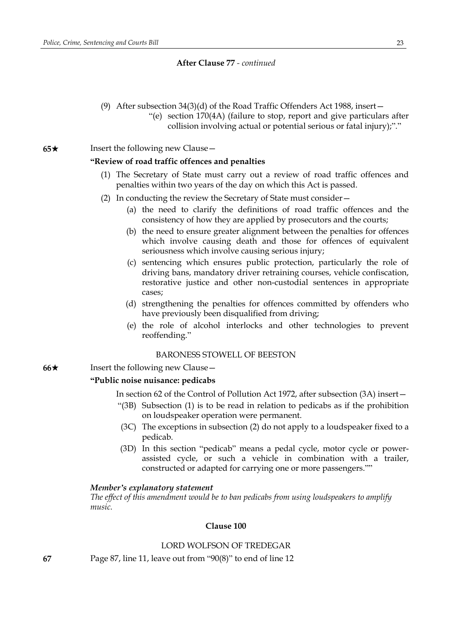(9) After subsection 34(3)(d) of the Road Traffic Offenders Act 1988, insert— "(e) section 170(4A) (failure to stop, report and give particulars after collision involving actual or potential serious or fatal injury);"."

**65**★ Insert the following new Clause

## **"Review of road traffic offences and penalties**

- (1) The Secretary of State must carry out a review of road traffic offences and penalties within two years of the day on which this Act is passed.
- (2) In conducting the review the Secretary of State must consider—
	- (a) the need to clarify the definitions of road traffic offences and the consistency of how they are applied by prosecutors and the courts;
	- (b) the need to ensure greater alignment between the penalties for offences which involve causing death and those for offences of equivalent seriousness which involve causing serious injury;
	- (c) sentencing which ensures public protection, particularly the role of driving bans, mandatory driver retraining courses, vehicle confiscation, restorative justice and other non-custodial sentences in appropriate cases;
	- (d) strengthening the penalties for offences committed by offenders who have previously been disqualified from driving;
	- (e) the role of alcohol interlocks and other technologies to prevent reoffending."

## BARONESS STOWELL OF BEESTON

**66**★ Insert the following new Clause —

#### **"Public noise nuisance: pedicabs**

In section 62 of the Control of Pollution Act 1972, after subsection (3A) insert—

- "(3B) Subsection (1) is to be read in relation to pedicabs as if the prohibition on loudspeaker operation were permanent.
- (3C) The exceptions in subsection (2) do not apply to a loudspeaker fixed to a pedicab.
- (3D) In this section "pedicab" means a pedal cycle, motor cycle or powerassisted cycle, or such a vehicle in combination with a trailer, constructed or adapted for carrying one or more passengers.""

#### *Member's explanatory statement*

*The effect of this amendment would be to ban pedicabs from using loudspeakers to amplify music.*

## **Clause 100**

## LORD WOLFSON OF TREDEGAR

**67** Page 87, line 11, leave out from "90(8)" to end of line 12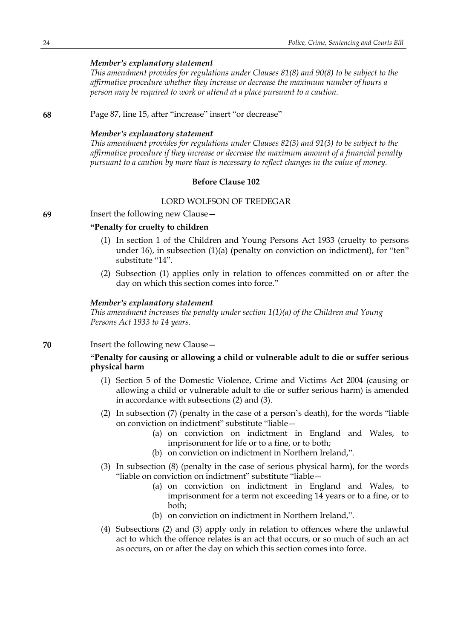*This amendment provides for regulations under Clauses 81(8) and 90(8) to be subject to the affirmative procedure whether they increase or decrease the maximum number of hours a person may be required to work or attend at a place pursuant to a caution.*

**68** Page 87, line 15, after "increase" insert "or decrease"

#### *Member's explanatory statement*

*This amendment provides for regulations under Clauses 82(3) and 91(3) to be subject to the affirmative procedure if they increase or decrease the maximum amount of a financial penalty pursuant to a caution by more than is necessary to reflect changes in the value of money.*

## **Before Clause 102**

#### LORD WOLFSON OF TREDEGAR

**69** Insert the following new Clause—

## **"Penalty for cruelty to children**

- (1) In section 1 of the Children and Young Persons Act 1933 (cruelty to persons under 16), in subsection (1)(a) (penalty on conviction on indictment), for "ten" substitute "14".
- (2) Subsection (1) applies only in relation to offences committed on or after the day on which this section comes into force."

#### *Member's explanatory statement*

*This amendment increases the penalty under section 1(1)(a) of the Children and Young Persons Act 1933 to 14 years.*

**70** Insert the following new Clause—

## **"Penalty for causing or allowing a child or vulnerable adult to die or suffer serious physical harm**

- (1) Section 5 of the Domestic Violence, Crime and Victims Act 2004 (causing or allowing a child or vulnerable adult to die or suffer serious harm) is amended in accordance with subsections (2) and (3).
- (2) In subsection (7) (penalty in the case of a person's death), for the words "liable on conviction on indictment" substitute "liable—
	- (a) on conviction on indictment in England and Wales, to imprisonment for life or to a fine, or to both;
	- (b) on conviction on indictment in Northern Ireland,".
- (3) In subsection (8) (penalty in the case of serious physical harm), for the words "liable on conviction on indictment" substitute "liable—
	- (a) on conviction on indictment in England and Wales, to imprisonment for a term not exceeding 14 years or to a fine, or to both;
	- (b) on conviction on indictment in Northern Ireland,".
- (4) Subsections (2) and (3) apply only in relation to offences where the unlawful act to which the offence relates is an act that occurs, or so much of such an act as occurs, on or after the day on which this section comes into force.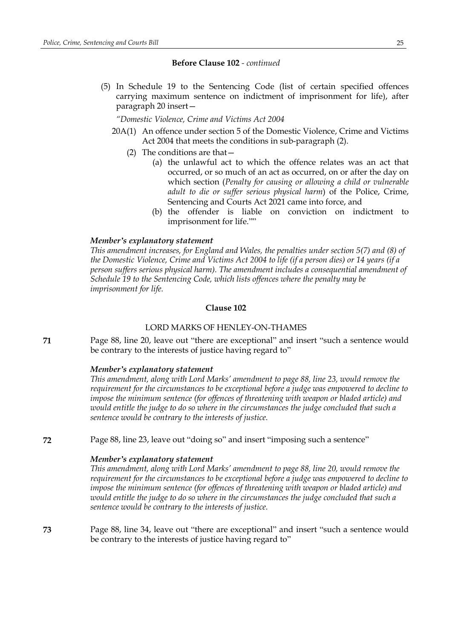## **Before Clause 102** *- continued*

(5) In Schedule 19 to the Sentencing Code (list of certain specified offences carrying maximum sentence on indictment of imprisonment for life), after paragraph 20 insert—

*"Domestic Violence, Crime and Victims Act 2004*

- 20A(1) An offence under section 5 of the Domestic Violence, Crime and Victims Act 2004 that meets the conditions in sub-paragraph (2).
	- (2) The conditions are that—
		- (a) the unlawful act to which the offence relates was an act that occurred, or so much of an act as occurred, on or after the day on which section (*Penalty for causing or allowing a child or vulnerable adult to die or suffer serious physical harm*) of the Police, Crime, Sentencing and Courts Act 2021 came into force, and
		- (b) the offender is liable on conviction on indictment to imprisonment for life.""

## *Member's explanatory statement*

*This amendment increases, for England and Wales, the penalties under section 5(7) and (8) of* the Domestic Violence, Crime and Victims Act 2004 to life (if a person dies) or 14 years (if a *person suffers serious physical harm). The amendment includes a consequential amendment of Schedule 19 to the Sentencing Code, which lists offences where the penalty may be imprisonment for life.*

## **Clause 102**

## LORD MARKS OF HENLEY-ON-THAMES

**71** Page 88, line 20, leave out "there are exceptional" and insert "such a sentence would be contrary to the interests of justice having regard to"

#### *Member's explanatory statement*

*This amendment, along with Lord Marks' amendment to page 88, line 23, would remove the requirement for the circumstances to be exceptional before a judge was empowered to decline to impose the minimum sentence (for offences of threatening with weapon or bladed article) and would entitle the judge to do so where in the circumstances the judge concluded that such a sentence would be contrary to the interests of justice.*

**72** Page 88, line 23, leave out "doing so" and insert "imposing such a sentence"

#### *Member's explanatory statement*

*This amendment, along with Lord Marks' amendment to page 88, line 20, would remove the requirement for the circumstances to be exceptional before a judge was empowered to decline to impose the minimum sentence (for offences of threatening with weapon or bladed article) and would entitle the judge to do so where in the circumstances the judge concluded that such a sentence would be contrary to the interests of justice.*

**73** Page 88, line 34, leave out "there are exceptional" and insert "such a sentence would be contrary to the interests of justice having regard to"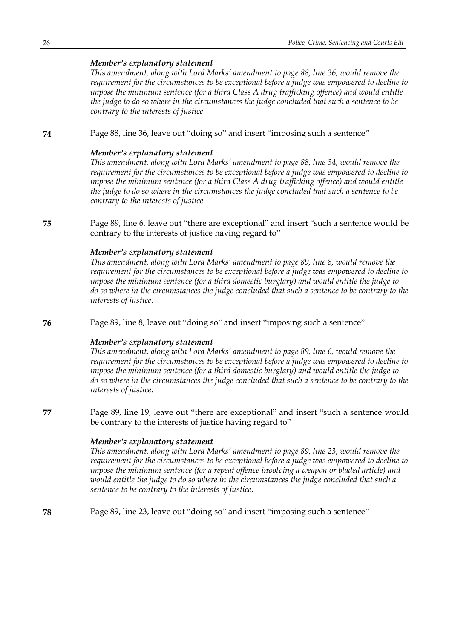*This amendment, along with Lord Marks' amendment to page 88, line 36, would remove the requirement for the circumstances to be exceptional before a judge was empowered to decline to impose the minimum sentence (for a third Class A drug trafficking offence) and would entitle the judge to do so where in the circumstances the judge concluded that such a sentence to be contrary to the interests of justice.*

**74** Page 88, line 36, leave out "doing so" and insert "imposing such a sentence"

#### *Member's explanatory statement*

*This amendment, along with Lord Marks' amendment to page 88, line 34, would remove the requirement for the circumstances to be exceptional before a judge was empowered to decline to impose the minimum sentence (for a third Class A drug trafficking offence) and would entitle the judge to do so where in the circumstances the judge concluded that such a sentence to be contrary to the interests of justice.*

**75** Page 89, line 6, leave out "there are exceptional" and insert "such a sentence would be contrary to the interests of justice having regard to"

## *Member's explanatory statement*

*This amendment, along with Lord Marks' amendment to page 89, line 8, would remove the requirement for the circumstances to be exceptional before a judge was empowered to decline to impose the minimum sentence (for a third domestic burglary) and would entitle the judge to do so where in the circumstances the judge concluded that such a sentence to be contrary to the interests of justice.*

**76** Page 89, line 8, leave out "doing so" and insert "imposing such a sentence"

#### *Member's explanatory statement*

*This amendment, along with Lord Marks' amendment to page 89, line 6, would remove the requirement for the circumstances to be exceptional before a judge was empowered to decline to impose the minimum sentence (for a third domestic burglary) and would entitle the judge to do so where in the circumstances the judge concluded that such a sentence to be contrary to the interests of justice.*

**77** Page 89, line 19, leave out "there are exceptional" and insert "such a sentence would be contrary to the interests of justice having regard to"

#### *Member's explanatory statement*

*This amendment, along with Lord Marks' amendment to page 89, line 23, would remove the requirement for the circumstances to be exceptional before a judge was empowered to decline to impose the minimum sentence (for a repeat offence involving a weapon or bladed article) and would entitle the judge to do so where in the circumstances the judge concluded that such a sentence to be contrary to the interests of justice.*

**78** Page 89, line 23, leave out "doing so" and insert "imposing such a sentence"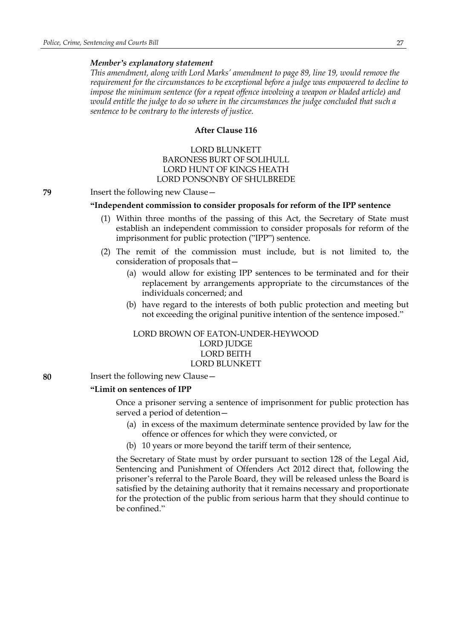*This amendment, along with Lord Marks' amendment to page 89, line 19, would remove the requirement for the circumstances to be exceptional before a judge was empowered to decline to impose the minimum sentence (for a repeat offence involving a weapon or bladed article) and would entitle the judge to do so where in the circumstances the judge concluded that such a sentence to be contrary to the interests of justice.*

## **After Clause 116**

# LORD BLUNKETT BARONESS BURT OF SOLIHULL LORD HUNT OF KINGS HEATH LORD PONSONBY OF SHULBREDE

**79** Insert the following new Clause—

## **"Independent commission to consider proposals for reform of the IPP sentence**

- (1) Within three months of the passing of this Act, the Secretary of State must establish an independent commission to consider proposals for reform of the imprisonment for public protection ("IPP") sentence.
- (2) The remit of the commission must include, but is not limited to, the consideration of proposals that—
	- (a) would allow for existing IPP sentences to be terminated and for their replacement by arrangements appropriate to the circumstances of the individuals concerned; and
	- (b) have regard to the interests of both public protection and meeting but not exceeding the original punitive intention of the sentence imposed."

## LORD BROWN OF EATON-UNDER-HEYWOOD LORD JUDGE LORD BEITH LORD BLUNKETT

**80** Insert the following new Clause—

#### **"Limit on sentences of IPP**

Once a prisoner serving a sentence of imprisonment for public protection has served a period of detention—

- (a) in excess of the maximum determinate sentence provided by law for the offence or offences for which they were convicted, or
- (b) 10 years or more beyond the tariff term of their sentence,

the Secretary of State must by order pursuant to section 128 of the Legal Aid, Sentencing and Punishment of Offenders Act 2012 direct that, following the prisoner's referral to the Parole Board, they will be released unless the Board is satisfied by the detaining authority that it remains necessary and proportionate for the protection of the public from serious harm that they should continue to be confined."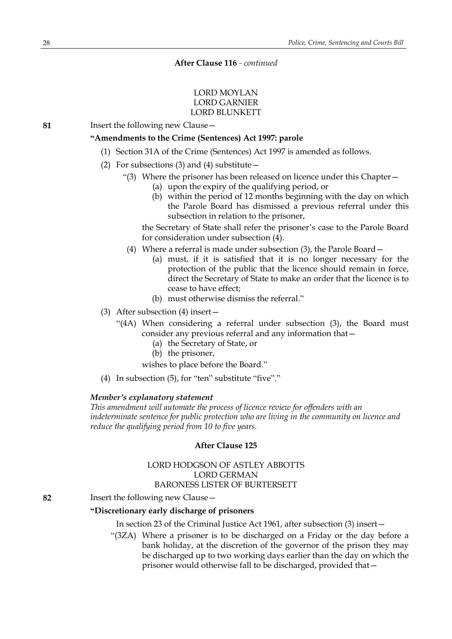# LORD MOYLAN LORD GARNIER LORD BLUNKETT

**81** Insert the following new Clause—

## **"Amendments to the Crime (Sentences) Act 1997: parole**

- (1) Section 31A of the Crime (Sentences) Act 1997 is amended as follows.
- (2) For subsections (3) and (4) substitute  $-$ 
	- "(3) Where the prisoner has been released on licence under this Chapter—
		- (a) upon the expiry of the qualifying period, or
		- (b) within the period of 12 months beginning with the day on which the Parole Board has dismissed a previous referral under this subsection in relation to the prisoner,

the Secretary of State shall refer the prisoner's case to the Parole Board for consideration under subsection (4).

- (4) Where a referral is made under subsection (3), the Parole Board—
	- (a) must, if it is satisfied that it is no longer necessary for the protection of the public that the licence should remain in force, direct the Secretary of State to make an order that the licence is to cease to have effect;
	- (b) must otherwise dismiss the referral."
- (3) After subsection (4) insert—
	- "(4A) When considering a referral under subsection (3), the Board must consider any previous referral and any information that—
		- (a) the Secretary of State, or
		- (b) the prisoner,

wishes to place before the Board."

(4) In subsection (5), for "ten" substitute "five"."

## *Member's explanatory statement*

*This amendment will automate the process of licence review for offenders with an indeterminate sentence for public protection who are living in the community on licence and reduce the qualifying period from 10 to five years.*

# **After Clause 125**

## LORD HODGSON OF ASTLEY ABBOTTS LORD GERMAN BARONESS LISTER OF BURTERSETT

**82** Insert the following new Clause—

## **"Discretionary early discharge of prisoners**

In section 23 of the Criminal Justice Act 1961, after subsection (3) insert—

"(3ZA) Where a prisoner is to be discharged on a Friday or the day before a bank holiday, at the discretion of the governor of the prison they may be discharged up to two working days earlier than the day on which the prisoner would otherwise fall to be discharged, provided that—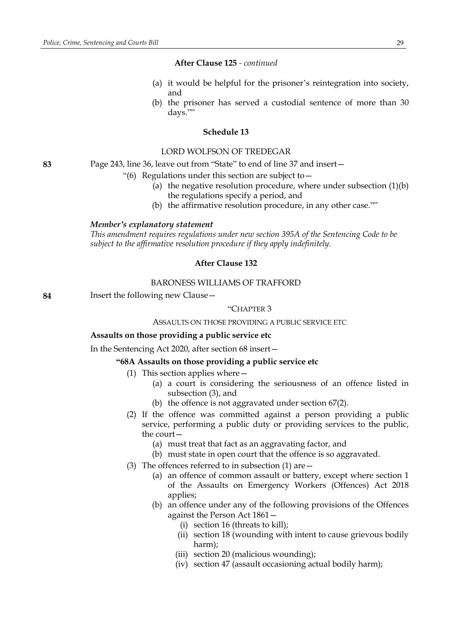- (a) it would be helpful for the prisoner's reintegration into society, and
- (b) the prisoner has served a custodial sentence of more than 30 days.""

#### **Schedule 13**

#### LORD WOLFSON OF TREDEGAR

**83** Page 243, line 36, leave out from "State" to end of line 37 and insert—

- "(6) Regulations under this section are subject to  $-$ 
	- (a) the negative resolution procedure, where under subsection  $(1)(b)$ the regulations specify a period, and
	- (b) the affirmative resolution procedure, in any other case.""

#### *Member's explanatory statement*

*This amendment requires regulations under new section 395A of the Sentencing Code to be subject to the affirmative resolution procedure if they apply indefinitely.*

## **After Clause 132**

# BARONESS WILLIAMS OF TRAFFORD

**84** Insert the following new Clause—

## "CHAPTER 3

## ASSAULTS ON THOSE PROVIDING A PUBLIC SERVICE ETC

#### **Assaults on those providing a public service etc**

In the Sentencing Act 2020, after section 68 insert—

**"68A Assaults on those providing a public service etc**

- (1) This section applies where—
	- (a) a court is considering the seriousness of an offence listed in subsection (3), and
	- (b) the offence is not aggravated under section 67(2).
- (2) If the offence was committed against a person providing a public service, performing a public duty or providing services to the public, the court—
	- (a) must treat that fact as an aggravating factor, and
	- (b) must state in open court that the offence is so aggravated.
- (3) The offences referred to in subsection  $(1)$  are  $-$ 
	- (a) an offence of common assault or battery, except where section 1 of the Assaults on Emergency Workers (Offences) Act 2018 applies;
	- (b) an offence under any of the following provisions of the Offences against the Person Act 1861—
		- (i) section 16 (threats to kill);
		- (ii) section 18 (wounding with intent to cause grievous bodily harm);
		- (iii) section 20 (malicious wounding);
		- (iv) section 47 (assault occasioning actual bodily harm);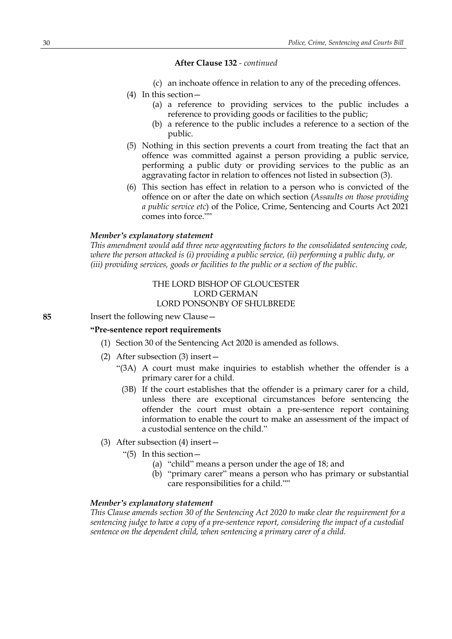- (c) an inchoate offence in relation to any of the preceding offences.
- (4) In this section—
	- (a) a reference to providing services to the public includes a reference to providing goods or facilities to the public;
	- (b) a reference to the public includes a reference to a section of the public.
- (5) Nothing in this section prevents a court from treating the fact that an offence was committed against a person providing a public service, performing a public duty or providing services to the public as an aggravating factor in relation to offences not listed in subsection (3).
- (6) This section has effect in relation to a person who is convicted of the offence on or after the date on which section (*Assaults on those providing a public service etc*) of the Police, Crime, Sentencing and Courts Act 2021 comes into force.""

## *Member's explanatory statement*

*This amendment would add three new aggravating factors to the consolidated sentencing code, where the person attacked is (i) providing a public service, (ii) performing a public duty, or (iii) providing services, goods or facilities to the public or a section of the public.*

# THE LORD BISHOP OF GLOUCESTER LORD GERMAN LORD PONSONBY OF SHULBREDE

## **85** Insert the following new Clause—

## **"Pre-sentence report requirements**

- (1) Section 30 of the Sentencing Act 2020 is amended as follows.
- (2) After subsection (3) insert—
	- "(3A) A court must make inquiries to establish whether the offender is a primary carer for a child.
		- (3B) If the court establishes that the offender is a primary carer for a child, unless there are exceptional circumstances before sentencing the offender the court must obtain a pre-sentence report containing information to enable the court to make an assessment of the impact of a custodial sentence on the child."
- (3) After subsection (4) insert—
	- "(5) In this section $-$ 
		- (a) "child" means a person under the age of 18; and
		- (b) "primary carer" means a person who has primary or substantial care responsibilities for a child.""

# *Member's explanatory statement*

*This Clause amends section 30 of the Sentencing Act 2020 to make clear the requirement for a sentencing judge to have a copy of a pre-sentence report, considering the impact of a custodial sentence on the dependent child, when sentencing a primary carer of a child.*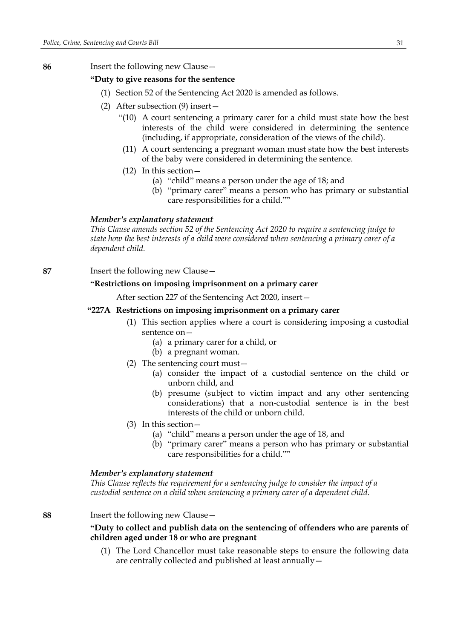## **86** Insert the following new Clause—

## **"Duty to give reasons for the sentence**

- (1) Section 52 of the Sentencing Act 2020 is amended as follows.
- (2) After subsection (9) insert—
	- "(10) A court sentencing a primary carer for a child must state how the best interests of the child were considered in determining the sentence (including, if appropriate, consideration of the views of the child).
	- (11) A court sentencing a pregnant woman must state how the best interests of the baby were considered in determining the sentence.
	- (12) In this section—
		- (a) "child" means a person under the age of 18; and
		- (b) "primary carer" means a person who has primary or substantial care responsibilities for a child.""

#### *Member's explanatory statement*

*This Clause amends section 52 of the Sentencing Act 2020 to require a sentencing judge to state how the best interests of a child were considered when sentencing a primary carer of a dependent child.*

**87** Insert the following new Clause—

## **"Restrictions on imposing imprisonment on a primary carer**

After section 227 of the Sentencing Act 2020, insert—

## **"227A Restrictions on imposing imprisonment on a primary carer**

- (1) This section applies where a court is considering imposing a custodial sentence on—
	- (a) a primary carer for a child, or
	- (b) a pregnant woman.
- (2) The sentencing court must—
	- (a) consider the impact of a custodial sentence on the child or unborn child, and
	- (b) presume (subject to victim impact and any other sentencing considerations) that a non-custodial sentence is in the best interests of the child or unborn child.
- (3) In this section—
	- (a) "child" means a person under the age of 18, and
	- (b) "primary carer" means a person who has primary or substantial care responsibilities for a child.""

#### *Member's explanatory statement*

*This Clause reflects the requirement for a sentencing judge to consider the impact of a custodial sentence on a child when sentencing a primary carer of a dependent child.*

#### **88** Insert the following new Clause—

## **"Duty to collect and publish data on the sentencing of offenders who are parents of children aged under 18 or who are pregnant**

(1) The Lord Chancellor must take reasonable steps to ensure the following data are centrally collected and published at least annually—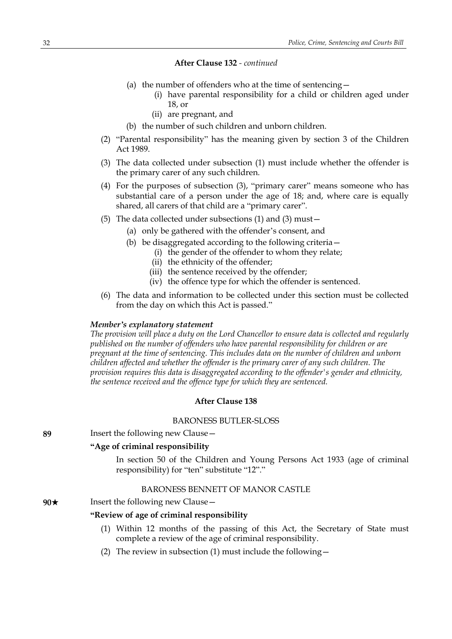- (a) the number of offenders who at the time of sentencing—
	- (i) have parental responsibility for a child or children aged under 18, or
	- (ii) are pregnant, and
- (b) the number of such children and unborn children.
- (2) "Parental responsibility" has the meaning given by section 3 of the Children Act 1989.
- (3) The data collected under subsection (1) must include whether the offender is the primary carer of any such children.
- (4) For the purposes of subsection (3), "primary carer" means someone who has substantial care of a person under the age of 18; and, where care is equally shared, all carers of that child are a "primary carer".
- (5) The data collected under subsections (1) and (3) must—
	- (a) only be gathered with the offender's consent, and
	- (b) be disaggregated according to the following criteria—
		- (i) the gender of the offender to whom they relate;
		- (ii) the ethnicity of the offender;
		- (iii) the sentence received by the offender;
		- (iv) the offence type for which the offender is sentenced.
- (6) The data and information to be collected under this section must be collected from the day on which this Act is passed."

#### *Member's explanatory statement*

*The provision will place a duty on the Lord Chancellor to ensure data is collected and regularly published on the number of offenders who have parental responsibility for children or are pregnant at the time of sentencing. This includes data on the number of children and unborn children affected and whether the offender is the primary carer of any such children. The provision requires this data is disaggregated according to the offender's gender and ethnicity, the sentence received and the offence type for which they are sentenced.*

## **After Clause 138**

## BARONESS BUTLER-SLOSS

**89** Insert the following new Clause—

## **"Age of criminal responsibility**

In section 50 of the Children and Young Persons Act 1933 (age of criminal responsibility) for "ten" substitute "12"."

#### BARONESS BENNETT OF MANOR CASTLE

## **90**★ Insert the following new Clause —

#### **"Review of age of criminal responsibility**

- (1) Within 12 months of the passing of this Act, the Secretary of State must complete a review of the age of criminal responsibility.
- (2) The review in subsection (1) must include the following—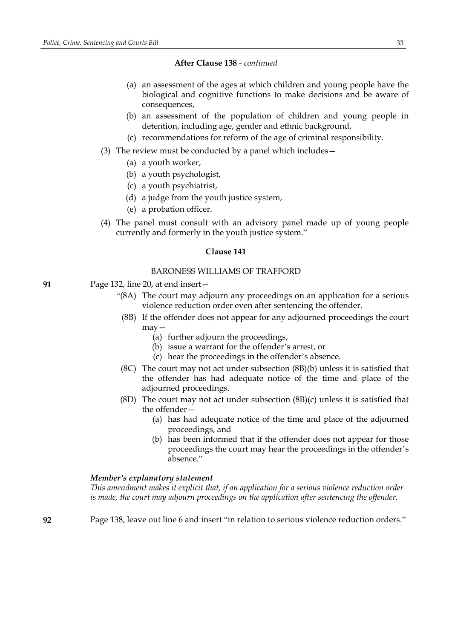- (a) an assessment of the ages at which children and young people have the biological and cognitive functions to make decisions and be aware of consequences,
- (b) an assessment of the population of children and young people in detention, including age, gender and ethnic background,
- (c) recommendations for reform of the age of criminal responsibility.
- (3) The review must be conducted by a panel which includes—
	- (a) a youth worker,
	- (b) a youth psychologist,
	- (c) a youth psychiatrist,
	- (d) a judge from the youth justice system,
	- (e) a probation officer.
- (4) The panel must consult with an advisory panel made up of young people currently and formerly in the youth justice system."

#### **Clause 141**

## BARONESS WILLIAMS OF TRAFFORD

- **91** Page 132, line 20, at end insert—
	- "(8A) The court may adjourn any proceedings on an application for a serious violence reduction order even after sentencing the offender.
		- (8B) If the offender does not appear for any adjourned proceedings the court may—
			- (a) further adjourn the proceedings,
			- (b) issue a warrant for the offender's arrest, or
			- (c) hear the proceedings in the offender's absence.
		- (8C) The court may not act under subsection (8B)(b) unless it is satisfied that the offender has had adequate notice of the time and place of the adjourned proceedings.
	- (8D) The court may not act under subsection (8B)(c) unless it is satisfied that the offender—
		- (a) has had adequate notice of the time and place of the adjourned proceedings, and
		- (b) has been informed that if the offender does not appear for those proceedings the court may hear the proceedings in the offender's absence"

## *Member's explanatory statement*

*This amendment makes it explicit that, if an application for a serious violence reduction order is made, the court may adjourn proceedings on the application after sentencing the offender.*

**92** Page 138, leave out line 6 and insert "in relation to serious violence reduction orders."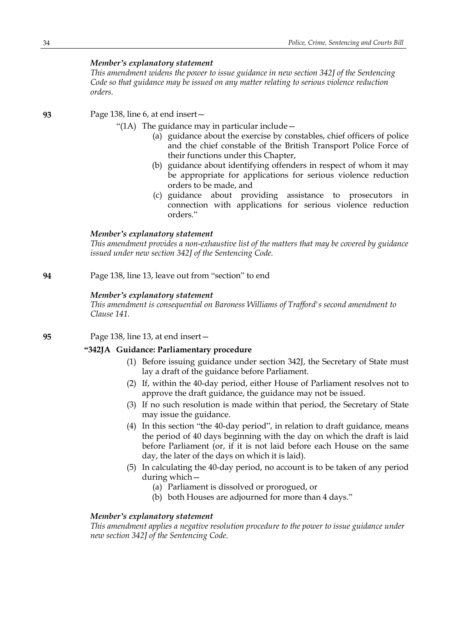*This amendment widens the power to issue guidance in new section 342J of the Sentencing Code so that guidance may be issued on any matter relating to serious violence reduction orders.*

**93** Page 138, line 6, at end insert—

"(1A) The guidance may in particular include—

- (a) guidance about the exercise by constables, chief officers of police and the chief constable of the British Transport Police Force of their functions under this Chapter,
- (b) guidance about identifying offenders in respect of whom it may be appropriate for applications for serious violence reduction orders to be made, and
- (c) guidance about providing assistance to prosecutors in connection with applications for serious violence reduction orders."

## *Member's explanatory statement*

*This amendment provides a non-exhaustive list of the matters that may be covered by guidance issued under new section 342J of the Sentencing Code.*

**94** Page 138, line 13, leave out from "section" to end

## *Member's explanatory statement*

*This amendment is consequential on Baroness Williams of Trafford's second amendment to Clause 141.*

**95** Page 138, line 13, at end insert—

## **"342JA Guidance: Parliamentary procedure**

- (1) Before issuing guidance under section 342J, the Secretary of State must lay a draft of the guidance before Parliament.
- (2) If, within the 40-day period, either House of Parliament resolves not to approve the draft guidance, the guidance may not be issued.
- (3) If no such resolution is made within that period, the Secretary of State may issue the guidance.
- (4) In this section "the 40-day period", in relation to draft guidance, means the period of 40 days beginning with the day on which the draft is laid before Parliament (or, if it is not laid before each House on the same day, the later of the days on which it is laid).
- (5) In calculating the 40-day period, no account is to be taken of any period during which—
	- (a) Parliament is dissolved or prorogued, or
	- (b) both Houses are adjourned for more than 4 days."

## *Member's explanatory statement*

*This amendment applies a negative resolution procedure to the power to issue guidance under new section 342J of the Sentencing Code.*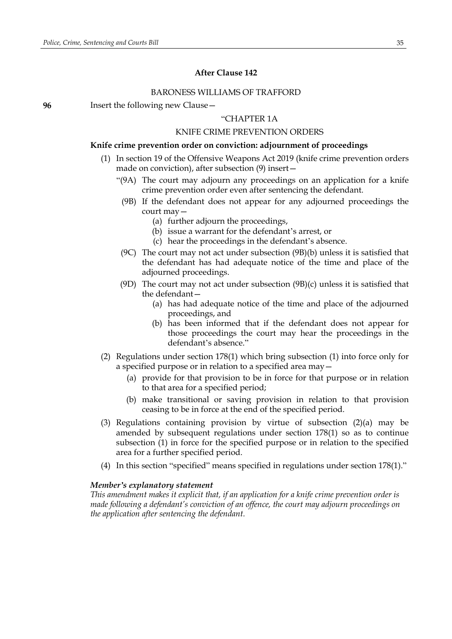# **After Clause 142**

#### BARONESS WILLIAMS OF TRAFFORD

**96** Insert the following new Clause—

# "CHAPTER 1A

#### KNIFE CRIME PREVENTION ORDERS

#### **Knife crime prevention order on conviction: adjournment of proceedings**

- (1) In section 19 of the Offensive Weapons Act 2019 (knife crime prevention orders made on conviction), after subsection (9) insert—
	- "(9A) The court may adjourn any proceedings on an application for a knife crime prevention order even after sentencing the defendant.
	- (9B) If the defendant does not appear for any adjourned proceedings the court may—
		- (a) further adjourn the proceedings,
		- (b) issue a warrant for the defendant's arrest, or
		- (c) hear the proceedings in the defendant's absence.
	- (9C) The court may not act under subsection (9B)(b) unless it is satisfied that the defendant has had adequate notice of the time and place of the adjourned proceedings.
	- (9D) The court may not act under subsection (9B)(c) unless it is satisfied that the defendant—
		- (a) has had adequate notice of the time and place of the adjourned proceedings, and
		- (b) has been informed that if the defendant does not appear for those proceedings the court may hear the proceedings in the defendant's absence."
- (2) Regulations under section 178(1) which bring subsection (1) into force only for a specified purpose or in relation to a specified area may—
	- (a) provide for that provision to be in force for that purpose or in relation to that area for a specified period;
	- (b) make transitional or saving provision in relation to that provision ceasing to be in force at the end of the specified period.
- (3) Regulations containing provision by virtue of subsection (2)(a) may be amended by subsequent regulations under section 178(1) so as to continue subsection (1) in force for the specified purpose or in relation to the specified area for a further specified period.
- (4) In this section "specified" means specified in regulations under section 178(1)."

#### *Member's explanatory statement*

*This amendment makes it explicit that, if an application for a knife crime prevention order is made following a defendant's conviction of an offence, the court may adjourn proceedings on the application after sentencing the defendant.*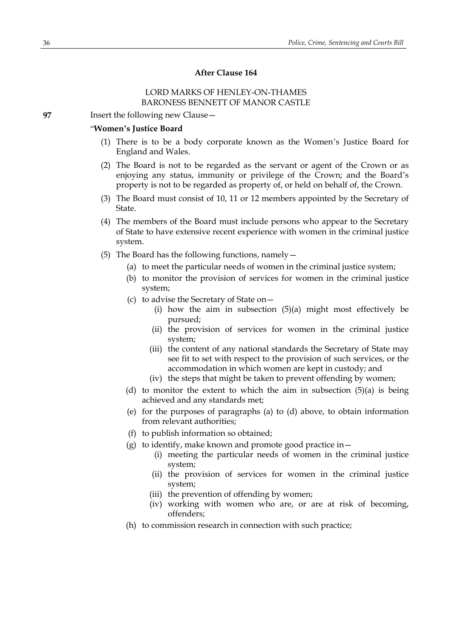# **After Clause 164**

# LORD MARKS OF HENLEY-ON-THAMES BARONESS BENNETT OF MANOR CASTLE

**97** Insert the following new Clause—

## "**Women's Justice Board**

- (1) There is to be a body corporate known as the Women's Justice Board for England and Wales.
- (2) The Board is not to be regarded as the servant or agent of the Crown or as enjoying any status, immunity or privilege of the Crown; and the Board's property is not to be regarded as property of, or held on behalf of, the Crown.
- (3) The Board must consist of 10, 11 or 12 members appointed by the Secretary of State.
- (4) The members of the Board must include persons who appear to the Secretary of State to have extensive recent experience with women in the criminal justice system.
- (5) The Board has the following functions, namely—
	- (a) to meet the particular needs of women in the criminal justice system;
	- (b) to monitor the provision of services for women in the criminal justice system;
	- (c) to advise the Secretary of State on—
		- (i) how the aim in subsection (5)(a) might most effectively be pursued;
		- (ii) the provision of services for women in the criminal justice system;
		- (iii) the content of any national standards the Secretary of State may see fit to set with respect to the provision of such services, or the accommodation in which women are kept in custody; and
		- (iv) the steps that might be taken to prevent offending by women;
	- (d) to monitor the extent to which the aim in subsection (5)(a) is being achieved and any standards met;
	- (e) for the purposes of paragraphs (a) to (d) above, to obtain information from relevant authorities;
	- (f) to publish information so obtained;
	- (g) to identify, make known and promote good practice in  $-$ 
		- (i) meeting the particular needs of women in the criminal justice system;
		- (ii) the provision of services for women in the criminal justice system;
		- (iii) the prevention of offending by women;
		- (iv) working with women who are, or are at risk of becoming, offenders;
	- (h) to commission research in connection with such practice;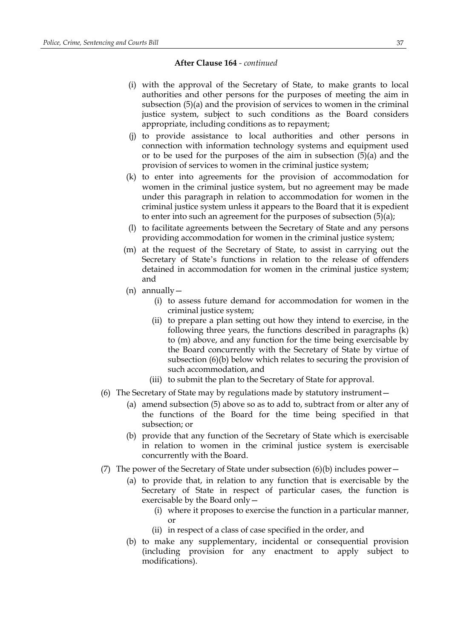- (i) with the approval of the Secretary of State, to make grants to local authorities and other persons for the purposes of meeting the aim in subsection (5)(a) and the provision of services to women in the criminal justice system, subject to such conditions as the Board considers appropriate, including conditions as to repayment;
- (j) to provide assistance to local authorities and other persons in connection with information technology systems and equipment used or to be used for the purposes of the aim in subsection (5)(a) and the provision of services to women in the criminal justice system;
- (k) to enter into agreements for the provision of accommodation for women in the criminal justice system, but no agreement may be made under this paragraph in relation to accommodation for women in the criminal justice system unless it appears to the Board that it is expedient to enter into such an agreement for the purposes of subsection (5)(a);
- (l) to facilitate agreements between the Secretary of State and any persons providing accommodation for women in the criminal justice system;
- (m) at the request of the Secretary of State, to assist in carrying out the Secretary of State's functions in relation to the release of offenders detained in accommodation for women in the criminal justice system; and
- (n) annually—
	- (i) to assess future demand for accommodation for women in the criminal justice system;
	- (ii) to prepare a plan setting out how they intend to exercise, in the following three years, the functions described in paragraphs (k) to (m) above, and any function for the time being exercisable by the Board concurrently with the Secretary of State by virtue of subsection (6)(b) below which relates to securing the provision of such accommodation, and
	- (iii) to submit the plan to the Secretary of State for approval.
- (6) The Secretary of State may by regulations made by statutory instrument—
	- (a) amend subsection (5) above so as to add to, subtract from or alter any of the functions of the Board for the time being specified in that subsection; or
	- (b) provide that any function of the Secretary of State which is exercisable in relation to women in the criminal justice system is exercisable concurrently with the Board.
- (7) The power of the Secretary of State under subsection  $(6)(b)$  includes power—
	- (a) to provide that, in relation to any function that is exercisable by the Secretary of State in respect of particular cases, the function is exercisable by the Board only—
		- (i) where it proposes to exercise the function in a particular manner, or
		- (ii) in respect of a class of case specified in the order, and
	- (b) to make any supplementary, incidental or consequential provision (including provision for any enactment to apply subject to modifications).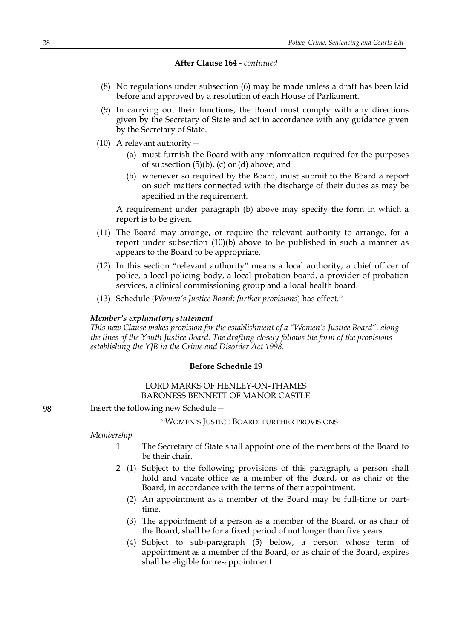- (8) No regulations under subsection (6) may be made unless a draft has been laid before and approved by a resolution of each House of Parliament.
- (9) In carrying out their functions, the Board must comply with any directions given by the Secretary of State and act in accordance with any guidance given by the Secretary of State.
- (10) A relevant authority—
	- (a) must furnish the Board with any information required for the purposes of subsection  $(5)(b)$ ,  $(c)$  or  $(d)$  above; and
	- (b) whenever so required by the Board, must submit to the Board a report on such matters connected with the discharge of their duties as may be specified in the requirement.

A requirement under paragraph (b) above may specify the form in which a report is to be given.

- (11) The Board may arrange, or require the relevant authority to arrange, for a report under subsection (10)(b) above to be published in such a manner as appears to the Board to be appropriate.
- (12) In this section "relevant authority" means a local authority, a chief officer of police, a local policing body, a local probation board, a provider of probation services, a clinical commissioning group and a local health board.
- (13) Schedule (*Women's Justice Board: further provisions*) has effect."

#### *Member's explanatory statement*

*This new Clause makes provision for the establishment of a "Women's Justice Board", along the lines of the Youth Justice Board. The drafting closely follows the form of the provisions establishing the YJB in the Crime and Disorder Act 1998.*

#### **Before Schedule 19**

# LORD MARKS OF HENLEY-ON-THAMES BARONESS BENNETT OF MANOR CASTLE

**98** Insert the following new Schedule—

"WOMEN'S JUSTICE BOARD: FURTHER PROVISIONS

#### *Membership*

- 1 The Secretary of State shall appoint one of the members of the Board to be their chair.
- 2 (1) Subject to the following provisions of this paragraph, a person shall hold and vacate office as a member of the Board, or as chair of the Board, in accordance with the terms of their appointment.
	- (2) An appointment as a member of the Board may be full-time or parttime.
	- (3) The appointment of a person as a member of the Board, or as chair of the Board, shall be for a fixed period of not longer than five years.
	- (4) Subject to sub-paragraph (5) below, a person whose term of appointment as a member of the Board, or as chair of the Board, expires shall be eligible for re-appointment.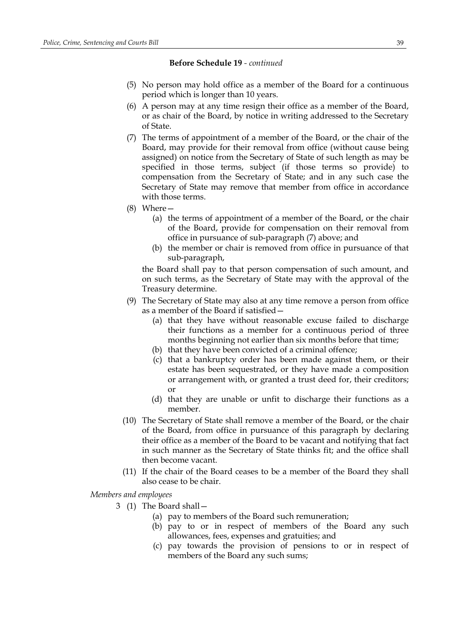#### **Before Schedule 19** *- continued*

- (5) No person may hold office as a member of the Board for a continuous period which is longer than 10 years.
- (6) A person may at any time resign their office as a member of the Board, or as chair of the Board, by notice in writing addressed to the Secretary of State.
- (7) The terms of appointment of a member of the Board, or the chair of the Board, may provide for their removal from office (without cause being assigned) on notice from the Secretary of State of such length as may be specified in those terms, subject (if those terms so provide) to compensation from the Secretary of State; and in any such case the Secretary of State may remove that member from office in accordance with those terms.
- (8) Where—
	- (a) the terms of appointment of a member of the Board, or the chair of the Board, provide for compensation on their removal from office in pursuance of sub-paragraph (7) above; and
	- (b) the member or chair is removed from office in pursuance of that sub-paragraph,

the Board shall pay to that person compensation of such amount, and on such terms, as the Secretary of State may with the approval of the Treasury determine.

- (9) The Secretary of State may also at any time remove a person from office as a member of the Board if satisfied—
	- (a) that they have without reasonable excuse failed to discharge their functions as a member for a continuous period of three months beginning not earlier than six months before that time;
	- (b) that they have been convicted of a criminal offence;
	- (c) that a bankruptcy order has been made against them, or their estate has been sequestrated, or they have made a composition or arrangement with, or granted a trust deed for, their creditors; or
	- (d) that they are unable or unfit to discharge their functions as a member.
- (10) The Secretary of State shall remove a member of the Board, or the chair of the Board, from office in pursuance of this paragraph by declaring their office as a member of the Board to be vacant and notifying that fact in such manner as the Secretary of State thinks fit; and the office shall then become vacant.
- (11) If the chair of the Board ceases to be a member of the Board they shall also cease to be chair.

*Members and employees*

- 3 (1) The Board shall—
	- (a) pay to members of the Board such remuneration;
	- (b) pay to or in respect of members of the Board any such allowances, fees, expenses and gratuities; and
	- (c) pay towards the provision of pensions to or in respect of members of the Board any such sums;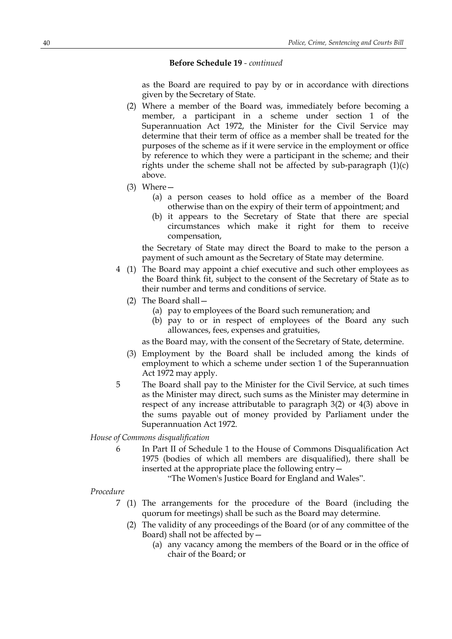#### **Before Schedule 19** *- continued*

as the Board are required to pay by or in accordance with directions given by the Secretary of State.

- (2) Where a member of the Board was, immediately before becoming a member, a participant in a scheme under section 1 of the Superannuation Act 1972, the Minister for the Civil Service may determine that their term of office as a member shall be treated for the purposes of the scheme as if it were service in the employment or office by reference to which they were a participant in the scheme; and their rights under the scheme shall not be affected by sub-paragraph (1)(c) above.
- (3) Where—
	- (a) a person ceases to hold office as a member of the Board otherwise than on the expiry of their term of appointment; and
	- (b) it appears to the Secretary of State that there are special circumstances which make it right for them to receive compensation,

the Secretary of State may direct the Board to make to the person a payment of such amount as the Secretary of State may determine.

- 4 (1) The Board may appoint a chief executive and such other employees as the Board think fit, subject to the consent of the Secretary of State as to their number and terms and conditions of service.
	- (2) The Board shall—
		- (a) pay to employees of the Board such remuneration; and
		- (b) pay to or in respect of employees of the Board any such allowances, fees, expenses and gratuities,

as the Board may, with the consent of the Secretary of State, determine.

- (3) Employment by the Board shall be included among the kinds of employment to which a scheme under section 1 of the Superannuation Act 1972 may apply.
- 5 The Board shall pay to the Minister for the Civil Service, at such times as the Minister may direct, such sums as the Minister may determine in respect of any increase attributable to paragraph 3(2) or 4(3) above in the sums payable out of money provided by Parliament under the Superannuation Act 1972.

*House of Commons disqualification*

6 In Part II of Schedule 1 to the House of Commons Disqualification Act 1975 (bodies of which all members are disqualified), there shall be inserted at the appropriate place the following entry—

"The Women's Justice Board for England and Wales".

#### *Procedure*

- 7 (1) The arrangements for the procedure of the Board (including the quorum for meetings) shall be such as the Board may determine.
	- (2) The validity of any proceedings of the Board (or of any committee of the Board) shall not be affected by—
		- (a) any vacancy among the members of the Board or in the office of chair of the Board; or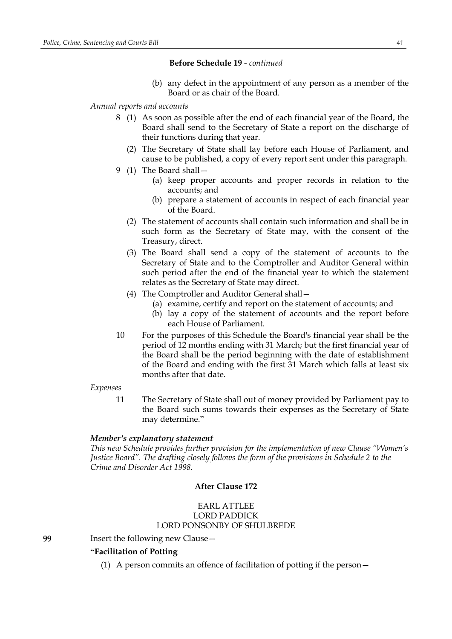### **Before Schedule 19** *- continued*

(b) any defect in the appointment of any person as a member of the Board or as chair of the Board.

### *Annual reports and accounts*

- 8 (1) As soon as possible after the end of each financial year of the Board, the Board shall send to the Secretary of State a report on the discharge of their functions during that year.
	- (2) The Secretary of State shall lay before each House of Parliament, and cause to be published, a copy of every report sent under this paragraph.
- 9 (1) The Board shall—
	- (a) keep proper accounts and proper records in relation to the accounts; and
	- (b) prepare a statement of accounts in respect of each financial year of the Board.
	- (2) The statement of accounts shall contain such information and shall be in such form as the Secretary of State may, with the consent of the Treasury, direct.
	- (3) The Board shall send a copy of the statement of accounts to the Secretary of State and to the Comptroller and Auditor General within such period after the end of the financial year to which the statement relates as the Secretary of State may direct.
	- (4) The Comptroller and Auditor General shall—
		- (a) examine, certify and report on the statement of accounts; and
		- (b) lay a copy of the statement of accounts and the report before each House of Parliament.
- 10 For the purposes of this Schedule the Board's financial year shall be the period of 12 months ending with 31 March; but the first financial year of the Board shall be the period beginning with the date of establishment of the Board and ending with the first 31 March which falls at least six months after that date.

#### *Expenses*

11 The Secretary of State shall out of money provided by Parliament pay to the Board such sums towards their expenses as the Secretary of State may determine."

#### *Member's explanatory statement*

*This new Schedule provides further provision for the implementation of new Clause "Women's Justice Board". The drafting closely follows the form of the provisions in Schedule 2 to the Crime and Disorder Act 1998.*

## **After Clause 172**

# EARL ATTLEE LORD PADDICK LORD PONSONBY OF SHULBREDE

**99** Insert the following new Clause—

## **"Facilitation of Potting**

(1) A person commits an offence of facilitation of potting if the person—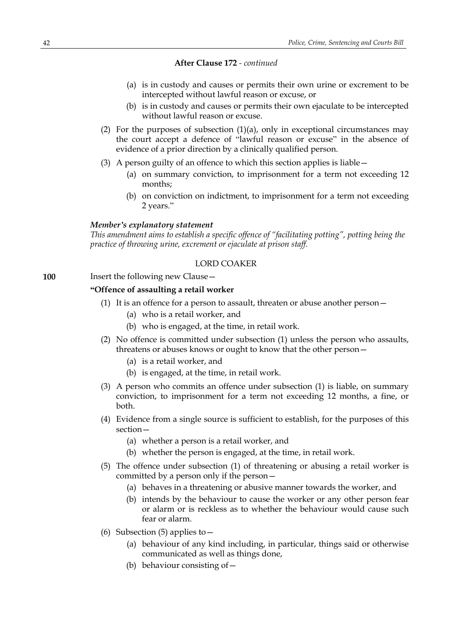- (a) is in custody and causes or permits their own urine or excrement to be intercepted without lawful reason or excuse, or
- (b) is in custody and causes or permits their own ejaculate to be intercepted without lawful reason or excuse.
- (2) For the purposes of subsection  $(1)(a)$ , only in exceptional circumstances may the court accept a defence of "lawful reason or excuse" in the absence of evidence of a prior direction by a clinically qualified person.
- (3) A person guilty of an offence to which this section applies is liable—
	- (a) on summary conviction, to imprisonment for a term not exceeding 12 months;
	- (b) on conviction on indictment, to imprisonment for a term not exceeding 2 years."

#### *Member's explanatory statement*

*This amendment aims to establish a specific offence of "facilitating potting", potting being the practice of throwing urine, excrement or ejaculate at prison staff.*

### LORD COAKER

```
100 Insert the following new Clause –
```
## **"Offence of assaulting a retail worker**

- (1) It is an offence for a person to assault, threaten or abuse another person—
	- (a) who is a retail worker, and
	- (b) who is engaged, at the time, in retail work.
- (2) No offence is committed under subsection (1) unless the person who assaults, threatens or abuses knows or ought to know that the other person—
	- (a) is a retail worker, and
	- (b) is engaged, at the time, in retail work.
- (3) A person who commits an offence under subsection (1) is liable, on summary conviction, to imprisonment for a term not exceeding 12 months, a fine, or both.
- (4) Evidence from a single source is sufficient to establish, for the purposes of this section—
	- (a) whether a person is a retail worker, and
	- (b) whether the person is engaged, at the time, in retail work.
- (5) The offence under subsection (1) of threatening or abusing a retail worker is committed by a person only if the person—
	- (a) behaves in a threatening or abusive manner towards the worker, and
	- (b) intends by the behaviour to cause the worker or any other person fear or alarm or is reckless as to whether the behaviour would cause such fear or alarm.
- (6) Subsection (5) applies to  $-$ 
	- (a) behaviour of any kind including, in particular, things said or otherwise communicated as well as things done,
	- (b) behaviour consisting of—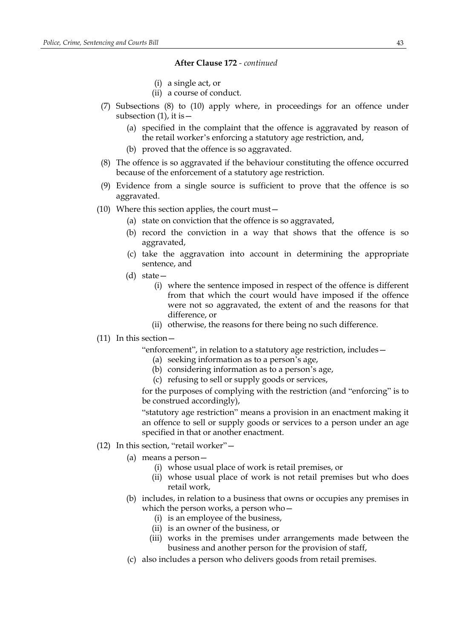- (i) a single act, or
- (ii) a course of conduct.
- (7) Subsections (8) to (10) apply where, in proceedings for an offence under subsection  $(1)$ , it is  $-$ 
	- (a) specified in the complaint that the offence is aggravated by reason of the retail worker's enforcing a statutory age restriction, and,
	- (b) proved that the offence is so aggravated.
- (8) The offence is so aggravated if the behaviour constituting the offence occurred because of the enforcement of a statutory age restriction.
- (9) Evidence from a single source is sufficient to prove that the offence is so aggravated.
- (10) Where this section applies, the court must—
	- (a) state on conviction that the offence is so aggravated,
	- (b) record the conviction in a way that shows that the offence is so aggravated,
	- (c) take the aggravation into account in determining the appropriate sentence, and
	- (d) state—
		- (i) where the sentence imposed in respect of the offence is different from that which the court would have imposed if the offence were not so aggravated, the extent of and the reasons for that difference, or
		- (ii) otherwise, the reasons for there being no such difference.
- (11) In this section—

"enforcement", in relation to a statutory age restriction, includes—

- (a) seeking information as to a person's age,
- (b) considering information as to a person's age,
- (c) refusing to sell or supply goods or services,

for the purposes of complying with the restriction (and "enforcing" is to be construed accordingly),

"statutory age restriction" means a provision in an enactment making it an offence to sell or supply goods or services to a person under an age specified in that or another enactment.

- (12) In this section, "retail worker"—
	- (a) means a person—
		- (i) whose usual place of work is retail premises, or
		- (ii) whose usual place of work is not retail premises but who does retail work,
	- (b) includes, in relation to a business that owns or occupies any premises in which the person works, a person who—
		- (i) is an employee of the business,
		- (ii) is an owner of the business, or
		- (iii) works in the premises under arrangements made between the business and another person for the provision of staff,
	- (c) also includes a person who delivers goods from retail premises.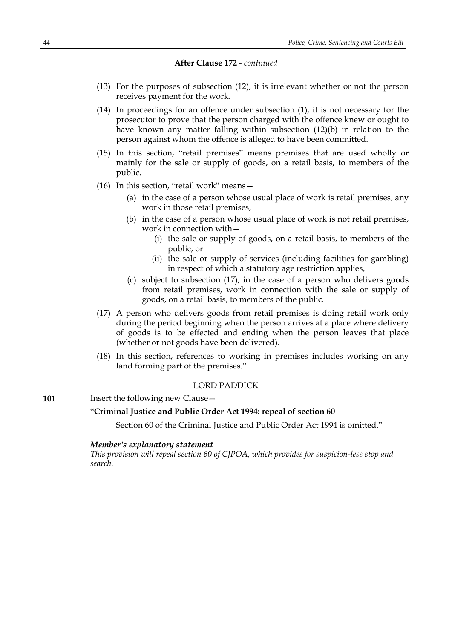- (13) For the purposes of subsection (12), it is irrelevant whether or not the person receives payment for the work.
- (14) In proceedings for an offence under subsection (1), it is not necessary for the prosecutor to prove that the person charged with the offence knew or ought to have known any matter falling within subsection (12)(b) in relation to the person against whom the offence is alleged to have been committed.
- (15) In this section, "retail premises" means premises that are used wholly or mainly for the sale or supply of goods, on a retail basis, to members of the public.
- (16) In this section, "retail work" means—
	- (a) in the case of a person whose usual place of work is retail premises, any work in those retail premises,
	- (b) in the case of a person whose usual place of work is not retail premises, work in connection with—
		- (i) the sale or supply of goods, on a retail basis, to members of the public, or
		- (ii) the sale or supply of services (including facilities for gambling) in respect of which a statutory age restriction applies,
	- (c) subject to subsection (17), in the case of a person who delivers goods from retail premises, work in connection with the sale or supply of goods, on a retail basis, to members of the public.
- (17) A person who delivers goods from retail premises is doing retail work only during the period beginning when the person arrives at a place where delivery of goods is to be effected and ending when the person leaves that place (whether or not goods have been delivered).
- (18) In this section, references to working in premises includes working on any land forming part of the premises."

# LORD PADDICK

### **101** Insert the following new Clause -

# "**Criminal Justice and Public Order Act 1994: repeal of section 60**

Section 60 of the Criminal Justice and Public Order Act 1994 is omitted."

#### *Member's explanatory statement*

*This provision will repeal section 60 of CJPOA, which provides for suspicion-less stop and search.*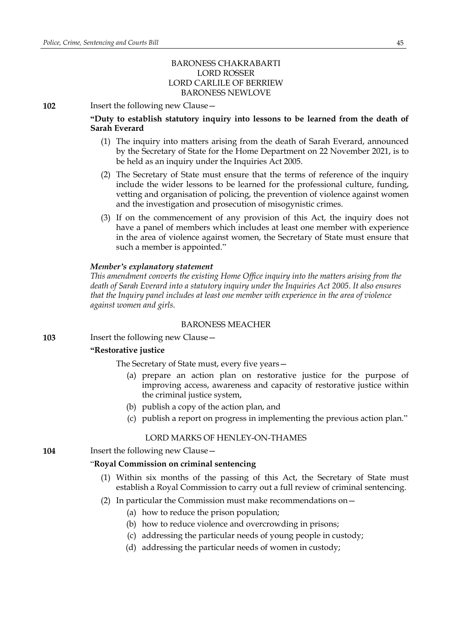# BARONESS CHAKRABARTI LORD ROSSER LORD CARLILE OF BERRIEW BARONESS NEWLOVE

**102** Insert the following new Clause—

**"Duty to establish statutory inquiry into lessons to be learned from the death of Sarah Everard**

- (1) The inquiry into matters arising from the death of Sarah Everard, announced by the Secretary of State for the Home Department on 22 November 2021, is to be held as an inquiry under the Inquiries Act 2005.
- (2) The Secretary of State must ensure that the terms of reference of the inquiry include the wider lessons to be learned for the professional culture, funding, vetting and organisation of policing, the prevention of violence against women and the investigation and prosecution of misogynistic crimes.
- (3) If on the commencement of any provision of this Act, the inquiry does not have a panel of members which includes at least one member with experience in the area of violence against women, the Secretary of State must ensure that such a member is appointed."

### *Member's explanatory statement*

*This amendment converts the existing Home Office inquiry into the matters arising from the death of Sarah Everard into a statutory inquiry under the Inquiries Act 2005. It also ensures that the Inquiry panel includes at least one member with experience in the area of violence against women and girls.*

## BARONESS MEACHER

**103** Insert the following new Clause—

#### **"Restorative justice**

The Secretary of State must, every five years—

- (a) prepare an action plan on restorative justice for the purpose of improving access, awareness and capacity of restorative justice within the criminal justice system,
- (b) publish a copy of the action plan, and
- (c) publish a report on progress in implementing the previous action plan."

#### LORD MARKS OF HENLEY-ON-THAMES

**104** Insert the following new Clause —

#### "**Royal Commission on criminal sentencing**

- (1) Within six months of the passing of this Act, the Secretary of State must establish a Royal Commission to carry out a full review of criminal sentencing.
- (2) In particular the Commission must make recommendations on—
	- (a) how to reduce the prison population;
	- (b) how to reduce violence and overcrowding in prisons;
	- (c) addressing the particular needs of young people in custody;
	- (d) addressing the particular needs of women in custody;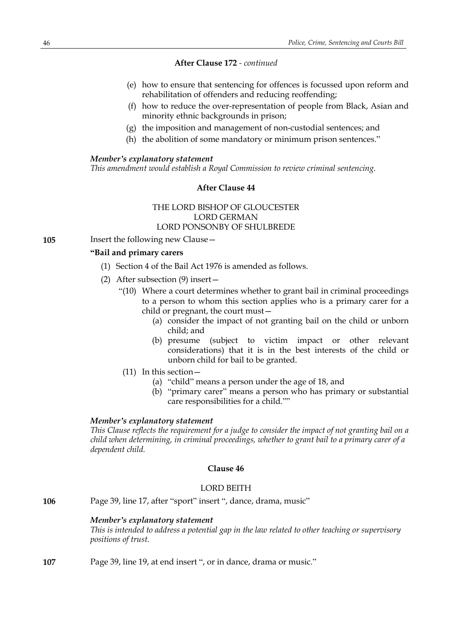- (e) how to ensure that sentencing for offences is focussed upon reform and rehabilitation of offenders and reducing reoffending;
- (f) how to reduce the over-representation of people from Black, Asian and minority ethnic backgrounds in prison;
- (g) the imposition and management of non-custodial sentences; and
- (h) the abolition of some mandatory or minimum prison sentences."

#### *Member's explanatory statement*

*This amendment would establish a Royal Commission to review criminal sentencing.*

## **After Clause 44**

# THE LORD BISHOP OF GLOUCESTER LORD GERMAN LORD PONSONBY OF SHULBREDE

**105** Insert the following new Clause—

## **"Bail and primary carers**

- (1) Section 4 of the Bail Act 1976 is amended as follows.
- (2) After subsection (9) insert—
	- "(10) Where a court determines whether to grant bail in criminal proceedings to a person to whom this section applies who is a primary carer for a child or pregnant, the court must—
		- (a) consider the impact of not granting bail on the child or unborn child; and
		- (b) presume (subject to victim impact or other relevant considerations) that it is in the best interests of the child or unborn child for bail to be granted.
	- (11) In this section—
		- (a) "child" means a person under the age of 18, and
		- (b) "primary carer" means a person who has primary or substantial care responsibilities for a child.""

### *Member's explanatory statement*

*This Clause reflects the requirement for a judge to consider the impact of not granting bail on a child when determining, in criminal proceedings, whether to grant bail to a primary carer of a dependent child.*

## **Clause 46**

## LORD BEITH

**106** Page 39, line 17, after "sport" insert ", dance, drama, music"

### *Member's explanatory statement*

*This is intended to address a potential gap in the law related to other teaching or supervisory positions of trust.*

**107** Page 39, line 19, at end insert ", or in dance, drama or music."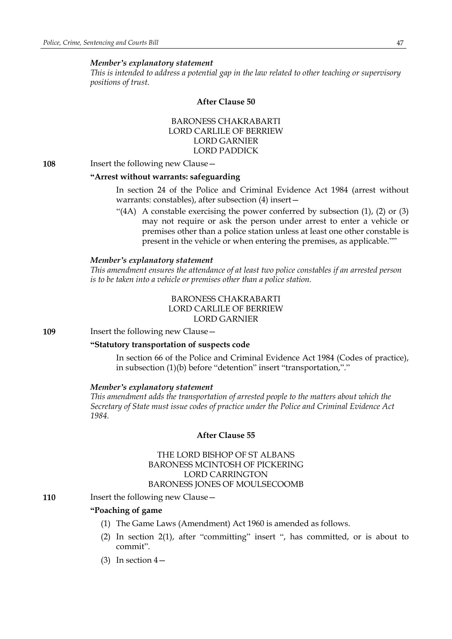#### *Member's explanatory statement*

*This is intended to address a potential gap in the law related to other teaching or supervisory positions of trust.*

#### **After Clause 50**

BARONESS CHAKRABARTI LORD CARLILE OF BERRIEW LORD GARNIER LORD PADDICK

**108** Insert the following new Clause—

### **"Arrest without warrants: safeguarding**

In section 24 of the Police and Criminal Evidence Act 1984 (arrest without warrants: constables), after subsection (4) insert—

"(4A) A constable exercising the power conferred by subsection (1), (2) or (3) may not require or ask the person under arrest to enter a vehicle or premises other than a police station unless at least one other constable is present in the vehicle or when entering the premises, as applicable.""

#### *Member's explanatory statement*

*This amendment ensures the attendance of at least two police constables if an arrested person is to be taken into a vehicle or premises other than a police station.*

> BARONESS CHAKRABARTI LORD CARLILE OF BERRIEW LORD GARNIER

**109** Insert the following new Clause—

#### **"Statutory transportation of suspects code**

In section 66 of the Police and Criminal Evidence Act 1984 (Codes of practice), in subsection (1)(b) before "detention" insert "transportation,"."

#### *Member's explanatory statement*

*This amendment adds the transportation of arrested people to the matters about which the Secretary of State must issue codes of practice under the Police and Criminal Evidence Act 1984.*

### **After Clause 55**

# THE LORD BISHOP OF ST ALBANS BARONESS MCINTOSH OF PICKERING LORD CARRINGTON BARONESS JONES OF MOULSECOOMB

**110** Insert the following new Clause -

# **"Poaching of game**

- (1) The Game Laws (Amendment) Act 1960 is amended as follows.
- (2) In section 2(1), after "committing" insert ", has committed, or is about to commit".
- (3) In section  $4-$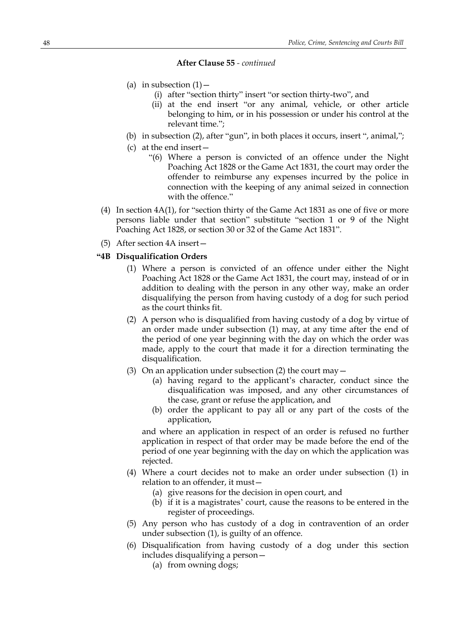- (a) in subsection  $(1)$ 
	- (i) after "section thirty" insert "or section thirty-two", and
	- (ii) at the end insert "or any animal, vehicle, or other article belonging to him, or in his possession or under his control at the relevant time.";
- (b) in subsection (2), after "gun", in both places it occurs, insert ", animal,";
- (c) at the end insert—
	- "(6) Where a person is convicted of an offence under the Night Poaching Act 1828 or the Game Act 1831, the court may order the offender to reimburse any expenses incurred by the police in connection with the keeping of any animal seized in connection with the offence."
- (4) In section 4A(1), for "section thirty of the Game Act 1831 as one of five or more persons liable under that section" substitute "section 1 or 9 of the Night Poaching Act 1828, or section 30 or 32 of the Game Act 1831".
- (5) After section 4A insert—

### **"4B Disqualification Orders**

- (1) Where a person is convicted of an offence under either the Night Poaching Act 1828 or the Game Act 1831, the court may, instead of or in addition to dealing with the person in any other way, make an order disqualifying the person from having custody of a dog for such period as the court thinks fit.
- (2) A person who is disqualified from having custody of a dog by virtue of an order made under subsection (1) may, at any time after the end of the period of one year beginning with the day on which the order was made, apply to the court that made it for a direction terminating the disqualification.
- (3) On an application under subsection (2) the court may  $-$ 
	- (a) having regard to the applicant's character, conduct since the disqualification was imposed, and any other circumstances of the case, grant or refuse the application, and
	- (b) order the applicant to pay all or any part of the costs of the application,

and where an application in respect of an order is refused no further application in respect of that order may be made before the end of the period of one year beginning with the day on which the application was rejected.

- (4) Where a court decides not to make an order under subsection (1) in relation to an offender, it must—
	- (a) give reasons for the decision in open court, and
	- (b) if it is a magistrates' court, cause the reasons to be entered in the register of proceedings.
- (5) Any person who has custody of a dog in contravention of an order under subsection (1), is guilty of an offence.
- (6) Disqualification from having custody of a dog under this section includes disqualifying a person—
	- (a) from owning dogs;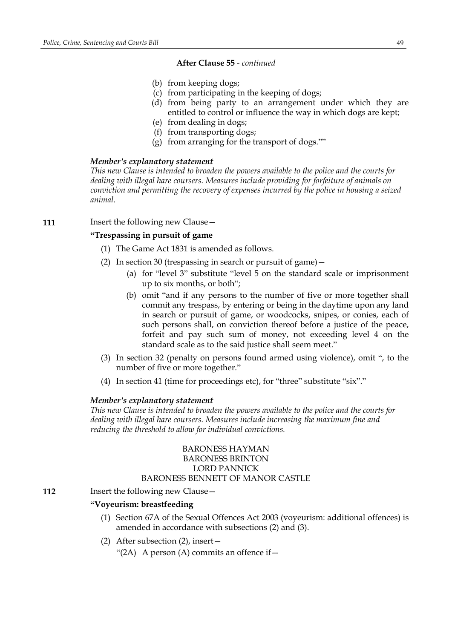- (b) from keeping dogs;
- (c) from participating in the keeping of dogs;
- (d) from being party to an arrangement under which they are entitled to control or influence the way in which dogs are kept;
- (e) from dealing in dogs;
- (f) from transporting dogs;
- (g) from arranging for the transport of dogs.""

#### *Member's explanatory statement*

*This new Clause is intended to broaden the powers available to the police and the courts for dealing with illegal hare coursers. Measures include providing for forfeiture of animals on conviction and permitting the recovery of expenses incurred by the police in housing a seized animal.*

#### **111** Insert the following new Clause -

# **"Trespassing in pursuit of game**

- (1) The Game Act 1831 is amended as follows.
- (2) In section 30 (trespassing in search or pursuit of game)—
	- (a) for "level 3" substitute "level 5 on the standard scale or imprisonment up to six months, or both";
	- (b) omit "and if any persons to the number of five or more together shall commit any trespass, by entering or being in the daytime upon any land in search or pursuit of game, or woodcocks, snipes, or conies, each of such persons shall, on conviction thereof before a justice of the peace, forfeit and pay such sum of money, not exceeding level 4 on the standard scale as to the said justice shall seem meet."
- (3) In section 32 (penalty on persons found armed using violence), omit ", to the number of five or more together."
- (4) In section 41 (time for proceedings etc), for "three" substitute "six"."

#### *Member's explanatory statement*

*This new Clause is intended to broaden the powers available to the police and the courts for dealing with illegal hare coursers. Measures include increasing the maximum fine and reducing the threshold to allow for individual convictions.*

## BARONESS HAYMAN BARONESS BRINTON LORD PANNICK BARONESS BENNETT OF MANOR CASTLE

**112** Insert the following new Clause –

## **"Voyeurism: breastfeeding**

- (1) Section 67A of the Sexual Offences Act 2003 (voyeurism: additional offences) is amended in accordance with subsections (2) and (3).
- (2) After subsection (2), insert—

"(2A) A person (A) commits an offence if  $-$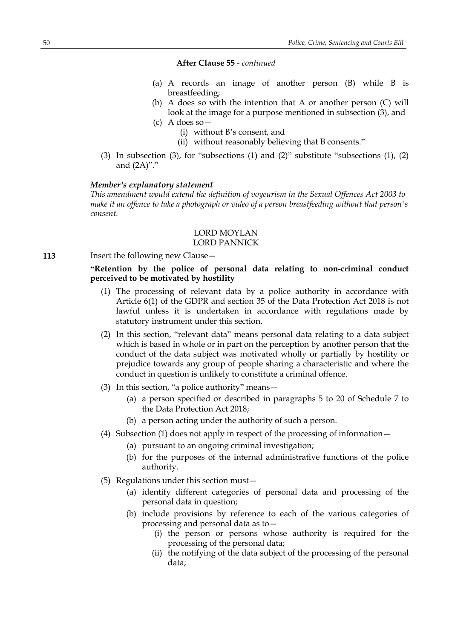- (a) A records an image of another person (B) while B is breastfeeding;
- (b) A does so with the intention that A or another person (C) will look at the image for a purpose mentioned in subsection (3), and

(c) A does so—

- (i) without B's consent, and
- (ii) without reasonably believing that B consents."
- (3) In subsection (3), for "subsections (1) and (2)" substitute "subsections (1), (2) and (2A)"."

## *Member's explanatory statement*

*This amendment would extend the definition of voyeurism in the Sexual Offences Act 2003 to make it an offence to take a photograph or video of a person breastfeeding without that person's consent.*

### LORD MOYLAN LORD PANNICK

**113** Insert the following new Clause -

## **"Retention by the police of personal data relating to non-criminal conduct perceived to be motivated by hostility**

- (1) The processing of relevant data by a police authority in accordance with Article 6(1) of the GDPR and section 35 of the Data Protection Act 2018 is not lawful unless it is undertaken in accordance with regulations made by statutory instrument under this section.
- (2) In this section, "relevant data" means personal data relating to a data subject which is based in whole or in part on the perception by another person that the conduct of the data subject was motivated wholly or partially by hostility or prejudice towards any group of people sharing a characteristic and where the conduct in question is unlikely to constitute a criminal offence.
- (3) In this section, "a police authority" means—
	- (a) a person specified or described in paragraphs 5 to 20 of Schedule 7 to the Data Protection Act 2018;
	- (b) a person acting under the authority of such a person.
- (4) Subsection (1) does not apply in respect of the processing of information—
	- (a) pursuant to an ongoing criminal investigation;
	- (b) for the purposes of the internal administrative functions of the police authority.
- (5) Regulations under this section must—
	- (a) identify different categories of personal data and processing of the personal data in question;
	- (b) include provisions by reference to each of the various categories of processing and personal data as to—
		- (i) the person or persons whose authority is required for the processing of the personal data;
		- (ii) the notifying of the data subject of the processing of the personal data;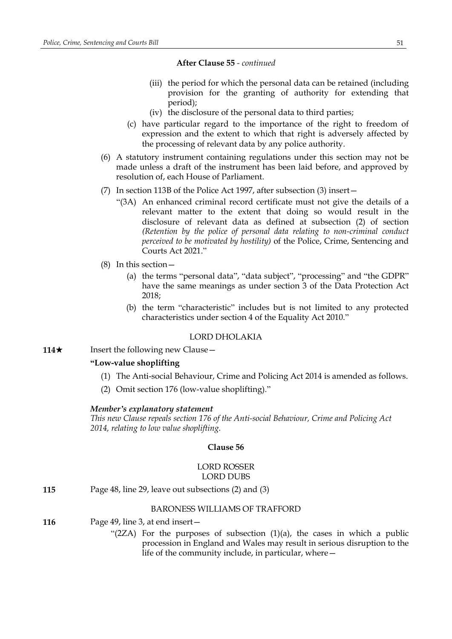- (iii) the period for which the personal data can be retained (including provision for the granting of authority for extending that period);
- (iv) the disclosure of the personal data to third parties;
- (c) have particular regard to the importance of the right to freedom of expression and the extent to which that right is adversely affected by the processing of relevant data by any police authority.
- (6) A statutory instrument containing regulations under this section may not be made unless a draft of the instrument has been laid before, and approved by resolution of, each House of Parliament.
- (7) In section 113B of the Police Act 1997, after subsection (3) insert—
	- "(3A) An enhanced criminal record certificate must not give the details of a relevant matter to the extent that doing so would result in the disclosure of relevant data as defined at subsection (2) of section *(Retention by the police of personal data relating to non-criminal conduct perceived to be motivated by hostility)* of the Police, Crime, Sentencing and Courts Act 2021."
- (8) In this section—
	- (a) the terms "personal data", "data subject", "processing" and "the GDPR" have the same meanings as under section 3 of the Data Protection Act 2018;
	- (b) the term "characteristic" includes but is not limited to any protected characteristics under section 4 of the Equality Act 2010."

## LORD DHOLAKIA

**114**★ Insert the following new Clause

# **"Low-value shoplifting**

- (1) The Anti-social Behaviour, Crime and Policing Act 2014 is amended as follows.
- (2) Omit section 176 (low-value shoplifting)."

#### *Member's explanatory statement*

*This new Clause repeals section 176 of the Anti-social Behaviour, Crime and Policing Act 2014, relating to low value shoplifting.*

### **Clause 56**

### LORD ROSSER LORD DUBS

**115** Page 48, line 29, leave out subsections (2) and (3)

### BARONESS WILLIAMS OF TRAFFORD

- **116** Page 49, line 3, at end insert—
	- " $(2ZA)$  For the purposes of subsection  $(1)(a)$ , the cases in which a public procession in England and Wales may result in serious disruption to the life of the community include, in particular, where—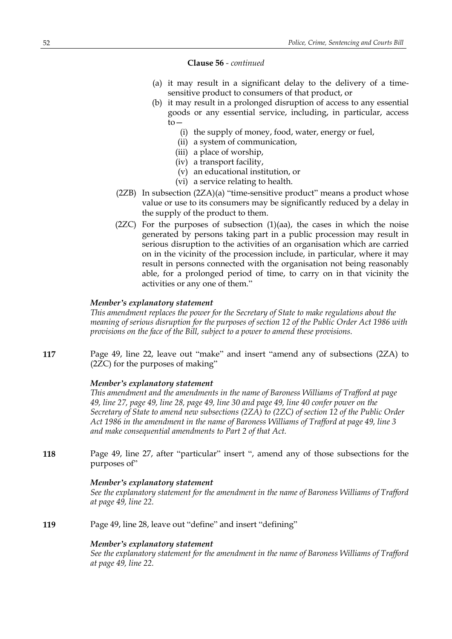#### **Clause 56** *- continued*

- (a) it may result in a significant delay to the delivery of a timesensitive product to consumers of that product, or
- (b) it may result in a prolonged disruption of access to any essential goods or any essential service, including, in particular, access to—
	- (i) the supply of money, food, water, energy or fuel,
	- (ii) a system of communication,
	- (iii) a place of worship,
	- (iv) a transport facility,
	- (v) an educational institution, or
	- (vi) a service relating to health.
- (2ZB) In subsection (2ZA)(a) "time-sensitive product" means a product whose value or use to its consumers may be significantly reduced by a delay in the supply of the product to them.
- $(2ZC)$  For the purposes of subsection  $(1)(aa)$ , the cases in which the noise generated by persons taking part in a public procession may result in serious disruption to the activities of an organisation which are carried on in the vicinity of the procession include, in particular, where it may result in persons connected with the organisation not being reasonably able, for a prolonged period of time, to carry on in that vicinity the activities or any one of them."

## *Member's explanatory statement*

*This amendment replaces the power for the Secretary of State to make regulations about the meaning of serious disruption for the purposes of section 12 of the Public Order Act 1986 with provisions on the face of the Bill, subject to a power to amend these provisions.*

**117** Page 49, line 22, leave out "make" and insert "amend any of subsections (2ZA) to (2ZC) for the purposes of making"

#### *Member's explanatory statement*

*This amendment and the amendments in the name of Baroness Williams of Trafford at page* 49, line 27, page 49, line 28, page 49, line 30 and page 49, line 40 confer power on the *Secretary of State to amend new subsections (2ZA) to (2ZC) of section 12 of the Public Order Act 1986 in the amendment in the name of Baroness Williams of Trafford at page 49, line 3 and make consequential amendments to Part 2 of that Act.*

**118** Page 49, line 27, after "particular" insert ", amend any of those subsections for the purposes of"

#### *Member's explanatory statement*

*See the explanatory statement for the amendment in the name of Baroness Williams of Trafford at page 49, line 22.*

**119** Page 49, line 28, leave out "define" and insert "defining"

#### *Member's explanatory statement*

*See the explanatory statement for the amendment in the name of Baroness Williams of Trafford at page 49, line 22.*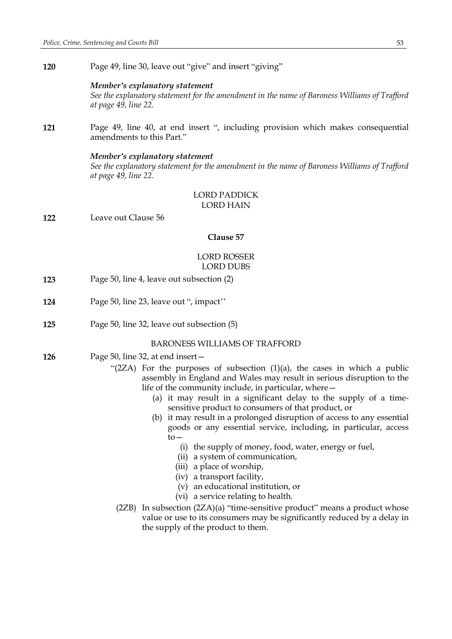**120** Page 49, line 30, leave out "give" and insert "giving"

#### *Member's explanatory statement*

*See the explanatory statement for the amendment in the name of Baroness Williams of Trafford at page 49, line 22.*

**121** Page 49, line 40, at end insert ", including provision which makes consequential amendments to this Part."

#### *Member's explanatory statement*

*See the explanatory statement for the amendment in the name of Baroness Williams of Trafford at page 49, line 22.*

# LORD PADDICK LORD HAIN

**122** Leave out Clause 56

# **Clause 57**

## LORD ROSSER LORD DUBS

- **123** Page 50, line 4, leave out subsection (2)
- **124** Page 50, line 23, leave out ", impact''
- **125** Page 50, line 32, leave out subsection (5)

### BARONESS WILLIAMS OF TRAFFORD

- **126** Page 50, line 32, at end insert—
	- " $(2ZA)$  For the purposes of subsection  $(1)(a)$ , the cases in which a public assembly in England and Wales may result in serious disruption to the life of the community include, in particular, where—
		- (a) it may result in a significant delay to the supply of a timesensitive product to consumers of that product, or
		- (b) it may result in a prolonged disruption of access to any essential goods or any essential service, including, in particular, access to—
			- (i) the supply of money, food, water, energy or fuel,
			- (ii) a system of communication,
			- (iii) a place of worship,
			- (iv) a transport facility,
			- (v) an educational institution, or
			- (vi) a service relating to health.
	- (2ZB) In subsection (2ZA)(a) "time-sensitive product" means a product whose value or use to its consumers may be significantly reduced by a delay in the supply of the product to them.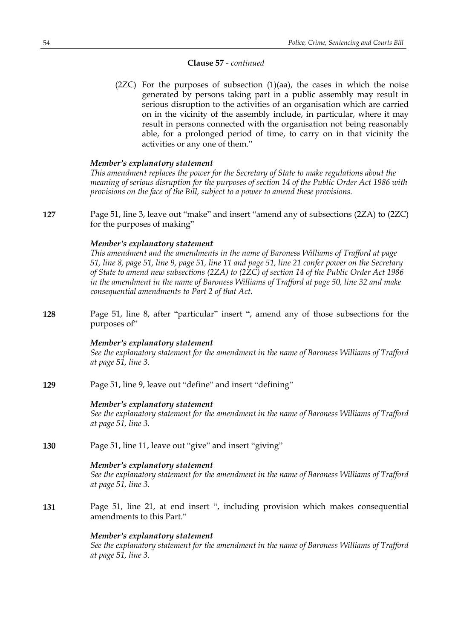### **Clause 57** *- continued*

 $(2ZC)$  For the purposes of subsection  $(1)(aa)$ , the cases in which the noise generated by persons taking part in a public assembly may result in serious disruption to the activities of an organisation which are carried on in the vicinity of the assembly include, in particular, where it may result in persons connected with the organisation not being reasonably able, for a prolonged period of time, to carry on in that vicinity the activities or any one of them."

### *Member's explanatory statement*

*This amendment replaces the power for the Secretary of State to make regulations about the meaning of serious disruption for the purposes of section 14 of the Public Order Act 1986 with provisions on the face of the Bill, subject to a power to amend these provisions.*

**127** Page 51, line 3, leave out "make" and insert "amend any of subsections (2ZA) to (2ZC) for the purposes of making"

### *Member's explanatory statement*

*This amendment and the amendments in the name of Baroness Williams of Trafford at page* 51, line 8, page 51, line 9, page 51, line 11 and page 51, line 21 confer power on the Secretary *of State to amend new subsections (2ZA) to (2ZC) of section 14 of the Public Order Act 1986 in the amendment in the name of Baroness Williams of Trafford at page 50, line 32 and make consequential amendments to Part 2 of that Act.*

**128** Page 51, line 8, after "particular" insert ", amend any of those subsections for the purposes of"

### *Member's explanatory statement*

*See the explanatory statement for the amendment in the name of Baroness Williams of Trafford at page 51, line 3.*

**129** Page 51, line 9, leave out "define" and insert "defining"

### *Member's explanatory statement*

*See the explanatory statement for the amendment in the name of Baroness Williams of Trafford at page 51, line 3.*

**130** Page 51, line 11, leave out "give" and insert "giving"

### *Member's explanatory statement*

*See the explanatory statement for the amendment in the name of Baroness Williams of Trafford at page 51, line 3.*

**131** Page 51, line 21, at end insert ", including provision which makes consequential amendments to this Part."

### *Member's explanatory statement*

*See the explanatory statement for the amendment in the name of Baroness Williams of Trafford at page 51, line 3.*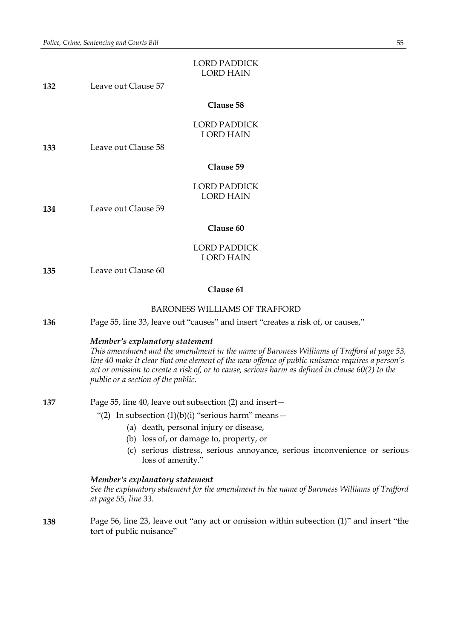|     | <b>LORD PADDICK</b><br><b>LORD HAIN</b>                                                                                                                                                                                                                                                                                                                                   |
|-----|---------------------------------------------------------------------------------------------------------------------------------------------------------------------------------------------------------------------------------------------------------------------------------------------------------------------------------------------------------------------------|
| 132 | Leave out Clause 57                                                                                                                                                                                                                                                                                                                                                       |
|     | Clause 58                                                                                                                                                                                                                                                                                                                                                                 |
|     | <b>LORD PADDICK</b><br><b>LORD HAIN</b>                                                                                                                                                                                                                                                                                                                                   |
| 133 | Leave out Clause 58                                                                                                                                                                                                                                                                                                                                                       |
|     | Clause 59                                                                                                                                                                                                                                                                                                                                                                 |
|     | <b>LORD PADDICK</b><br><b>LORD HAIN</b>                                                                                                                                                                                                                                                                                                                                   |
| 134 | Leave out Clause 59                                                                                                                                                                                                                                                                                                                                                       |
|     | Clause 60                                                                                                                                                                                                                                                                                                                                                                 |
|     | <b>LORD PADDICK</b><br><b>LORD HAIN</b>                                                                                                                                                                                                                                                                                                                                   |
| 135 | Leave out Clause 60                                                                                                                                                                                                                                                                                                                                                       |
|     | Clause 61                                                                                                                                                                                                                                                                                                                                                                 |
|     | <b>BARONESS WILLIAMS OF TRAFFORD</b>                                                                                                                                                                                                                                                                                                                                      |
| 136 | Page 55, line 33, leave out "causes" and insert "creates a risk of, or causes,"                                                                                                                                                                                                                                                                                           |
|     | Member's explanatory statement<br>This amendment and the amendment in the name of Baroness Williams of Trafford at page 53,<br>line 40 make it clear that one element of the new offence of public nuisance requires a person's<br>act or omission to create a risk of, or to cause, serious harm as defined in clause 60(2) to the<br>public or a section of the public. |
| 137 | Page 55, line 40, leave out subsection (2) and insert -                                                                                                                                                                                                                                                                                                                   |
|     | "(2) In subsection $(1)(b)(i)$ "serious harm" means -                                                                                                                                                                                                                                                                                                                     |
|     | (a) death, personal injury or disease,                                                                                                                                                                                                                                                                                                                                    |
|     | loss of, or damage to, property, or<br>(b)<br>(c) serious distress, serious annoyance, serious inconvenience or serious<br>loss of amenity."                                                                                                                                                                                                                              |
|     | Member's explanatory statement<br>See the explanatory statement for the amendment in the name of Baroness Williams of Trafford<br>at page 55, line 33.                                                                                                                                                                                                                    |

**138** Page 56, line 23, leave out "any act or omission within subsection (1)" and insert "the tort of public nuisance"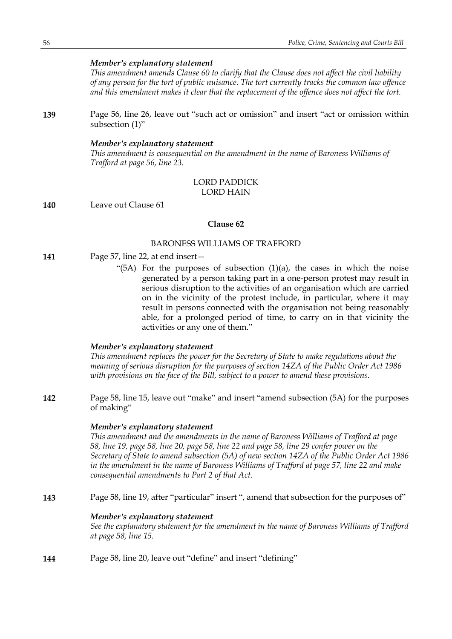### *Member's explanatory statement*

*This amendment amends Clause 60 to clarify that the Clause does not affect the civil liability of any person for the tort of public nuisance. The tort currently tracks the common law offence and this amendment makes it clear that the replacement of the offence does not affect the tort.*

**139** Page 56, line 26, leave out "such act or omission" and insert "act or omission within subsection (1)"

#### *Member's explanatory statement*

*This amendment is consequential on the amendment in the name of Baroness Williams of Trafford at page 56, line 23.*

# LORD PADDICK LORD HAIN

**140** Leave out Clause 61

#### **Clause 62**

#### BARONESS WILLIAMS OF TRAFFORD

- **141** Page 57, line 22, at end insert—
	- "(5A) For the purposes of subsection  $(1)(a)$ , the cases in which the noise generated by a person taking part in a one-person protest may result in serious disruption to the activities of an organisation which are carried on in the vicinity of the protest include, in particular, where it may result in persons connected with the organisation not being reasonably able, for a prolonged period of time, to carry on in that vicinity the activities or any one of them."

### *Member's explanatory statement*

*This amendment replaces the power for the Secretary of State to make regulations about the meaning of serious disruption for the purposes of section 14ZA of the Public Order Act 1986 with provisions on the face of the Bill, subject to a power to amend these provisions.*

**142** Page 58, line 15, leave out "make" and insert "amend subsection (5A) for the purposes of making"

#### *Member's explanatory statement*

*This amendment and the amendments in the name of Baroness Williams of Trafford at page* 58, line 19, page 58, line 20, page 58, line 22 and page 58, line 29 confer power on the *Secretary of State to amend subsection (5A) of new section 14ZA of the Public Order Act 1986 in the amendment in the name of Baroness Williams of Trafford at page 57, line 22 and make consequential amendments to Part 2 of that Act.*

**143** Page 58, line 19, after "particular" insert ", amend that subsection for the purposes of"

#### *Member's explanatory statement*

*See the explanatory statement for the amendment in the name of Baroness Williams of Trafford at page 58, line 15.*

**144** Page 58, line 20, leave out "define" and insert "defining"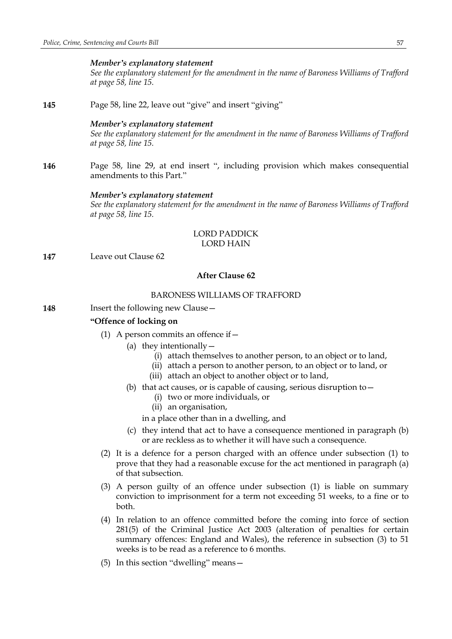#### *Member's explanatory statement*

*See the explanatory statement for the amendment in the name of Baroness Williams of Trafford at page 58, line 15.*

**145** Page 58, line 22, leave out "give" and insert "giving"

#### *Member's explanatory statement*

*See the explanatory statement for the amendment in the name of Baroness Williams of Trafford at page 58, line 15.*

**146** Page 58, line 29, at end insert ", including provision which makes consequential amendments to this Part."

#### *Member's explanatory statement*

*See the explanatory statement for the amendment in the name of Baroness Williams of Trafford at page 58, line 15.*

#### LORD PADDICK LORD HAIN

**147** Leave out Clause 62

### **After Clause 62**

## BARONESS WILLIAMS OF TRAFFORD

**148** Insert the following new Clause -

## **"Offence of locking on**

- (1) A person commits an offence if  $-$ 
	- (a) they intentionally  $-$ 
		- (i) attach themselves to another person, to an object or to land,
		- (ii) attach a person to another person, to an object or to land, or
		- (iii) attach an object to another object or to land,
	- (b) that act causes, or is capable of causing, serious disruption to  $-$ 
		- (i) two or more individuals, or
		- (ii) an organisation,

in a place other than in a dwelling, and

- (c) they intend that act to have a consequence mentioned in paragraph (b) or are reckless as to whether it will have such a consequence.
- (2) It is a defence for a person charged with an offence under subsection (1) to prove that they had a reasonable excuse for the act mentioned in paragraph (a) of that subsection.
- (3) A person guilty of an offence under subsection (1) is liable on summary conviction to imprisonment for a term not exceeding 51 weeks, to a fine or to both.
- (4) In relation to an offence committed before the coming into force of section 281(5) of the Criminal Justice Act 2003 (alteration of penalties for certain summary offences: England and Wales), the reference in subsection (3) to 51 weeks is to be read as a reference to 6 months.
- (5) In this section "dwelling" means—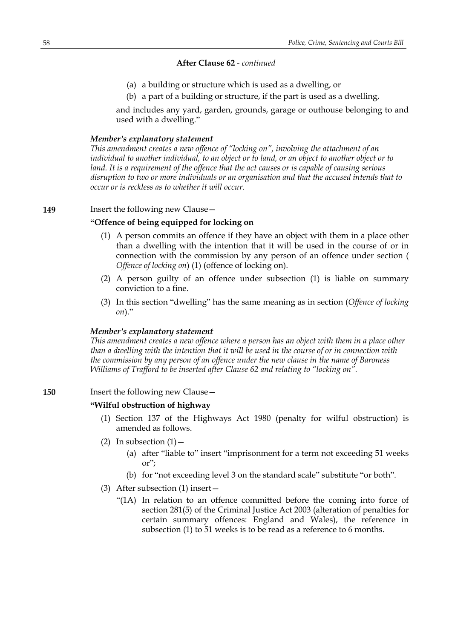- (a) a building or structure which is used as a dwelling, or
- (b) a part of a building or structure, if the part is used as a dwelling,

and includes any yard, garden, grounds, garage or outhouse belonging to and used with a dwelling."

### *Member's explanatory statement*

*This amendment creates a new offence of "locking on", involving the attachment of an individual to another individual, to an object or to land, or an object to another object or to land. It is a requirement of the offence that the act causes or is capable of causing serious disruption to two or more individuals or an organisation and that the accused intends that to occur or is reckless as to whether it will occur.*

## **149** Insert the following new Clause –

## **"Offence of being equipped for locking on**

- (1) A person commits an offence if they have an object with them in a place other than a dwelling with the intention that it will be used in the course of or in connection with the commission by any person of an offence under section ( *Offence of locking on*) (1) (offence of locking on).
- (2) A person guilty of an offence under subsection (1) is liable on summary conviction to a fine.
- (3) In this section "dwelling" has the same meaning as in section (*Offence of locking on*)."

#### *Member's explanatory statement*

*This amendment creates a new offence where a person has an object with them in a place other* than a dwelling with the intention that it will be used in the course of or in connection with *the commission by any person of an offence under the new clause in the name of Baroness Williams of Trafford to be inserted after Clause 62 and relating to "locking on".*

## **150** Insert the following new Clause -

## **"Wilful obstruction of highway**

- (1) Section 137 of the Highways Act 1980 (penalty for wilful obstruction) is amended as follows.
- (2) In subsection  $(1)$ 
	- (a) after "liable to" insert "imprisonment for a term not exceeding 51 weeks or";
	- (b) for "not exceeding level 3 on the standard scale" substitute "or both".
- (3) After subsection (1) insert—
	- "(1A) In relation to an offence committed before the coming into force of section 281(5) of the Criminal Justice Act 2003 (alteration of penalties for certain summary offences: England and Wales), the reference in subsection (1) to 51 weeks is to be read as a reference to 6 months.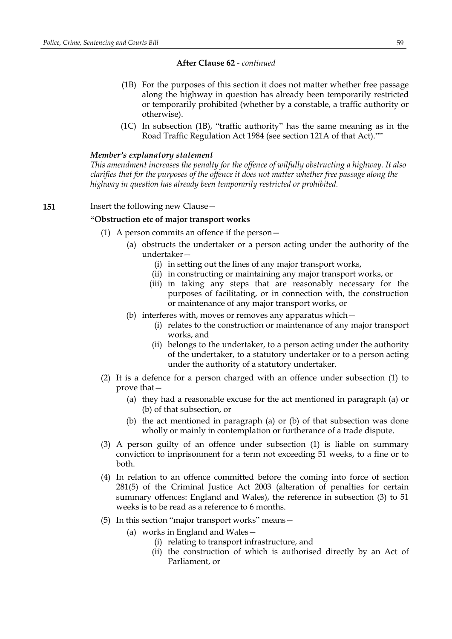- (1B) For the purposes of this section it does not matter whether free passage along the highway in question has already been temporarily restricted or temporarily prohibited (whether by a constable, a traffic authority or otherwise).
- (1C) In subsection (1B), "traffic authority" has the same meaning as in the Road Traffic Regulation Act 1984 (see section 121A of that Act).""

#### *Member's explanatory statement*

*This amendment increases the penalty for the offence of wilfully obstructing a highway. It also clarifies that for the purposes of the offence it does not matter whether free passage along the highway in question has already been temporarily restricted or prohibited.*

#### **151** Insert the following new Clause -

### **"Obstruction etc of major transport works**

- (1) A person commits an offence if the person—
	- (a) obstructs the undertaker or a person acting under the authority of the undertaker—
		- (i) in setting out the lines of any major transport works,
		- (ii) in constructing or maintaining any major transport works, or
		- (iii) in taking any steps that are reasonably necessary for the purposes of facilitating, or in connection with, the construction or maintenance of any major transport works, or
	- (b) interferes with, moves or removes any apparatus which—
		- (i) relates to the construction or maintenance of any major transport works, and
		- (ii) belongs to the undertaker, to a person acting under the authority of the undertaker, to a statutory undertaker or to a person acting under the authority of a statutory undertaker.
- (2) It is a defence for a person charged with an offence under subsection (1) to prove that—
	- (a) they had a reasonable excuse for the act mentioned in paragraph (a) or (b) of that subsection, or
	- (b) the act mentioned in paragraph (a) or (b) of that subsection was done wholly or mainly in contemplation or furtherance of a trade dispute.
- (3) A person guilty of an offence under subsection (1) is liable on summary conviction to imprisonment for a term not exceeding 51 weeks, to a fine or to both.
- (4) In relation to an offence committed before the coming into force of section 281(5) of the Criminal Justice Act 2003 (alteration of penalties for certain summary offences: England and Wales), the reference in subsection (3) to 51 weeks is to be read as a reference to 6 months.
- (5) In this section "major transport works" means—
	- (a) works in England and Wales—
		- (i) relating to transport infrastructure, and
		- (ii) the construction of which is authorised directly by an Act of Parliament, or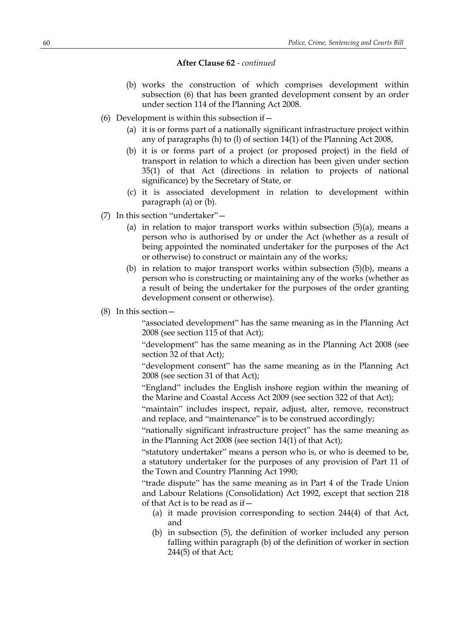- (b) works the construction of which comprises development within subsection (6) that has been granted development consent by an order under section 114 of the Planning Act 2008.
- (6) Development is within this subsection if  $-$ 
	- (a) it is or forms part of a nationally significant infrastructure project within any of paragraphs (h) to (l) of section 14(1) of the Planning Act 2008,
	- (b) it is or forms part of a project (or proposed project) in the field of transport in relation to which a direction has been given under section 35(1) of that Act (directions in relation to projects of national significance) by the Secretary of State, or
	- (c) it is associated development in relation to development within paragraph (a) or (b).
- (7) In this section "undertaker"—
	- (a) in relation to major transport works within subsection  $(5)(a)$ , means a person who is authorised by or under the Act (whether as a result of being appointed the nominated undertaker for the purposes of the Act or otherwise) to construct or maintain any of the works;
	- (b) in relation to major transport works within subsection (5)(b), means a person who is constructing or maintaining any of the works (whether as a result of being the undertaker for the purposes of the order granting development consent or otherwise).
- (8) In this section—

"associated development" has the same meaning as in the Planning Act 2008 (see section 115 of that Act);

"development" has the same meaning as in the Planning Act 2008 (see section 32 of that Act);

"development consent" has the same meaning as in the Planning Act 2008 (see section 31 of that Act);

"England" includes the English inshore region within the meaning of the Marine and Coastal Access Act 2009 (see section 322 of that Act);

"maintain" includes inspect, repair, adjust, alter, remove, reconstruct and replace, and "maintenance" is to be construed accordingly;

"nationally significant infrastructure project" has the same meaning as in the Planning Act 2008 (see section 14(1) of that Act);

"statutory undertaker" means a person who is, or who is deemed to be, a statutory undertaker for the purposes of any provision of Part 11 of the Town and Country Planning Act 1990;

"trade dispute" has the same meaning as in Part 4 of the Trade Union and Labour Relations (Consolidation) Act 1992, except that section 218 of that Act is to be read as if—

- (a) it made provision corresponding to section 244(4) of that Act, and
- (b) in subsection (5), the definition of worker included any person falling within paragraph (b) of the definition of worker in section 244(5) of that Act;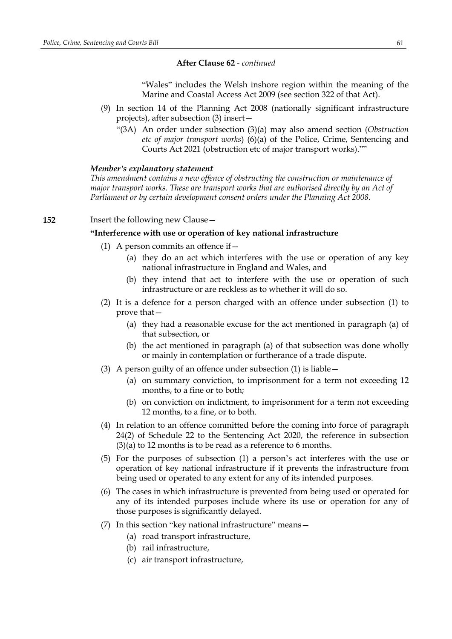"Wales" includes the Welsh inshore region within the meaning of the Marine and Coastal Access Act 2009 (see section 322 of that Act).

- (9) In section 14 of the Planning Act 2008 (nationally significant infrastructure projects), after subsection (3) insert—
	- "(3A) An order under subsection (3)(a) may also amend section (*Obstruction etc of major transport works*) (6)(a) of the Police, Crime, Sentencing and Courts Act 2021 (obstruction etc of major transport works).""

#### *Member's explanatory statement*

*This amendment contains a new offence of obstructing the construction or maintenance of major transport works. These are transport works that are authorised directly by an Act of Parliament or by certain development consent orders under the Planning Act 2008.*

### **152** Insert the following new Clause—

#### **"Interference with use or operation of key national infrastructure**

- (1) A person commits an offence if  $-$ 
	- (a) they do an act which interferes with the use or operation of any key national infrastructure in England and Wales, and
	- (b) they intend that act to interfere with the use or operation of such infrastructure or are reckless as to whether it will do so.
- (2) It is a defence for a person charged with an offence under subsection (1) to prove that—
	- (a) they had a reasonable excuse for the act mentioned in paragraph (a) of that subsection, or
	- (b) the act mentioned in paragraph (a) of that subsection was done wholly or mainly in contemplation or furtherance of a trade dispute.
- (3) A person guilty of an offence under subsection (1) is liable—
	- (a) on summary conviction, to imprisonment for a term not exceeding 12 months, to a fine or to both;
	- (b) on conviction on indictment, to imprisonment for a term not exceeding 12 months, to a fine, or to both.
- (4) In relation to an offence committed before the coming into force of paragraph 24(2) of Schedule 22 to the Sentencing Act 2020, the reference in subsection  $(3)(a)$  to 12 months is to be read as a reference to 6 months.
- (5) For the purposes of subsection (1) a person's act interferes with the use or operation of key national infrastructure if it prevents the infrastructure from being used or operated to any extent for any of its intended purposes.
- (6) The cases in which infrastructure is prevented from being used or operated for any of its intended purposes include where its use or operation for any of those purposes is significantly delayed.
- (7) In this section "key national infrastructure" means—
	- (a) road transport infrastructure,
	- (b) rail infrastructure,
	- (c) air transport infrastructure,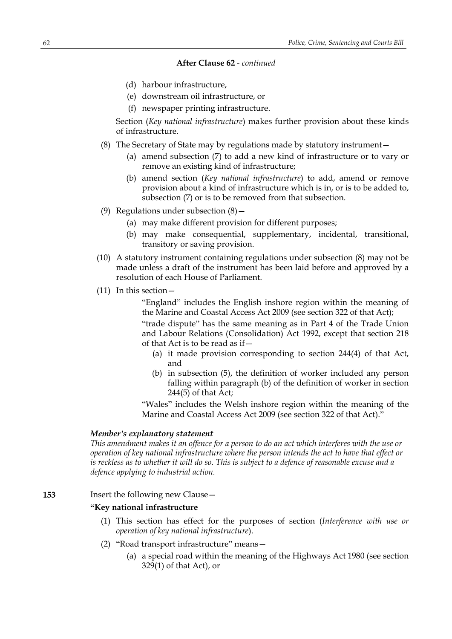- (d) harbour infrastructure,
- (e) downstream oil infrastructure, or
- (f) newspaper printing infrastructure.

Section (*Key national infrastructure*) makes further provision about these kinds of infrastructure.

- (8) The Secretary of State may by regulations made by statutory instrument—
	- (a) amend subsection (7) to add a new kind of infrastructure or to vary or remove an existing kind of infrastructure;
	- (b) amend section (*Key national infrastructure*) to add, amend or remove provision about a kind of infrastructure which is in, or is to be added to, subsection (7) or is to be removed from that subsection.
- (9) Regulations under subsection (8)—
	- (a) may make different provision for different purposes;
	- (b) may make consequential, supplementary, incidental, transitional, transitory or saving provision.
- (10) A statutory instrument containing regulations under subsection (8) may not be made unless a draft of the instrument has been laid before and approved by a resolution of each House of Parliament.
- (11) In this section—

"England" includes the English inshore region within the meaning of the Marine and Coastal Access Act 2009 (see section 322 of that Act);

"trade dispute" has the same meaning as in Part 4 of the Trade Union and Labour Relations (Consolidation) Act 1992, except that section 218 of that Act is to be read as if—

- (a) it made provision corresponding to section 244(4) of that Act, and
- (b) in subsection (5), the definition of worker included any person falling within paragraph (b) of the definition of worker in section 244(5) of that Act;

"Wales" includes the Welsh inshore region within the meaning of the Marine and Coastal Access Act 2009 (see section 322 of that Act)."

#### *Member's explanatory statement*

This amendment makes it an offence for a person to do an act which interferes with the use or *operation of key national infrastructure where the person intends the act to have that effect or* is reckless as to whether it will do so. This is subject to a defence of reasonable excuse and a *defence applying to industrial action.*

# **153** Insert the following new Clause—

### **"Key national infrastructure**

- (1) This section has effect for the purposes of section (*Interference with use or operation of key national infrastructure*).
- (2) "Road transport infrastructure" means—
	- (a) a special road within the meaning of the Highways Act 1980 (see section 329(1) of that Act), or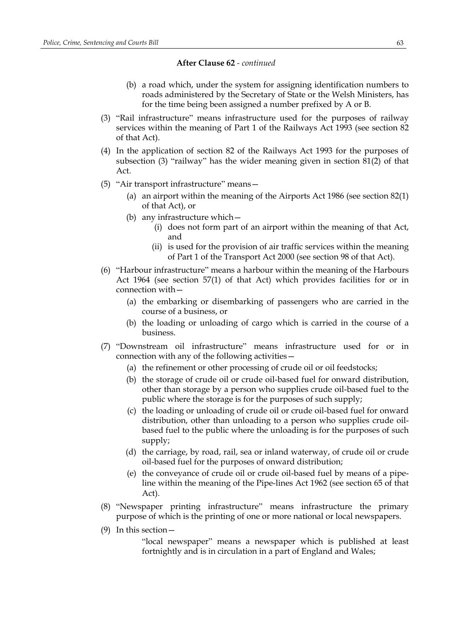- (b) a road which, under the system for assigning identification numbers to roads administered by the Secretary of State or the Welsh Ministers, has for the time being been assigned a number prefixed by A or B.
- (3) "Rail infrastructure" means infrastructure used for the purposes of railway services within the meaning of Part 1 of the Railways Act 1993 (see section 82 of that Act).
- (4) In the application of section 82 of the Railways Act 1993 for the purposes of subsection (3) "railway" has the wider meaning given in section 81(2) of that Act.
- (5) "Air transport infrastructure" means—
	- (a) an airport within the meaning of the Airports Act 1986 (see section 82(1) of that Act), or
	- (b) any infrastructure which—
		- (i) does not form part of an airport within the meaning of that Act, and
		- (ii) is used for the provision of air traffic services within the meaning of Part 1 of the Transport Act 2000 (see section 98 of that Act).
- (6) "Harbour infrastructure" means a harbour within the meaning of the Harbours Act 1964 (see section 57(1) of that Act) which provides facilities for or in connection with—
	- (a) the embarking or disembarking of passengers who are carried in the course of a business, or
	- (b) the loading or unloading of cargo which is carried in the course of a business.
- (7) "Downstream oil infrastructure" means infrastructure used for or in connection with any of the following activities—
	- (a) the refinement or other processing of crude oil or oil feedstocks;
	- (b) the storage of crude oil or crude oil-based fuel for onward distribution, other than storage by a person who supplies crude oil-based fuel to the public where the storage is for the purposes of such supply;
	- (c) the loading or unloading of crude oil or crude oil-based fuel for onward distribution, other than unloading to a person who supplies crude oilbased fuel to the public where the unloading is for the purposes of such supply;
	- (d) the carriage, by road, rail, sea or inland waterway, of crude oil or crude oil-based fuel for the purposes of onward distribution;
	- (e) the conveyance of crude oil or crude oil-based fuel by means of a pipeline within the meaning of the Pipe-lines Act 1962 (see section 65 of that Act).
- (8) "Newspaper printing infrastructure" means infrastructure the primary purpose of which is the printing of one or more national or local newspapers.
- (9) In this section—

"local newspaper" means a newspaper which is published at least fortnightly and is in circulation in a part of England and Wales;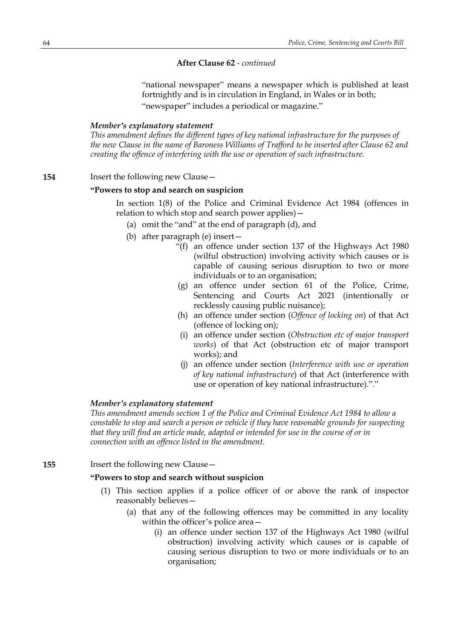"national newspaper" means a newspaper which is published at least fortnightly and is in circulation in England, in Wales or in both; "newspaper" includes a periodical or magazine."

#### *Member's explanatory statement*

*This amendment defines the different types of key national infrastructure for the purposes of the new Clause in the name of Baroness Williams of Trafford to be inserted after Clause 62 and creating the offence of interfering with the use or operation of such infrastructure.*

#### **154** Insert the following new Clause—

## **"Powers to stop and search on suspicion**

In section 1(8) of the Police and Criminal Evidence Act 1984 (offences in relation to which stop and search power applies)—

- (a) omit the "and" at the end of paragraph (d), and
- (b) after paragraph (e) insert—
	- "(f) an offence under section 137 of the Highways Act 1980 (wilful obstruction) involving activity which causes or is capable of causing serious disruption to two or more individuals or to an organisation;
	- (g) an offence under section 61 of the Police, Crime, Sentencing and Courts Act 2021 (intentionally or recklessly causing public nuisance);
	- (h) an offence under section (*Offence of locking on*) of that Act (offence of locking on);
	- (i) an offence under section (*Obstruction etc of major transport works*) of that Act (obstruction etc of major transport works); and
	- (j) an offence under section (*Interference with use or operation of key national infrastructure*) of that Act (interference with use or operation of key national infrastructure)."."

## *Member's explanatory statement*

*This amendment amends section 1 of the Police and Criminal Evidence Act 1984 to allow a constable to stop and search a person or vehicle if they have reasonable grounds for suspecting that they will find an article made, adapted or intended for use in the course of or in connection with an offence listed in the amendment.*

**155** Insert the following new Clause—

### **"Powers to stop and search without suspicion**

- (1) This section applies if a police officer of or above the rank of inspector reasonably believes—
	- (a) that any of the following offences may be committed in any locality within the officer's police area—
		- (i) an offence under section 137 of the Highways Act 1980 (wilful obstruction) involving activity which causes or is capable of causing serious disruption to two or more individuals or to an organisation;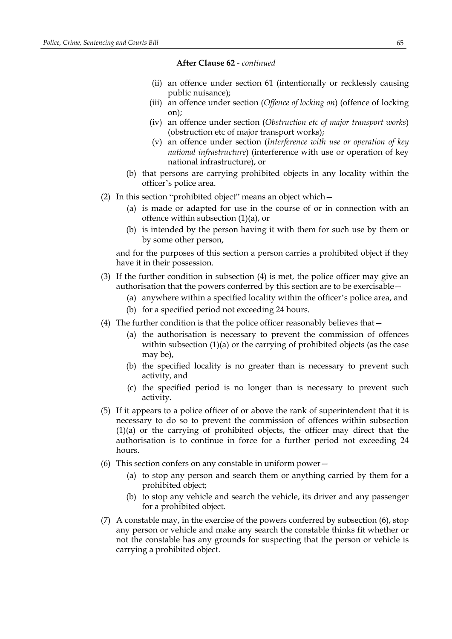- (ii) an offence under section 61 (intentionally or recklessly causing public nuisance);
- (iii) an offence under section (*Offence of locking on*) (offence of locking on);
- (iv) an offence under section (*Obstruction etc of major transport works*) (obstruction etc of major transport works);
- (v) an offence under section (*Interference with use or operation of key national infrastructure*) (interference with use or operation of key national infrastructure), or
- (b) that persons are carrying prohibited objects in any locality within the officer's police area.
- (2) In this section "prohibited object" means an object which—
	- (a) is made or adapted for use in the course of or in connection with an offence within subsection (1)(a), or
	- (b) is intended by the person having it with them for such use by them or by some other person,

and for the purposes of this section a person carries a prohibited object if they have it in their possession.

- (3) If the further condition in subsection (4) is met, the police officer may give an authorisation that the powers conferred by this section are to be exercisable—
	- (a) anywhere within a specified locality within the officer's police area, and
	- (b) for a specified period not exceeding 24 hours.
- (4) The further condition is that the police officer reasonably believes that—
	- (a) the authorisation is necessary to prevent the commission of offences within subsection (1)(a) or the carrying of prohibited objects (as the case may be),
	- (b) the specified locality is no greater than is necessary to prevent such activity, and
	- (c) the specified period is no longer than is necessary to prevent such activity.
- (5) If it appears to a police officer of or above the rank of superintendent that it is necessary to do so to prevent the commission of offences within subsection (1)(a) or the carrying of prohibited objects, the officer may direct that the authorisation is to continue in force for a further period not exceeding 24 hours.
- (6) This section confers on any constable in uniform power—
	- (a) to stop any person and search them or anything carried by them for a prohibited object;
	- (b) to stop any vehicle and search the vehicle, its driver and any passenger for a prohibited object.
- (7) A constable may, in the exercise of the powers conferred by subsection (6), stop any person or vehicle and make any search the constable thinks fit whether or not the constable has any grounds for suspecting that the person or vehicle is carrying a prohibited object.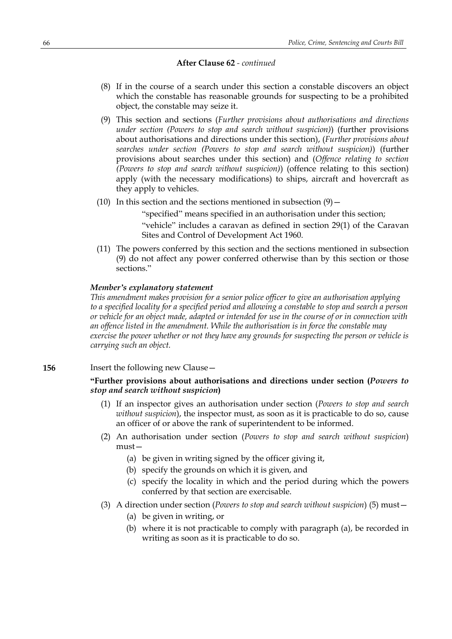- (8) If in the course of a search under this section a constable discovers an object which the constable has reasonable grounds for suspecting to be a prohibited object, the constable may seize it.
- (9) This section and sections (*Further provisions about authorisations and directions under section (Powers to stop and search without suspicion)*) (further provisions about authorisations and directions under this section), (*Further provisions about searches under section (Powers to stop and search without suspicion)*) (further provisions about searches under this section) and (*Offence relating to section (Powers to stop and search without suspicion)*) (offence relating to this section) apply (with the necessary modifications) to ships, aircraft and hovercraft as they apply to vehicles.
- (10) In this section and the sections mentioned in subsection  $(9)$  –

"specified" means specified in an authorisation under this section;

"vehicle" includes a caravan as defined in section 29(1) of the Caravan Sites and Control of Development Act 1960.

(11) The powers conferred by this section and the sections mentioned in subsection (9) do not affect any power conferred otherwise than by this section or those sections."

### *Member's explanatory statement*

*This amendment makes provision for a senior police officer to give an authorisation applying* to a specified locality for a specified period and allowing a constable to stop and search a person or vehicle for an object made, adapted or intended for use in the course of or in connection with *an offence listed in the amendment. While the authorisation is in force the constable may exercise the power whether or not they have any grounds for suspecting the person or vehicle is carrying such an object.*

### **156** Insert the following new Clause –

# **"Further provisions about authorisations and directions under section (***Powers to stop and search without suspicion***)**

- (1) If an inspector gives an authorisation under section (*Powers to stop and search without suspicion*), the inspector must, as soon as it is practicable to do so, cause an officer of or above the rank of superintendent to be informed.
- (2) An authorisation under section (*Powers to stop and search without suspicion*) must—
	- (a) be given in writing signed by the officer giving it,
	- (b) specify the grounds on which it is given, and
	- (c) specify the locality in which and the period during which the powers conferred by that section are exercisable.

## (3) A direction under section (*Powers to stop and search without suspicion*) (5) must—

- (a) be given in writing, or
- (b) where it is not practicable to comply with paragraph (a), be recorded in writing as soon as it is practicable to do so.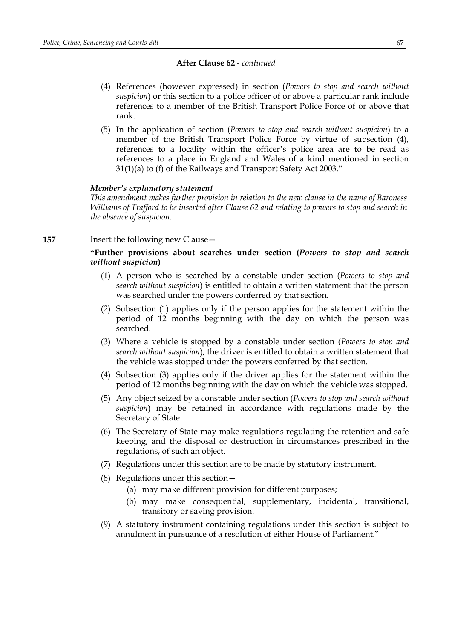- (4) References (however expressed) in section (*Powers to stop and search without suspicion*) or this section to a police officer of or above a particular rank include references to a member of the British Transport Police Force of or above that rank.
- (5) In the application of section (*Powers to stop and search without suspicion*) to a member of the British Transport Police Force by virtue of subsection (4), references to a locality within the officer's police area are to be read as references to a place in England and Wales of a kind mentioned in section 31(1)(a) to (f) of the Railways and Transport Safety Act 2003."

### *Member's explanatory statement*

*This amendment makes further provision in relation to the new clause in the name of Baroness Williams of Trafford to be inserted after Clause 62 and relating to powers to stop and search in the absence of suspicion.*

#### **157** Insert the following new Clause—

# **"Further provisions about searches under section (***Powers to stop and search without suspicion***)**

- (1) A person who is searched by a constable under section (*Powers to stop and search without suspicion*) is entitled to obtain a written statement that the person was searched under the powers conferred by that section.
- (2) Subsection (1) applies only if the person applies for the statement within the period of 12 months beginning with the day on which the person was searched.
- (3) Where a vehicle is stopped by a constable under section (*Powers to stop and search without suspicion*), the driver is entitled to obtain a written statement that the vehicle was stopped under the powers conferred by that section.
- (4) Subsection (3) applies only if the driver applies for the statement within the period of 12 months beginning with the day on which the vehicle was stopped.
- (5) Any object seized by a constable under section (*Powers to stop and search without suspicion*) may be retained in accordance with regulations made by the Secretary of State.
- (6) The Secretary of State may make regulations regulating the retention and safe keeping, and the disposal or destruction in circumstances prescribed in the regulations, of such an object.
- (7) Regulations under this section are to be made by statutory instrument.
- (8) Regulations under this section—
	- (a) may make different provision for different purposes;
	- (b) may make consequential, supplementary, incidental, transitional, transitory or saving provision.
- (9) A statutory instrument containing regulations under this section is subject to annulment in pursuance of a resolution of either House of Parliament."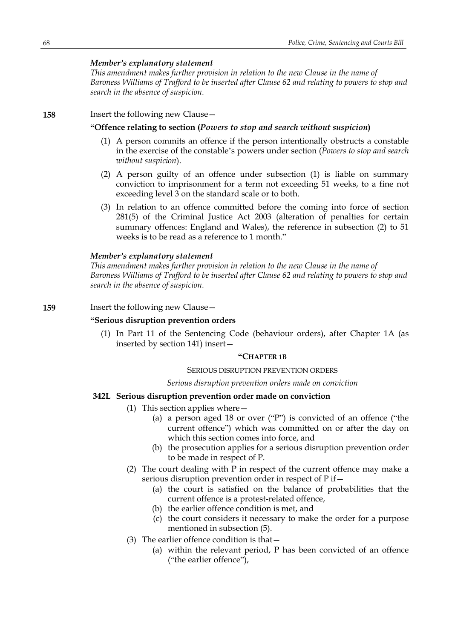### *Member's explanatory statement*

*This amendment makes further provision in relation to the new Clause in the name of Baroness Williams of Trafford to be inserted after Clause 62 and relating to powers to stop and search in the absence of suspicion.*

### **158** Insert the following new Clause—

### **"Offence relating to section (***Powers to stop and search without suspicion***)**

- (1) A person commits an offence if the person intentionally obstructs a constable in the exercise of the constable's powers under section (*Powers to stop and search without suspicion*).
- (2) A person guilty of an offence under subsection (1) is liable on summary conviction to imprisonment for a term not exceeding 51 weeks, to a fine not exceeding level 3 on the standard scale or to both.
- (3) In relation to an offence committed before the coming into force of section 281(5) of the Criminal Justice Act 2003 (alteration of penalties for certain summary offences: England and Wales), the reference in subsection (2) to 51 weeks is to be read as a reference to 1 month."

#### *Member's explanatory statement*

*This amendment makes further provision in relation to the new Clause in the name of Baroness Williams of Trafford to be inserted after Clause 62 and relating to powers to stop and search in the absence of suspicion.*

### **159** Insert the following new Clause -

## **"Serious disruption prevention orders**

(1) In Part 11 of the Sentencing Code (behaviour orders), after Chapter 1A (as inserted by section 141) insert—

### **"CHAPTER 1B**

#### SERIOUS DISRUPTION PREVENTION ORDERS

#### *Serious disruption prevention orders made on conviction*

## **342L Serious disruption prevention order made on conviction**

- (1) This section applies where—
	- (a) a person aged 18 or over ("P") is convicted of an offence ("the current offence") which was committed on or after the day on which this section comes into force, and
	- (b) the prosecution applies for a serious disruption prevention order to be made in respect of P.
- (2) The court dealing with P in respect of the current offence may make a serious disruption prevention order in respect of P if—
	- (a) the court is satisfied on the balance of probabilities that the current offence is a protest-related offence,
	- (b) the earlier offence condition is met, and
	- (c) the court considers it necessary to make the order for a purpose mentioned in subsection (5).
- (3) The earlier offence condition is that—
	- (a) within the relevant period, P has been convicted of an offence ("the earlier offence"),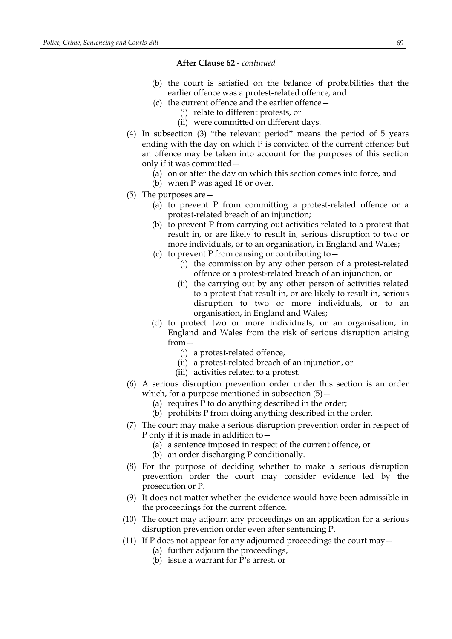- (b) the court is satisfied on the balance of probabilities that the earlier offence was a protest-related offence, and
- (c) the current offence and the earlier offence—
	- (i) relate to different protests, or
	- (ii) were committed on different days.
- (4) In subsection (3) "the relevant period" means the period of 5 years ending with the day on which P is convicted of the current offence; but an offence may be taken into account for the purposes of this section only if it was committed—
	- (a) on or after the day on which this section comes into force, and
	- (b) when P was aged 16 or over.
- (5) The purposes are—
	- (a) to prevent P from committing a protest-related offence or a protest-related breach of an injunction;
	- (b) to prevent P from carrying out activities related to a protest that result in, or are likely to result in, serious disruption to two or more individuals, or to an organisation, in England and Wales;
	- (c) to prevent P from causing or contributing to  $-$ 
		- (i) the commission by any other person of a protest-related offence or a protest-related breach of an injunction, or
		- (ii) the carrying out by any other person of activities related to a protest that result in, or are likely to result in, serious disruption to two or more individuals, or to an organisation, in England and Wales;
	- (d) to protect two or more individuals, or an organisation, in England and Wales from the risk of serious disruption arising from—
		- (i) a protest-related offence,
		- (ii) a protest-related breach of an injunction, or
		- (iii) activities related to a protest.
- (6) A serious disruption prevention order under this section is an order which, for a purpose mentioned in subsection  $(5)$  –
	- (a) requires P to do anything described in the order;
	- (b) prohibits P from doing anything described in the order.
- (7) The court may make a serious disruption prevention order in respect of P only if it is made in addition to—
	- (a) a sentence imposed in respect of the current offence, or
	- (b) an order discharging P conditionally.
- (8) For the purpose of deciding whether to make a serious disruption prevention order the court may consider evidence led by the prosecution or P.
- (9) It does not matter whether the evidence would have been admissible in the proceedings for the current offence.
- (10) The court may adjourn any proceedings on an application for a serious disruption prevention order even after sentencing P.
- (11) If P does not appear for any adjourned proceedings the court may  $-$ 
	- (a) further adjourn the proceedings,
	- (b) issue a warrant for P's arrest, or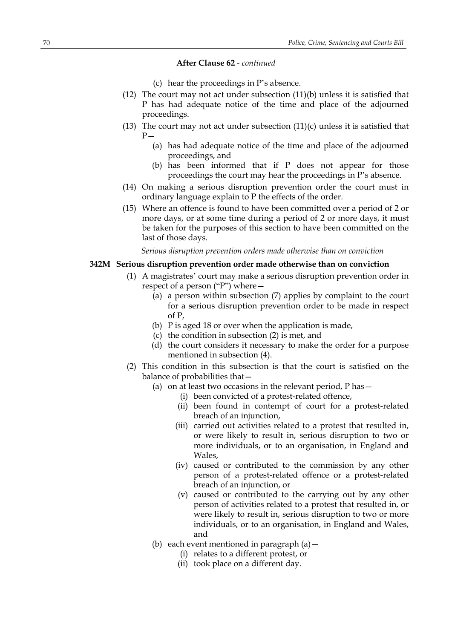- (c) hear the proceedings in P's absence.
- (12) The court may not act under subsection (11)(b) unless it is satisfied that P has had adequate notice of the time and place of the adjourned proceedings.
- (13) The court may not act under subsection  $(11)(c)$  unless it is satisfied that  $P -$ 
	- (a) has had adequate notice of the time and place of the adjourned proceedings, and
	- (b) has been informed that if P does not appear for those proceedings the court may hear the proceedings in P's absence.
- (14) On making a serious disruption prevention order the court must in ordinary language explain to P the effects of the order.
- (15) Where an offence is found to have been committed over a period of 2 or more days, or at some time during a period of 2 or more days, it must be taken for the purposes of this section to have been committed on the last of those days.

*Serious disruption prevention orders made otherwise than on conviction*

## **342M Serious disruption prevention order made otherwise than on conviction**

- (1) A magistrates' court may make a serious disruption prevention order in respect of a person ("P") where—
	- $\overline{a}$  (a) a person within subsection (7) applies by complaint to the court for a serious disruption prevention order to be made in respect of P,
	- (b) P is aged 18 or over when the application is made,
	- (c) the condition in subsection (2) is met, and
	- (d) the court considers it necessary to make the order for a purpose mentioned in subsection (4).
- (2) This condition in this subsection is that the court is satisfied on the balance of probabilities that—
	- (a) on at least two occasions in the relevant period,  $P$  has  $-$ 
		- (i) been convicted of a protest-related offence,
		- (ii) been found in contempt of court for a protest-related breach of an injunction,
		- (iii) carried out activities related to a protest that resulted in, or were likely to result in, serious disruption to two or more individuals, or to an organisation, in England and Wales,
		- (iv) caused or contributed to the commission by any other person of a protest-related offence or a protest-related breach of an injunction, or
		- (v) caused or contributed to the carrying out by any other person of activities related to a protest that resulted in, or were likely to result in, serious disruption to two or more individuals, or to an organisation, in England and Wales, and
	- (b) each event mentioned in paragraph  $(a)$  -
		- (i) relates to a different protest, or
		- (ii) took place on a different day.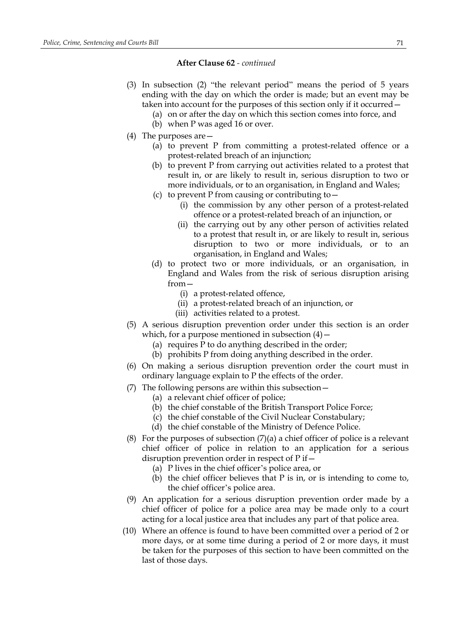- (3) In subsection (2) "the relevant period" means the period of 5 years ending with the day on which the order is made; but an event may be taken into account for the purposes of this section only if it occurred—
	- (a) on or after the day on which this section comes into force, and
	- (b) when P was aged 16 or over.
- (4) The purposes are—
	- (a) to prevent P from committing a protest-related offence or a protest-related breach of an injunction;
	- (b) to prevent P from carrying out activities related to a protest that result in, or are likely to result in, serious disruption to two or more individuals, or to an organisation, in England and Wales;
	- (c) to prevent P from causing or contributing to—
		- (i) the commission by any other person of a protest-related offence or a protest-related breach of an injunction, or
		- (ii) the carrying out by any other person of activities related to a protest that result in, or are likely to result in, serious disruption to two or more individuals, or to an organisation, in England and Wales;
	- (d) to protect two or more individuals, or an organisation, in England and Wales from the risk of serious disruption arising from—
		- (i) a protest-related offence,
		- (ii) a protest-related breach of an injunction, or
		- (iii) activities related to a protest.
- (5) A serious disruption prevention order under this section is an order which, for a purpose mentioned in subsection  $(4)$  –
	- (a) requires P to do anything described in the order;
	- (b) prohibits P from doing anything described in the order.
- (6) On making a serious disruption prevention order the court must in ordinary language explain to P the effects of the order.
- (7) The following persons are within this subsection—
	- (a) a relevant chief officer of police;
	- (b) the chief constable of the British Transport Police Force;
	- (c) the chief constable of the Civil Nuclear Constabulary;
	- (d) the chief constable of the Ministry of Defence Police.
- (8) For the purposes of subsection  $(7)(a)$  a chief officer of police is a relevant chief officer of police in relation to an application for a serious disruption prevention order in respect of P if—
	- (a) P lives in the chief officer's police area, or
	- (b) the chief officer believes that P is in, or is intending to come to, the chief officer's police area.
- (9) An application for a serious disruption prevention order made by a chief officer of police for a police area may be made only to a court acting for a local justice area that includes any part of that police area.
- (10) Where an offence is found to have been committed over a period of 2 or more days, or at some time during a period of 2 or more days, it must be taken for the purposes of this section to have been committed on the last of those days.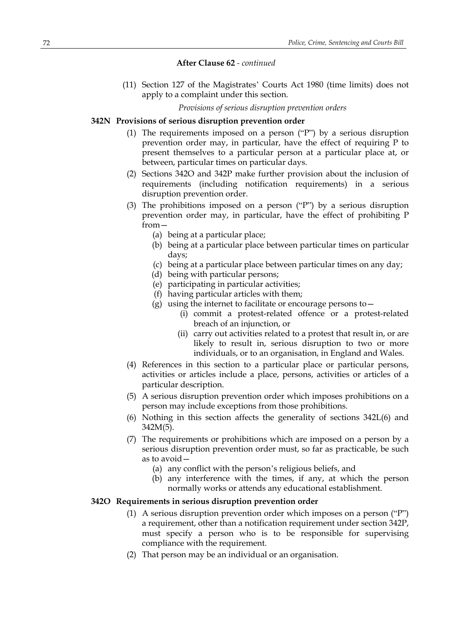(11) Section 127 of the Magistrates' Courts Act 1980 (time limits) does not apply to a complaint under this section.

*Provisions of serious disruption prevention orders*

#### **342N Provisions of serious disruption prevention order**

- (1) The requirements imposed on a person ("P") by a serious disruption prevention order may, in particular, have the effect of requiring P to present themselves to a particular person at a particular place at, or between, particular times on particular days.
- (2) Sections 342O and 342P make further provision about the inclusion of requirements (including notification requirements) in a serious disruption prevention order.
- (3) The prohibitions imposed on a person ("P") by a serious disruption prevention order may, in particular, have the effect of prohibiting P from—
	- (a) being at a particular place;
	- (b) being at a particular place between particular times on particular days;
	- (c) being at a particular place between particular times on any day;
	- (d) being with particular persons;
	- (e) participating in particular activities;
	- (f) having particular articles with them;
	- (g) using the internet to facilitate or encourage persons to  $-$ 
		- (i) commit a protest-related offence or a protest-related breach of an injunction, or
		- (ii) carry out activities related to a protest that result in, or are likely to result in, serious disruption to two or more individuals, or to an organisation, in England and Wales.
- (4) References in this section to a particular place or particular persons, activities or articles include a place, persons, activities or articles of a particular description.
- (5) A serious disruption prevention order which imposes prohibitions on a person may include exceptions from those prohibitions.
- (6) Nothing in this section affects the generality of sections 342L(6) and 342M(5).
- (7) The requirements or prohibitions which are imposed on a person by a serious disruption prevention order must, so far as practicable, be such as to avoid—
	- (a) any conflict with the person's religious beliefs, and
	- (b) any interference with the times, if any, at which the person normally works or attends any educational establishment.

### **342O Requirements in serious disruption prevention order**

- (1) A serious disruption prevention order which imposes on a person ("P") a requirement, other than a notification requirement under section 342P, must specify a person who is to be responsible for supervising compliance with the requirement.
- (2) That person may be an individual or an organisation.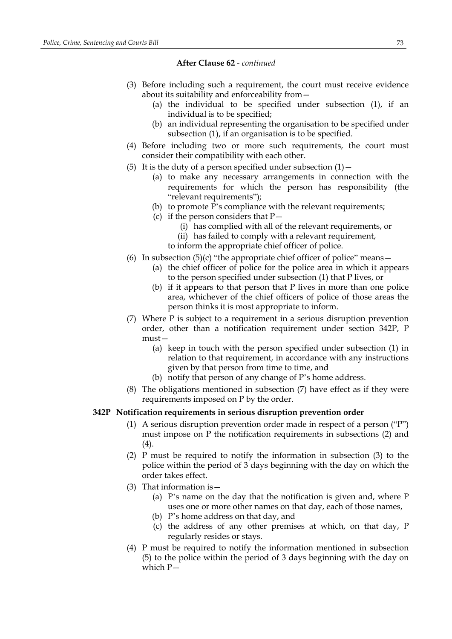- (3) Before including such a requirement, the court must receive evidence about its suitability and enforceability from—
	- (a) the individual to be specified under subsection (1), if an individual is to be specified;
	- (b) an individual representing the organisation to be specified under subsection (1), if an organisation is to be specified.
- (4) Before including two or more such requirements, the court must consider their compatibility with each other.
- (5) It is the duty of a person specified under subsection  $(1)$  -
	- (a) to make any necessary arrangements in connection with the requirements for which the person has responsibility (the "relevant requirements");
	- (b) to promote P's compliance with the relevant requirements;
	- (c) if the person considers that  $P-$ 
		- (i) has complied with all of the relevant requirements, or
		- (ii) has failed to comply with a relevant requirement,
		- to inform the appropriate chief officer of police.
- (6) In subsection  $(5)(c)$  "the appropriate chief officer of police" means  $-$ 
	- (a) the chief officer of police for the police area in which it appears to the person specified under subsection (1) that P lives, or
	- (b) if it appears to that person that P lives in more than one police area, whichever of the chief officers of police of those areas the person thinks it is most appropriate to inform.
- (7) Where P is subject to a requirement in a serious disruption prevention order, other than a notification requirement under section 342P, P must—
	- (a) keep in touch with the person specified under subsection (1) in relation to that requirement, in accordance with any instructions given by that person from time to time, and
	- (b) notify that person of any change of P's home address.
- (8) The obligations mentioned in subsection (7) have effect as if they were requirements imposed on P by the order.

## **342P Notification requirements in serious disruption prevention order**

- (1) A serious disruption prevention order made in respect of a person ("P") must impose on P the notification requirements in subsections (2) and (4).
- (2) P must be required to notify the information in subsection (3) to the police within the period of 3 days beginning with the day on which the order takes effect.
- (3) That information is—
	- (a) P's name on the day that the notification is given and, where P uses one or more other names on that day, each of those names,
	- (b) P's home address on that day, and
	- (c) the address of any other premises at which, on that day, P regularly resides or stays.
- (4) P must be required to notify the information mentioned in subsection (5) to the police within the period of 3 days beginning with the day on which P—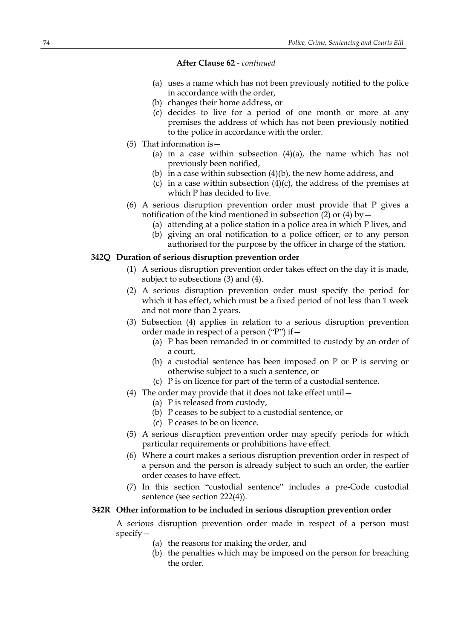- (a) uses a name which has not been previously notified to the police in accordance with the order,
- (b) changes their home address, or
- (c) decides to live for a period of one month or more at any premises the address of which has not been previously notified to the police in accordance with the order.
- (5) That information is—
	- (a) in a case within subsection  $(4)(a)$ , the name which has not previously been notified,
	- (b) in a case within subsection  $(4)(b)$ , the new home address, and
	- (c) in a case within subsection  $(4)(c)$ , the address of the premises at which P has decided to live.
- (6) A serious disruption prevention order must provide that P gives a notification of the kind mentioned in subsection  $(2)$  or  $(4)$  by  $-$ 
	- (a) attending at a police station in a police area in which P lives, and
	- (b) giving an oral notification to a police officer, or to any person
		- authorised for the purpose by the officer in charge of the station.

# **342Q Duration of serious disruption prevention order**

- (1) A serious disruption prevention order takes effect on the day it is made, subject to subsections (3) and (4).
- (2) A serious disruption prevention order must specify the period for which it has effect, which must be a fixed period of not less than 1 week and not more than 2 years.
- (3) Subsection (4) applies in relation to a serious disruption prevention order made in respect of a person ("P") if—
	- (a) P has been remanded in or committed to custody by an order of a court,
	- (b) a custodial sentence has been imposed on P or P is serving or otherwise subject to a such a sentence, or
	- (c) P is on licence for part of the term of a custodial sentence.
- (4) The order may provide that it does not take effect until—
	- (a) P is released from custody,
	- (b) P ceases to be subject to a custodial sentence, or
	- (c) P ceases to be on licence.
- (5) A serious disruption prevention order may specify periods for which particular requirements or prohibitions have effect.
- (6) Where a court makes a serious disruption prevention order in respect of a person and the person is already subject to such an order, the earlier order ceases to have effect.
- (7) In this section "custodial sentence" includes a pre-Code custodial sentence (see section 222(4)).

# **342R Other information to be included in serious disruption prevention order**

A serious disruption prevention order made in respect of a person must specify—

- (a) the reasons for making the order, and
- (b) the penalties which may be imposed on the person for breaching the order.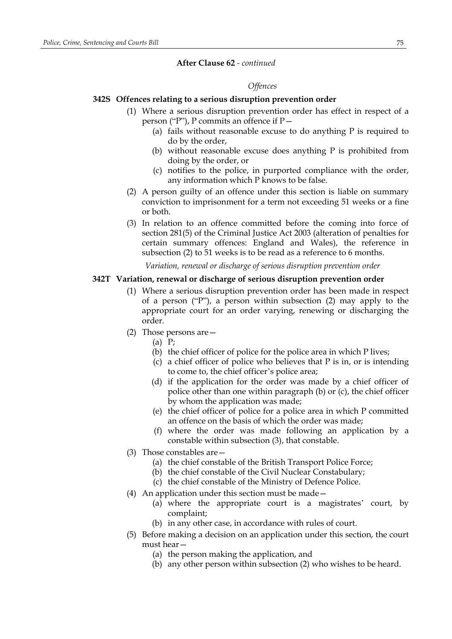#### *Offences*

# **342S Offences relating to a serious disruption prevention order**

- (1) Where a serious disruption prevention order has effect in respect of a person ("P"), P commits an offence if P—
	- (a) fails without reasonable excuse to do anything P is required to do by the order,
	- (b) without reasonable excuse does anything P is prohibited from doing by the order, or
	- (c) notifies to the police, in purported compliance with the order, any information which P knows to be false.
- (2) A person guilty of an offence under this section is liable on summary conviction to imprisonment for a term not exceeding 51 weeks or a fine or both.
- (3) In relation to an offence committed before the coming into force of section 281(5) of the Criminal Justice Act 2003 (alteration of penalties for certain summary offences: England and Wales), the reference in subsection (2) to 51 weeks is to be read as a reference to 6 months.

*Variation, renewal or discharge of serious disruption prevention order*

# **342T Variation, renewal or discharge of serious disruption prevention order**

- (1) Where a serious disruption prevention order has been made in respect of a person ("P"), a person within subsection (2) may apply to the appropriate court for an order varying, renewing or discharging the order.
- (2) Those persons are—
	- (a) P;
	- (b) the chief officer of police for the police area in which P lives;
	- (c) a chief officer of police who believes that P is in, or is intending to come to, the chief officer's police area;
	- (d) if the application for the order was made by a chief officer of police other than one within paragraph (b) or (c), the chief officer by whom the application was made;
	- (e) the chief officer of police for a police area in which P committed an offence on the basis of which the order was made;
	- (f) where the order was made following an application by a constable within subsection (3), that constable.
- (3) Those constables are—
	- (a) the chief constable of the British Transport Police Force;
	- (b) the chief constable of the Civil Nuclear Constabulary;
	- (c) the chief constable of the Ministry of Defence Police.
- (4) An application under this section must be made—
	- (a) where the appropriate court is a magistrates' court, by complaint;
	- (b) in any other case, in accordance with rules of court.
- (5) Before making a decision on an application under this section, the court must hear—
	- (a) the person making the application, and
	- (b) any other person within subsection (2) who wishes to be heard.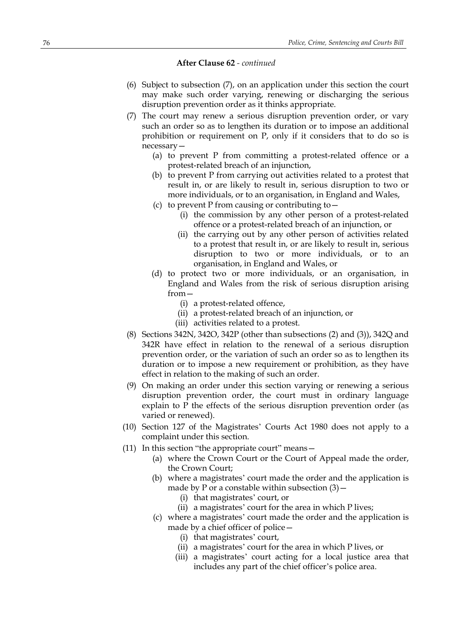- (6) Subject to subsection (7), on an application under this section the court may make such order varying, renewing or discharging the serious disruption prevention order as it thinks appropriate.
- (7) The court may renew a serious disruption prevention order, or vary such an order so as to lengthen its duration or to impose an additional prohibition or requirement on P, only if it considers that to do so is necessary—
	- (a) to prevent P from committing a protest-related offence or a protest-related breach of an injunction,
	- (b) to prevent P from carrying out activities related to a protest that result in, or are likely to result in, serious disruption to two or more individuals, or to an organisation, in England and Wales,
	- (c) to prevent P from causing or contributing to—
		- (i) the commission by any other person of a protest-related offence or a protest-related breach of an injunction, or
		- (ii) the carrying out by any other person of activities related to a protest that result in, or are likely to result in, serious disruption to two or more individuals, or to an organisation, in England and Wales, or
	- (d) to protect two or more individuals, or an organisation, in England and Wales from the risk of serious disruption arising from—
		- (i) a protest-related offence,
		- (ii) a protest-related breach of an injunction, or
		- (iii) activities related to a protest.
- (8) Sections 342N, 342O, 342P (other than subsections (2) and (3)), 342Q and 342R have effect in relation to the renewal of a serious disruption prevention order, or the variation of such an order so as to lengthen its duration or to impose a new requirement or prohibition, as they have effect in relation to the making of such an order.
- (9) On making an order under this section varying or renewing a serious disruption prevention order, the court must in ordinary language explain to P the effects of the serious disruption prevention order (as varied or renewed).
- (10) Section 127 of the Magistrates' Courts Act 1980 does not apply to a complaint under this section.
- (11) In this section "the appropriate court" means—
	- (a) where the Crown Court or the Court of Appeal made the order, the Crown Court;
	- (b) where a magistrates' court made the order and the application is made by P or a constable within subsection  $(3)$  –
		- (i) that magistrates' court, or
		- (ii) a magistrates' court for the area in which P lives;
	- (c) where a magistrates' court made the order and the application is made by a chief officer of police—
		- (i) that magistrates' court,
		- (ii) a magistrates' court for the area in which P lives, or
		- (iii) a magistrates' court acting for a local justice area that includes any part of the chief officer's police area.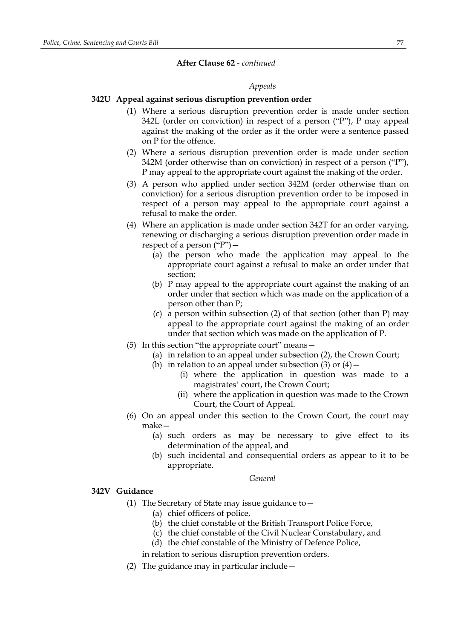#### *Appeals*

# **342U Appeal against serious disruption prevention order**

- (1) Where a serious disruption prevention order is made under section 342L (order on conviction) in respect of a person ("P"), P may appeal against the making of the order as if the order were a sentence passed on P for the offence.
- (2) Where a serious disruption prevention order is made under section 342M (order otherwise than on conviction) in respect of a person ("P"), P may appeal to the appropriate court against the making of the order.
- (3) A person who applied under section 342M (order otherwise than on conviction) for a serious disruption prevention order to be imposed in respect of a person may appeal to the appropriate court against a refusal to make the order.
- (4) Where an application is made under section 342T for an order varying, renewing or discharging a serious disruption prevention order made in respect of a person  $("P")$  –
	- (a) the person who made the application may appeal to the appropriate court against a refusal to make an order under that section;
	- (b) P may appeal to the appropriate court against the making of an order under that section which was made on the application of a person other than P;
	- (c) a person within subsection (2) of that section (other than P) may appeal to the appropriate court against the making of an order under that section which was made on the application of P.
- (5) In this section "the appropriate court" means—
	- (a) in relation to an appeal under subsection (2), the Crown Court;
	- (b) in relation to an appeal under subsection (3) or  $(4)$ 
		- (i) where the application in question was made to a magistrates' court, the Crown Court;
		- (ii) where the application in question was made to the Crown Court, the Court of Appeal.
- (6) On an appeal under this section to the Crown Court, the court may make—
	- (a) such orders as may be necessary to give effect to its determination of the appeal, and
	- (b) such incidental and consequential orders as appear to it to be appropriate.

# *General*

## **342V Guidance**

- (1) The Secretary of State may issue guidance to—
	- (a) chief officers of police,
		- (b) the chief constable of the British Transport Police Force,
		- (c) the chief constable of the Civil Nuclear Constabulary, and
	- (d) the chief constable of the Ministry of Defence Police,
	- in relation to serious disruption prevention orders.
- (2) The guidance may in particular include—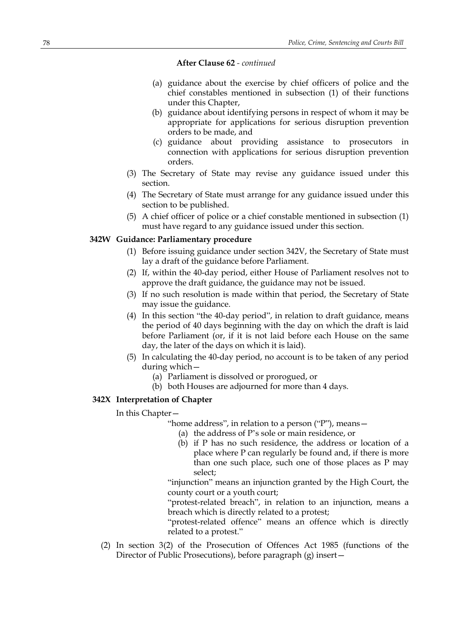- (a) guidance about the exercise by chief officers of police and the chief constables mentioned in subsection (1) of their functions under this Chapter,
- (b) guidance about identifying persons in respect of whom it may be appropriate for applications for serious disruption prevention orders to be made, and
- (c) guidance about providing assistance to prosecutors in connection with applications for serious disruption prevention orders.
- (3) The Secretary of State may revise any guidance issued under this section.
- (4) The Secretary of State must arrange for any guidance issued under this section to be published.
- (5) A chief officer of police or a chief constable mentioned in subsection (1) must have regard to any guidance issued under this section.

## **342W Guidance: Parliamentary procedure**

- (1) Before issuing guidance under section 342V, the Secretary of State must lay a draft of the guidance before Parliament.
- (2) If, within the 40-day period, either House of Parliament resolves not to approve the draft guidance, the guidance may not be issued.
- (3) If no such resolution is made within that period, the Secretary of State may issue the guidance.
- (4) In this section "the 40-day period", in relation to draft guidance, means the period of 40 days beginning with the day on which the draft is laid before Parliament (or, if it is not laid before each House on the same day, the later of the days on which it is laid).
- (5) In calculating the 40-day period, no account is to be taken of any period during which—
	- (a) Parliament is dissolved or prorogued, or
	- (b) both Houses are adjourned for more than 4 days.

# **342X Interpretation of Chapter**

In this Chapter—

- "home address", in relation to a person ("P"), means—
	- (a) the address of P's sole or main residence, or
	- (b) if P has no such residence, the address or location of a place where P can regularly be found and, if there is more than one such place, such one of those places as P may select;

"injunction" means an injunction granted by the High Court, the county court or a youth court;

"protest-related breach", in relation to an injunction, means a breach which is directly related to a protest;

"protest-related offence" means an offence which is directly related to a protest."

(2) In section 3(2) of the Prosecution of Offences Act 1985 (functions of the Director of Public Prosecutions), before paragraph (g) insert—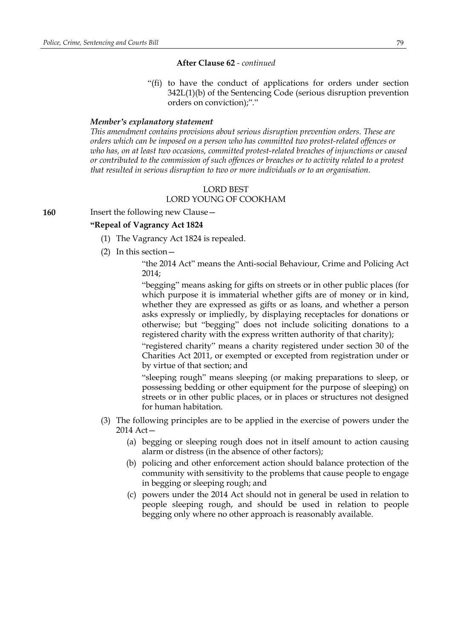"(fi) to have the conduct of applications for orders under section 342L(1)(b) of the Sentencing Code (serious disruption prevention orders on conviction);"."

### *Member's explanatory statement*

*This amendment contains provisions about serious disruption prevention orders. These are orders which can be imposed on a person who has committed two protest-related offences or who has, on at least two occasions, committed protest-related breaches of injunctions or caused or contributed to the commission of such offences or breaches or to activity related to a protest that resulted in serious disruption to two or more individuals or to an organisation.*

#### LORD BEST

# LORD YOUNG OF COOKHAM

# **160** Insert the following new Clause—

## **"Repeal of Vagrancy Act 1824**

- (1) The Vagrancy Act 1824 is repealed.
- (2) In this section—
	- "the 2014 Act" means the Anti-social Behaviour, Crime and Policing Act 2014;

"begging" means asking for gifts on streets or in other public places (for which purpose it is immaterial whether gifts are of money or in kind, whether they are expressed as gifts or as loans, and whether a person asks expressly or impliedly, by displaying receptacles for donations or otherwise; but "begging" does not include soliciting donations to a registered charity with the express written authority of that charity);

"registered charity" means a charity registered under section 30 of the Charities Act 2011, or exempted or excepted from registration under or by virtue of that section; and

"sleeping rough" means sleeping (or making preparations to sleep, or possessing bedding or other equipment for the purpose of sleeping) on streets or in other public places, or in places or structures not designed for human habitation.

- (3) The following principles are to be applied in the exercise of powers under the 2014 Act—
	- (a) begging or sleeping rough does not in itself amount to action causing alarm or distress (in the absence of other factors);
	- (b) policing and other enforcement action should balance protection of the community with sensitivity to the problems that cause people to engage in begging or sleeping rough; and
	- (c) powers under the 2014 Act should not in general be used in relation to people sleeping rough, and should be used in relation to people begging only where no other approach is reasonably available.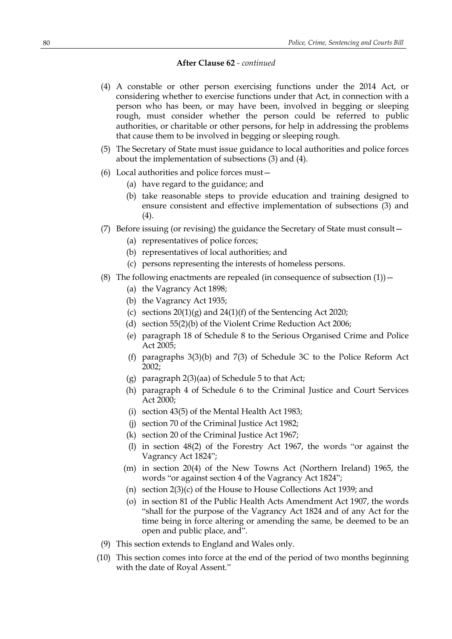- (4) A constable or other person exercising functions under the 2014 Act, or considering whether to exercise functions under that Act, in connection with a person who has been, or may have been, involved in begging or sleeping rough, must consider whether the person could be referred to public authorities, or charitable or other persons, for help in addressing the problems that cause them to be involved in begging or sleeping rough.
- (5) The Secretary of State must issue guidance to local authorities and police forces about the implementation of subsections (3) and (4).
- (6) Local authorities and police forces must—
	- (a) have regard to the guidance; and
	- (b) take reasonable steps to provide education and training designed to ensure consistent and effective implementation of subsections (3) and (4).
- (7) Before issuing (or revising) the guidance the Secretary of State must consult—
	- (a) representatives of police forces;
	- (b) representatives of local authorities; and
	- (c) persons representing the interests of homeless persons.
- (8) The following enactments are repealed (in consequence of subsection  $(1)$ )
	- (a) the Vagrancy Act 1898;
	- (b) the Vagrancy Act 1935;
	- (c) sections  $20(1)(g)$  and  $24(1)(f)$  of the Sentencing Act 2020;
	- (d) section 55(2)(b) of the Violent Crime Reduction Act 2006;
	- (e) paragraph 18 of Schedule 8 to the Serious Organised Crime and Police Act 2005;
	- (f) paragraphs 3(3)(b) and 7(3) of Schedule 3C to the Police Reform Act 2002;
	- (g) paragraph 2(3)(aa) of Schedule 5 to that Act;
	- (h) paragraph 4 of Schedule 6 to the Criminal Justice and Court Services Act 2000;
	- (i) section 43(5) of the Mental Health Act 1983;
	- (j) section 70 of the Criminal Justice Act 1982;
	- (k) section 20 of the Criminal Justice Act 1967;
	- (l) in section 48(2) of the Forestry Act 1967, the words "or against the Vagrancy Act 1824";
	- (m) in section 20(4) of the New Towns Act (Northern Ireland) 1965, the words "or against section 4 of the Vagrancy Act 1824";
	- (n) section 2(3)(c) of the House to House Collections Act 1939; and
	- (o) in section 81 of the Public Health Acts Amendment Act 1907, the words "shall for the purpose of the Vagrancy Act 1824 and of any Act for the time being in force altering or amending the same, be deemed to be an open and public place, and".
- (9) This section extends to England and Wales only.
- (10) This section comes into force at the end of the period of two months beginning with the date of Royal Assent."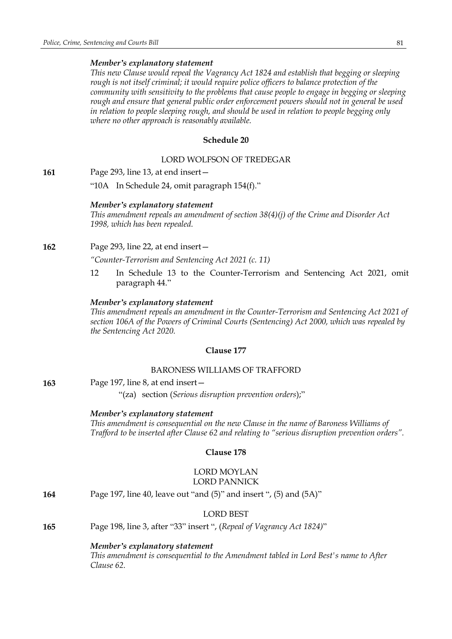## *Member's explanatory statement*

*This new Clause would repeal the Vagrancy Act 1824 and establish that begging or sleeping rough is not itself criminal; it would require police officers to balance protection of the community with sensitivity to the problems that cause people to engage in begging or sleeping rough and ensure that general public order enforcement powers should not in general be used in relation to people sleeping rough, and should be used in relation to people begging only where no other approach is reasonably available.*

# **Schedule 20**

#### LORD WOLFSON OF TREDEGAR

**161** Page 293, line 13, at end insert—

"10A In Schedule 24, omit paragraph 154(f)."

#### *Member's explanatory statement*

*This amendment repeals an amendment of section 38(4)(j) of the Crime and Disorder Act 1998, which has been repealed.*

**162** Page 293, line 22, at end insert—

*"Counter-Terrorism and Sentencing Act 2021 (c. 11)*

12 In Schedule 13 to the Counter-Terrorism and Sentencing Act 2021, omit paragraph 44."

## *Member's explanatory statement*

*This amendment repeals an amendment in the Counter-Terrorism and Sentencing Act 2021 of section 106A of the Powers of Criminal Courts (Sentencing) Act 2000, which was repealed by the Sentencing Act 2020.*

### **Clause 177**

## BARONESS WILLIAMS OF TRAFFORD

**163** Page 197, line 8, at end insert—

"(za) section (*Serious disruption prevention orders*);"

#### *Member's explanatory statement*

*This amendment is consequential on the new Clause in the name of Baroness Williams of Trafford to be inserted after Clause 62 and relating to "serious disruption prevention orders".*

## **Clause 178**

## LORD MOYLAN LORD PANNICK

**164** Page 197, line 40, leave out "and (5)" and insert ", (5) and (5A)"

## LORD BEST

**165** Page 198, line 3, after "33" insert ", (*Repeal of Vagrancy Act 1824)*"

#### *Member's explanatory statement*

*This amendment is consequential to the Amendment tabled in Lord Best's name to After Clause 62.*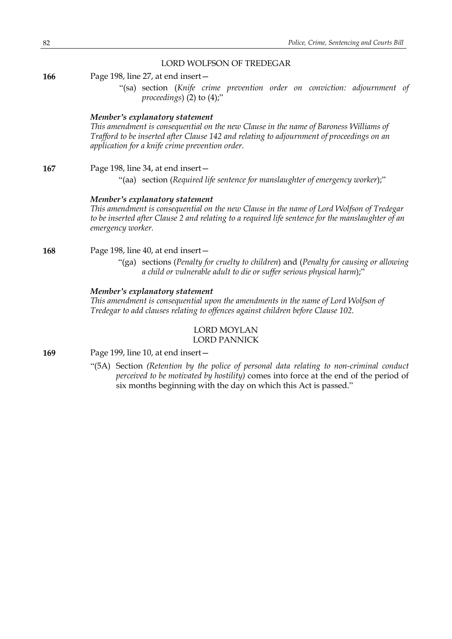## LORD WOLFSON OF TREDEGAR

**166** Page 198, line 27, at end insert—

"(sa) section (*Knife crime prevention order on conviction: adjournment of proceedings*) (2) to (4);"

### *Member's explanatory statement*

*This amendment is consequential on the new Clause in the name of Baroness Williams of Trafford to be inserted after Clause 142 and relating to adjournment of proceedings on an application for a knife crime prevention order.*

**167** Page 198, line 34, at end insert—

"(aa) section (*Required life sentence for manslaughter of emergency worker*);"

### *Member's explanatory statement*

*This amendment is consequential on the new Clause in the name of Lord Wolfson of Tredegar to be inserted after Clause 2 and relating to a required life sentence for the manslaughter of an emergency worker.*

## **168** Page 198, line 40, at end insert—

"(ga) sections (*Penalty for cruelty to children*) and (*Penalty for causing or allowing a child or vulnerable adult to die or suffer serious physical harm*);"

## *Member's explanatory statement*

*This amendment is consequential upon the amendments in the name of Lord Wolfson of Tredegar to add clauses relating to offences against children before Clause 102.*

## LORD MOYLAN LORD PANNICK

**169** Page 199, line 10, at end insert—

"(5A) Section *(Retention by the police of personal data relating to non-criminal conduct perceived to be motivated by hostility)* comes into force at the end of the period of six months beginning with the day on which this Act is passed."